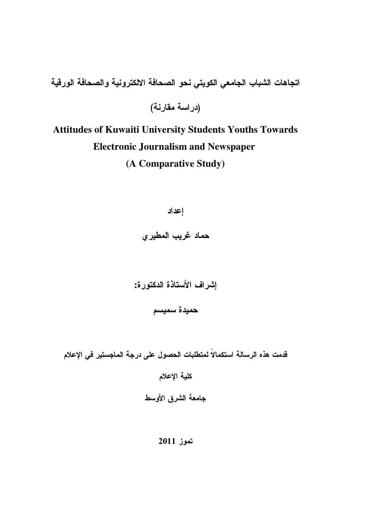اتجاهات الشباب الجامعي الكويتي نحو الصحافة الالكترونية والصحافة الورقية

(دراسة مقارنة)

# **Attitudes of Kuwaiti University Students Youths Towards Electronic Journalism and Newspaper** (A Comparative Study)

إعداد حماد غريب المطير ي

إشراف الأستاذة الدكتورة:

حميدة سميسم

قدمت هذه الرسالة استكمالاً لمتطلبات الحصول على درجة الماجستير في الإعلام

كلية الإعلام

جامعة الشرق الأوسط

تموز 2011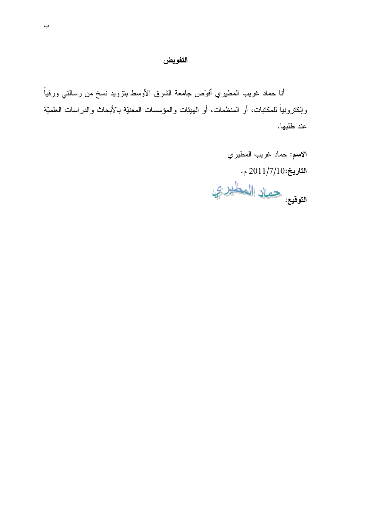### التفويض

أنا حماد غريب المطيري أفوّض جامعة الشرق الأوسط بتزويد نسخ من رسالتي ورقياً وإلكترونياً للمكتبات، أو المنظمات، أو الهيئات والمؤسسات المعنيّة بالأبحاث والدراسات العلميّة عند طلبها.

> الاسم: حماد غريب المطيري  $\cdot$ التاريخ:11/7/10 م

التوقيع: حمال العطيري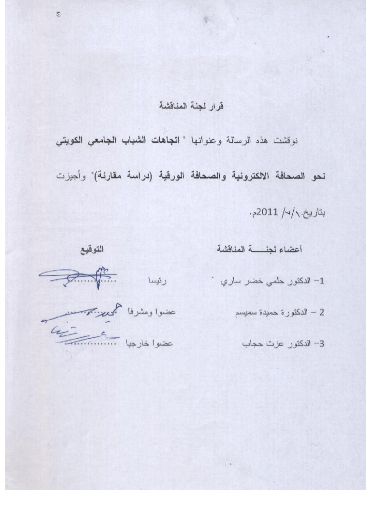## قرار لجنة المناقشة

نوقشت هذه الرسالة وعنوانها "الجاهات الشباب الجامعى الكويتي

نحو الصحافة الالكترونية والصحافة الورقية (دراسة مقارنة)" وأجيزت

بتاريخ. \/\ 2011م.

أعضاء لجنه المنافشة

1- الدكتور حلمي خضر ساري في

2 – الدكتورة حميدة سميسم

3- الدكتور عزت حجاب

التوقيع

 $\begin{picture}(20,10) \put(0,0){\line(1,0){15}} \put(15,0){\line(1,0){15}} \put(15,0){\line(1,0){15}} \put(15,0){\line(1,0){15}} \put(15,0){\line(1,0){15}} \put(15,0){\line(1,0){15}} \put(15,0){\line(1,0){15}} \put(15,0){\line(1,0){15}} \put(15,0){\line(1,0){15}} \put(15,0){\line(1,0){15}} \put(15,0){\line(1,0){15}} \put(15,0){\line(1$ رئيسا

عضوا ومشرفا لحميلة بمحسس عضوا خارجيا<br>عضوا خارجيا

 $\overline{c}$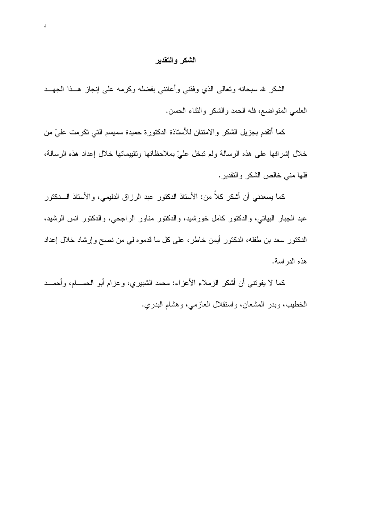#### الشكر والتقدير

الشكر لله سبحانه ونعالى الذي وفقنى وأعانني بفضله وكرمه على إنجاز هــذا الجهــد العلمي المنو اضع، فله الحمد والشكر والثناء الحسن.

كما أنقدم بجزيل الشكر والامتنان للأستاذة الدكتورة حميدة سميسم التي تكرمت عليّ من خلال إشرافها على هذه الرسالة ولم نبخل عليّ بملاحظاتها ونقييماتها خلال إعداد هذه الرسالة، فلها منبي خالص الشكر والنقدير.

كما يسعدني أن أشكر كلاً من: الأستاذ الدكتور عبد الرزاق الدليمي، والأستاذ الـــدكتور عبد الجبار البياتي، والدكتور كامل خورشيد، والدكتور مناور الراجحي، والدكتور انس الرشيد، الدكتور سعد بن طفله، الدكتور أيمن خاطر، على كل ما قدموه لي من نصح وإرشاد خلال إعداد هذه الدر اسة.

كما لا يفونني أن أشكر الزملاء الأعزاء: محمد الشبيري، وعزام أبو الحمـــام، وأحمـــد الخطيب، وبدر المشعان، واستقلال العازمي، وهشام البدري.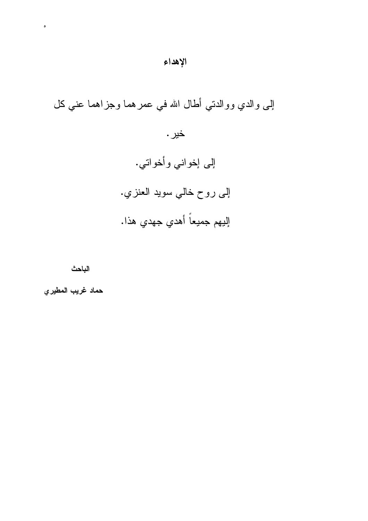إلى والدي ووالدتي أطال الله في عمر هما وجزاهما عني كل خير . إلى إخواني وأخواتي. إلى روح خالي سويد العنزي. إليهم جميعاً أهدي جهدي هذا.

الباحث

حماد غريب المطيري

 $\ddot{\phantom{0}}$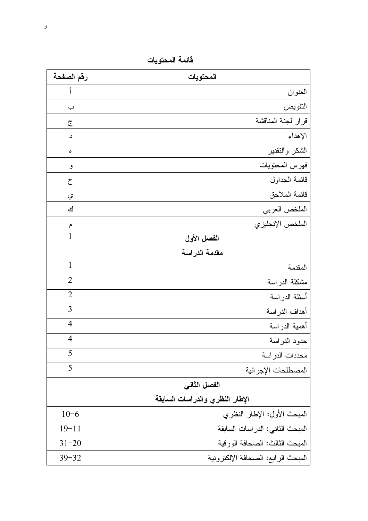| رقم الصفحة     | المحتويات                          |
|----------------|------------------------------------|
|                | العنوان                            |
| ب              | التفويض                            |
| ج              | قرار لجنة المناقشة                 |
| د              | الإهداء                            |
| ٥              | الشكر والنقدير                     |
| و              | فهرس المحتويات                     |
| $\zeta$        | قائمة الجداول                      |
| ي              | قائمة الملاحق                      |
| ك              | الملخص العربي                      |
| م              | الملخص الإنجليزي                   |
|                | الفصل الأول                        |
|                | مقدمة الدراسة                      |
| $\mathbf{1}$   | المقدمة                            |
| $\overline{2}$ | مشكلة الدراسة                      |
| $\overline{2}$ | أسئلة الدراسة                      |
| 3              | أهداف الدراسة                      |
| $\overline{4}$ | أهمية الدراسة                      |
| $\overline{4}$ | حدود الدراسة                       |
| 5              | محددات الدر اسة                    |
| 5              | المصطلحات الإجرائية                |
|                | الفصل الثانى                       |
|                | الإطار النظري والدراسات السابقة    |
| $10 - 6$       | المبحث الأول: الإطار النظري        |
| $19 - 11$      | المبحث الثاني: الدراسات السابقة    |
| $31 - 20$      | المبحث الثالث: الصحافة الورقية     |
| $39 - 32$      | المبحث الرابع: الصحافة الإلكترونية |

فائمة المحتويات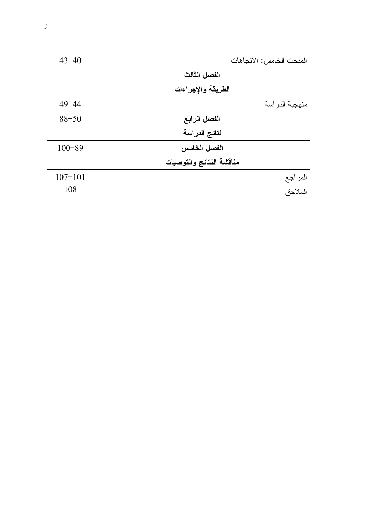| $43 - 40$   | المبحث الخامس: الاتجاهات |
|-------------|--------------------------|
|             | الفصل الثالث             |
|             | الطريقة والإجراءات       |
| $49 - 44$   | منهجية الدر اسة          |
| $88 - 50$   | الفصل الرابع             |
|             | نتائج الدراسة            |
| $100 - 89$  | الفصل الخامس             |
|             | مناقشة النتائج والتوصيات |
| $107 - 101$ | المراجع                  |
| 108         | الملاحق                  |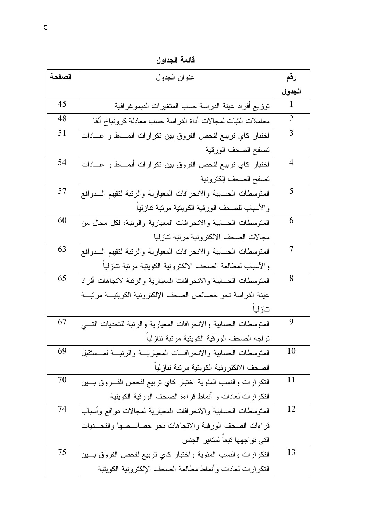| الصفحة | عنوان الجدول                                                       |                |
|--------|--------------------------------------------------------------------|----------------|
|        |                                                                    | الجدول         |
| 45     | توزيع أفراد عينة الدراسة حسب المتغيرات الديمو غرافية               | $\mathbf{1}$   |
| 48     | معاملات الثبات لمجالات أداة الدراسة حسب معادلة كرونباخ ألفا        | $\overline{2}$ |
| 51     | اختبار كاي نربيع لفحص الفروق بين نكرارات أنمـــاط و عــــادات      | 3              |
|        | تصفح الصحف الورقية                                                 |                |
| 54     | اختبار كاي نربيع لفحص الفروق بين نكرارات أنمساط و عسادات           | 4              |
|        | تصفح الصحف إلكترونية                                               |                |
| 57     | المنوسطات الحسابية والانحرافات المعيارية والرنبة لنقييم السدوافع   | 5              |
|        | والأسباب للصحف الورقية الكويتية مرتبة تنازليا                      |                |
| 60     | المتوسطات الحسابية والانحرافات المعيارية والرنبة، لكل مجال من      | 6              |
|        | مجالات الصحف الالكترونية مرتبه تتازليا                             |                |
| 63     | المنوسطات الحسابية والانحرافات المعيارية والرنبة لنقييم السدوافع   | 7              |
|        | والأسباب لمطالعة الصحف الالكترونية الكويتية مرتبة نتازليا          |                |
| 65     | المتوسطات الحسابية والانحرافات المعيارية والرنبة لاتجاهات أفراد    | 8              |
|        | عينة الدراسة نحو خصائص الصحف الإلكترونية الكويتيـــة مرتبـــة      |                |
|        | تنازليا                                                            |                |
| 67     | المنوسطات الحسابية والانحرافات المعيارية والرنبة للتحديات التسى    | 9              |
|        | نواجه الصحف الورقية الكويتية مرتبة تنازليا                         |                |
| 69     | المنوسطات الحسابية والانحرافــات المعياريـــة والرنبـــة لمــسنقبل | 10             |
|        | الصحف الالكترونية الكويتية مرتبة تنازليا                           |                |
| 70     | النكرارات والنسب المئوية اختبار كاي نربيع لفحص الفسروق بسين        | 11             |
|        | النكر ارات لعادات و أنماط قراءة الصحف الورقية الكوينية             |                |
| 74     | المنوسطات الحسابية والانحر افات المعيارية لمجالات دوافع وأسباب     | 12             |
|        | قراءات الصحف الورقية والاتجاهات نحو خصائــصها والتحــديات          |                |
|        | التي تواجهها نبعا لمنغير الجنس                                     |                |
| 75     | النكرارات والنسب المئوية واختبار كاي نربيع لفحص الفروق بسين        | 13             |
|        | النكر ار ات لعادات وأنماط مطالعة الصحف الإلكترونية الكويتية        |                |

فائمة الجداول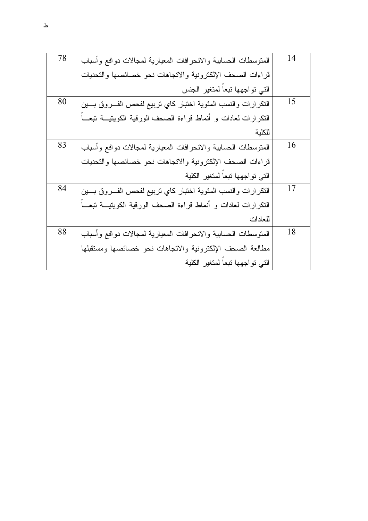| 78 | المنوسطات الحسابية والانحرافات المعيارية لمجالات دوافع وأسباب    | 14 |
|----|------------------------------------------------------------------|----|
|    | قراءات الصحف الإلكترونية والاتجاهات نحو خصائصها والتحديات        |    |
|    | التي تواجهها نبعا لمنغير الجنس                                   |    |
| 80 | النكرارات والنسب المئوية اختبار كاي نربيع لفحص الفـــروق بــــين | 15 |
|    | النكرارات لعادات و أنماط قراءة الصحف الورقية الكويتيـــة تبعـــا |    |
|    | للكلبة                                                           |    |
| 83 | المتوسطات الحسابية والانحرافات المعيارية لمجالات دوافع وأسباب    | 16 |
|    | قراءات الصحف الإلكترونية والاتجاهات نحو خصائصها والتحديات        |    |
|    | التي تواجهها تبعا لمتغير الكلية                                  |    |
| 84 | النكرارات والنسب المئوية اختبار كاي نربيع لفحص الفسروق بسين      | 17 |
|    | النكرارات لعادات و أنماط قراءة الصحف الورقية الكويتيـــة تبعـــا |    |
|    | للعادات                                                          |    |
| 88 | المتوسطات الحسابية والانحرافات المعيارية لمجالات دوافع وأسباب    | 18 |
|    | مطالعة الصحف الإلكترونية والاتجاهات نحو خصائصها ومستقبلها        |    |
|    | التي تواجهها تبعا لمتغير الكلية                                  |    |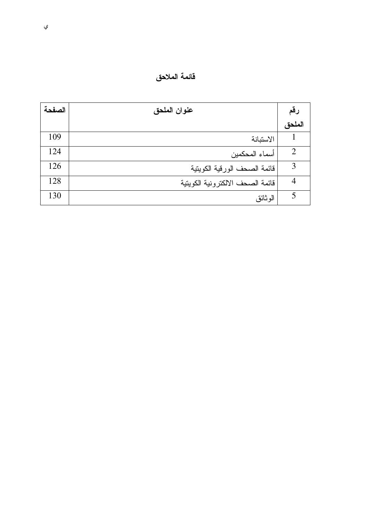|  | قائمة الملاحق |
|--|---------------|
|  |               |

| الصفحة | عنوان الملحق                     |                |
|--------|----------------------------------|----------------|
|        |                                  | الملحق         |
| 109    | الاستبانة                        |                |
| 124    | أسماء المحكمين                   | 2              |
| 126    | فائمة الصحف الورقية الكويتية     | 3              |
| 128    | فائمة الصحف الالكترونية الكويتية | $\overline{4}$ |
| 130    | الو ثائق                         | 5              |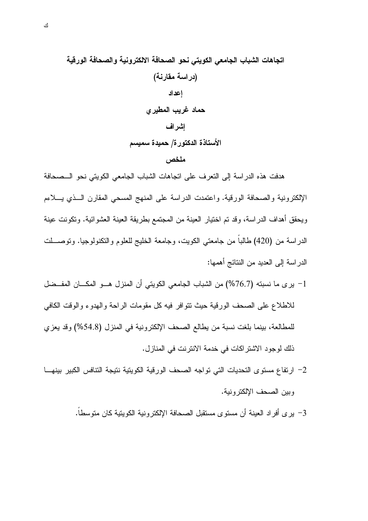اتجاهات الشباب الجامعي الكويتي نحو الصحافة الالكترونية والصحافة الورقية (در اسة مقارنة) اعداد حماد غريب المطيرى إشراف الأستاذة الدكتورة/ حميدة سميسم

ملخص

هدفت هذه الدراسة إلى النعرف على انجاهات الشباب الجامعي الكويتي نحو الـمحافة الإلكترونية والصحافة الورقية. واعتمدت الدراسة على المنهج المسحى المقارن السذي يسلاءم ويحقق أهداف الدراسة، وقد تم اختيار العينة من المجتمع بطريقة العينة العشوائية. وتكونت عينة الدراسة من (420) طالباً من جامعتي الكويت، وجامعة الخليج للعلوم والنكنولوجيا. ونوصـــلت الدراسة إلى العديد من النتائج أهمها:

- 1- برى ما نسبته (76.7%) من الشباب الجامعي الكويتي أن المنزل هـو المكـــان المفــضل للاطلاع على الصحف الورقية حيث نتوافر فيه كل مقومات الراحة والهدوء والوقت الكافي للمطالعة، بينما بلغت نسبة من يطالع الصحف الإلكترونية في المنزل (54.8%) وقد يعزى ذلك لوجود الاشتراكات في خدمة الانترنت في المنازل.
- 2– ارتفاع مستوى التحديات التي تواجه الصحف الورقية الكويتية نتيجة التنافس الكبير بينهــا وبين الصحف الإلكتر ونية.
	- 3– برى أفراد العينة أن مستوى مستقبل الصحافة الإلكترونية الكويتية كان متوسطا.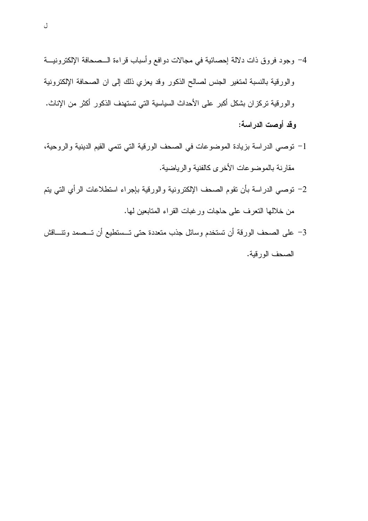- 4– وجود فروق ذات دلالة إحصائية في مجالات دوافع وأسباب قراءة الــصحافة الإلكترونيـــة والورقية بالنسبة لمتغير الجنس لصالح الذكور وقد يعزي ذلك إلى ان الصحافة الإلكترونية والورقية تركزان بشكل أكبر على الأحداث السياسية التي تستهدف الذكور أكثر من الإناث. وقد أوصت الدراسة:
- 1- توصىي الدراسة بزيادة الموضوعات في الصحف الورقية التي نتمي القيم الدينية والروحية، مقارنة بالموضوعات الأخرى كالفنية والرياضية.
- 2– نوصـي الدراسة بأن نقوم الصـحف الإلكترونية والورقية بإجراء استطلاعات الرأي التي يتم من خلالها النعرف على حاجات ورغبات القراء المنابعين لمها.
- 3– على الصحف الورقة أن نستخدم وسائل جذب متعددة حتى تـــستطيع أن تـــصمد ونتــــاقش الصحف الورقية.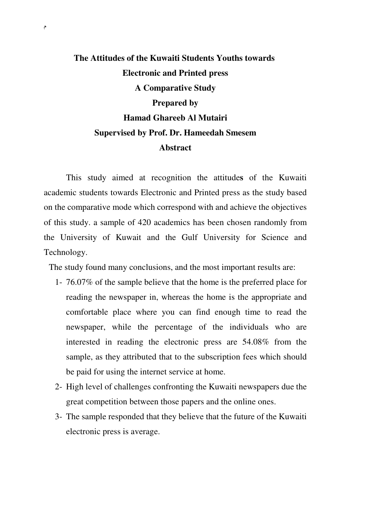## **The Attitudes of the Kuwaiti Students Youths towards Electronic and Printed press A Comparative Study Prepared by Hamad Ghareeb Al Mutairi Supervised by Prof. Dr. Hameedah Smesem Abstract**

This study aimed at recognition the attitude**s** of the Kuwaiti academic students towards Electronic and Printed press as the study based on the comparative mode which correspond with and achieve the objectives of this study. a sample of 420 academics has been chosen randomly from the University of Kuwait and the Gulf University for Science and Technology.

The study found many conclusions, and the most important results are:

- 1- 76.07% of the sample believe that the home is the preferred place for reading the newspaper in, whereas the home is the appropriate and comfortable place where you can find enough time to read the newspaper, while the percentage of the individuals who are interested in reading the electronic press are 54.08% from the sample, as they attributed that to the subscription fees which should be paid for using the internet service at home.
- 2- High level of challenges confronting the Kuwaiti newspapers due the great competition between those papers and the online ones.
- 3- The sample responded that they believe that the future of the Kuwaiti electronic press is average.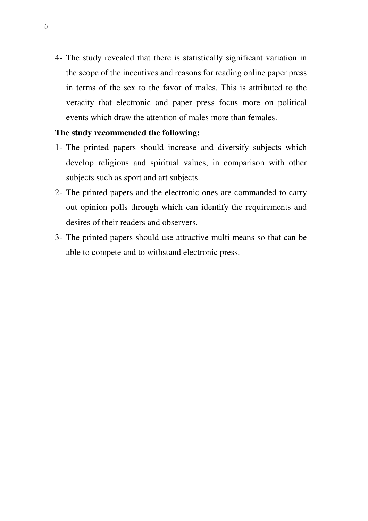4- The study revealed that there is statistically significant variation in the scope of the incentives and reasons for reading online paper press in terms of the sex to the favor of males. This is attributed to the veracity that electronic and paper press focus more on political events which draw the attention of males more than females.

### **The study recommended the following:**

- 1- The printed papers should increase and diversify subjects which develop religious and spiritual values, in comparison with other subjects such as sport and art subjects.
- 2- The printed papers and the electronic ones are commanded to carry out opinion polls through which can identify the requirements and desires of their readers and observers.
- 3- The printed papers should use attractive multi means so that can be able to compete and to withstand electronic press.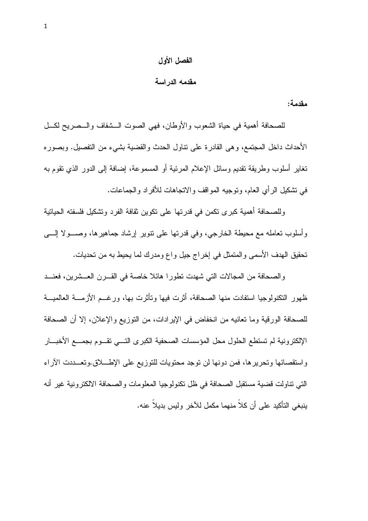## الفصل الأول

#### مقدمه الدر اسة

مقدمة:

للصحافة أهمية في حياة الشعوب والأوطان، فهي الصوت الـــشفاف والـــصريح لكـــل الأحداث داخل المجتمع، وهي القادرة على نتاول الحدث والقضية بشيء من التفصيل. وبصوره نغاير أسلوب وطريقة نقديم وسائل الإعلام المرئية أو المسموعة، إضافة إلىي الدور الذي نقوم به في نشكيل الرأى العام، ونوجيه المواقف والانجاهات للأفراد والجماعات.

وللصحافة أهمية كبرى نكمن في قدرتها على نكوين ثقافة الفرد وتشكيل فلسفته الحياتية وأسلوب نعامله مع محبطة الخارجي، وفي قدرتها على نتوير إرشاد جماهيرها، وصـــولا الِــــي تحقيق الهدف الأسمى والمتمثل في إخراج جيل واع ومدرك لما يحيط به من تحديات.

والصحافة من المجالات التي شهدت تطورا هائلا خاصة في القـــرن العـــشرين، فعنـــد ظهور النكنولوجيا استفادت منها الصحافة، أثرت فيها ونأثرت بها، ورغــم الأزمــــة العالميـــة للصحافة الورقية وما تعانيه من انخفاض في الإيرادات، من التوزيع والإعلان، إلا أن الصحافة الإلكتر ونية لم تستطع الحلول محل المؤسسات الصحفية الكبر ي التـــي تقـــوم بجمـــع الأخبـــار و استقصائها وتحرير ها، فمن دونها لن توجد محتويات للتوزيع على الإطلاق.وتعــددت الآراء التي نتاولت فضية مستقبل الصحافة في ظل تكنولوجيا المعلومات والصحافة الالكترونية غير أنه بنبغي التأكيد على أن كلاً منهما مكمل للأخر ولبس بدبلاً عنه.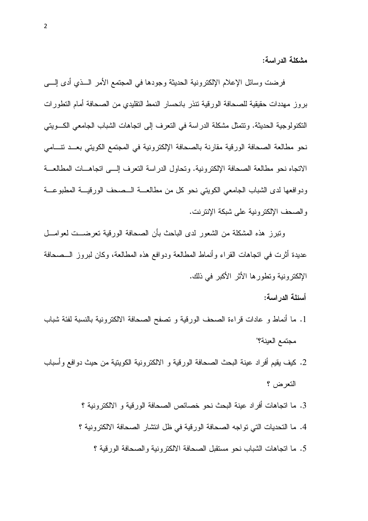مشكلة الدراسة:

فرضت وسائل الإعلام الإلكترونية الحديثة وجودها في المجتمع الأمر الـــذي أدى إلــــي بروز مهددات حقيقية للصحافة الورقية تنذر بانحسار النمط التقليدي من الصحافة أمام التطورات التكنولوجية الحديثة. وتتمثَّل مشكلة الدراسة في التعرف إلى اتجاهات الشباب الجامعي الكسويتي نحو مطالعة الصحافة الورقية مقارنة بالصحافة الإلكترونية في المجتمع الكويتي بعــد نتـــامي الاتجاه نحو مطالعة الصحافة الإلكترونية. وتحاول الدراسة التعرف إلــي اتجاهــات المطالعـــة ودوافعها لدى الشباب الجامعي الكويتي نحو كل من مطالعـــة الـــصحف الورقيـــة المطبوعـــة والصحف الإلكترونية على شبكة الإنترنت.

ونبرز هذه المشكلة من الشعور لدى الباحث بأن الصحافة الورقية تعرضـــت لعوامـــل عديدة أثرت في اتجاهات القراء وأنماط المطالعة ودوافع هذه المطالعة، وكان لبروز الـــصحافة الإلكترونية وتطورها الأثر الأكبر في ذلك.

- أسئلة الدراسة:
- 1. ما أنماط و عادات قراءة الصحف الورقية و تصفح الصحافة الالكترونية بالنسبة لفئة شباب مجتمع العينة؟"
- 2. كيف يقيم أفراد عينة البحث الصحافة الورقية و الالكترونية الكويتية من حيث دوافع وأسباب التعرض ؟
	- 3. ما اتجاهات أفراد عينة البحث نحو خصائص الصحافة الورقية و الالكترونية ؟
	- 4. ما التحديات التي تواجه الصحافة الورقية في ظل انتشار الصحافة الالكترونية ؟
		- 5. ما اتجاهات الشباب نحو مستقبل الصحافة الالكتر ونية والصحافة الور قية ؟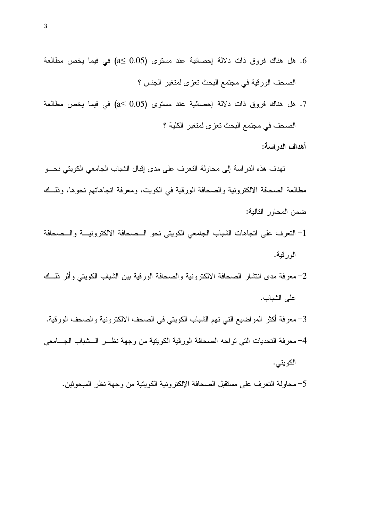- 6. هل هناك فروق ذات دلالة إحصائية عند مستوى (\$10.0 ≥a) في فيما يخص مطالعة الصحف الورقية في مجتمع البحث تعزى لمتغير الجنس ؟
- 7. هل هناك فروق ذات دلالة إحصائية عند مستوى (\$10.0 ≥a) في فيما يخص مطالعة الصحف في مجتمع البحث تعز ى لمتغير الكلية ؟

أهداف الدراسة:

تهدف هذه الدراسة إلى محاولة النعرف على مدى إقبال الشباب الجامعي الكويتي نحـــو مطالعة الصحافة الالكترونية والصحافة الورقية في الكويت، ومعرفة اتجاهاتهم نحوها، وذلــك ضمن المحاور التالية:

- 1– التعرف على اتجاهات الشباب الجامعي الكويتي نحو الـــصحافة الالكترونيـــة والـــصحافة الورقية.
- 2– معرفة مدى انتشار الصحافة الالكترونية والصحافة الورقية بين الشباب الكويتي واثر ذلـــك على الشباب.
- 3– معرفة اكثر المواضيع التي تهم الشباب الكويتي في الصحف الالكترونية والصحف الورقية. 4– معرفة التحديات التي تواجه الصحافة الورقية الكويتية من وجهة نظـــر الـــشباب الجــــامعي الكويتي.
	- 5– محاولة التعرف على مستقبل الصحافة الإلكترونية الكويتية من وجهة نظر المبحوثين.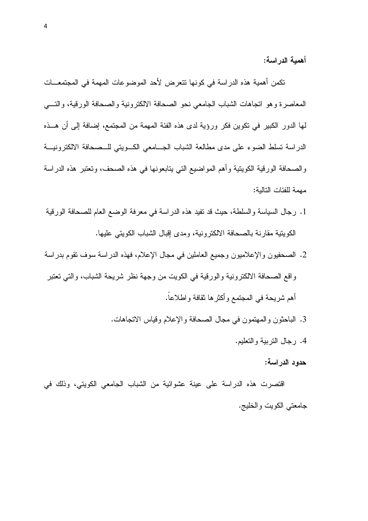أهمية الدراسة:

نكمن أهمية هذه الدراسة في كونها نتعرض لأحد الموضوعات المهمة في المجتمعـــات المعاصرة وهو انجاهات الشباب الجامعي نحو الصحافة الالكترونية والصحافة الورقية، والنسي لَّها الدور الكبير في تكوين فكر ورؤية لدى هذه الفئة المهمة من المجتمع، إضافة إلى أن هـــذه الدراسة نسلط الضوء على مدى مطالعة الشباب الجسامعي الكسويتي للسصحافة الالكترونيسة والصحافة الورقية الكويتية وأهم المواضيع التي يتابعونها في هذه الصحف، وتعتبر هذه الدراسة مهمة للفئات التالبة:

- 1. رجال السياسة والسلطة، حيث قد تفيد هذه الدراسة في معرفة الوضع العام للصحافة الورقية الكويتية مقارنة بالصحافة الالكترونية، ومدى إقبال الشباب الكويتي عليها.
- 2. الصحفيون والإعلاميون وجميع العاملين في مجال الإعلام، فهذه الدراسة سوف نقوم بدراسة واقع الصحافة الالكترونية والورقية في الكويت من وجهة نظر شريحة الشباب، والتي تعتبر أهم شريحة في المجتمع وأكثرها نقافة واطلاعاً.
	- 3. الباحثون والمهتمون في مجال الصحافة والإعلام وفياس الاتجاهات.
		- 4. رجال النربية والتعليم.

#### حدود الدراسة:

اقتصرت هذه الدراسة على عينة عشوائية من الشباب الجامعي الكويتي، وذلك في جامعتي الكويت والخليج.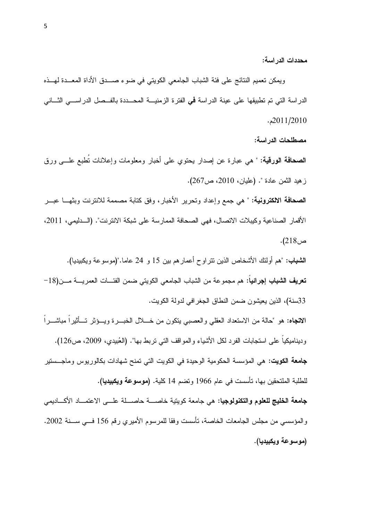ويمكن تعميم النتائج على فئة الشباب الجامعي الكويتي في ضوء صـــدق الأداة المعــدة لهــذه الدراسة التي تم تطبيقها على عينة الدراسة **في** الفترة الزمنيـــة المحـــددة بالفــصل الدراســـي الثـــاني  $.2011/2010$ 

مصطلحات الدر اسة:

**الصحافة الورقية:** " هي عبارة عن إصدار يحتوي على أخبار ومعلومات وإعلانات تُطبع علـــي ورق ز هيد الثمن عادة ". (عليان، 2010، ص267).

الصحافة الالكترونية: " هي جمع وإعداد وتحرير الأخبار، وفق كتابة مصممة للانترنت وبثهـــا عبـــر الأقمار الصناعية وكيبلات الاتصال، فهي الصحافة الممارسة على شبكة الانترنت". (السدليمي، 2011،  $. (218)$ -ص

**الشباب:** "هم أولئك الأشخاص الذين نتر اوح أعمار هم بين 15 و 24 عاما."(موسوعة ويكبيديا). **تعريف الشباب إجرائيا:** هم مجموعة من الشباب الجامعي الكويتي ضمن الفئـــات العمريــــة مـــن(18– 33سنة)، الذين يعيشون ضمن النطاق الجغر افي لدولة الكويت.

ال**اتجاه:** هو "حالة من الاستعداد العقلـى والعصبـى ينكون من خــــلال الخبــــرة ويــــؤثر تــــأثيراً مباشــــراً وديناميكيا على استجابات الفرد لكل الأشياء والمواقف التي نربط بها". (العُبيدي، 2009، ص126). **جامعة الكويت:** هي المؤسسة الحكومية الوحيدة في الكويت التي تمنح شهادات بكالوريوس وماجـــستير للطلبة الملتحقين بـها، تأسست فـي عام 1966 وتضم 14 كلية. **(موسوعة ويكبيديا).** 

**جامعة الخليج للعلوم والتكنولوجيا:** هي جامعة كويتية خاصــــة حاصــــلة علــــي الاعتمــــاد الأكــــادي*مي* والمؤسسي من مجلس الجامعات الخاصة، تأسست وفقا للمرسوم الأميري رقم 156 فــي ســـنة 2002. (موسوعة ويكبيديا).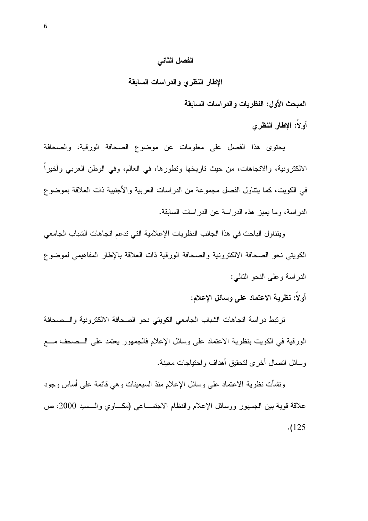#### الفصل الثاني

#### الإطار النظرى والدراسات السابقة

المبحث الأول: النظريات والدراسات السابقة

أولا: الإطار النظري

يحتوى هذا الفصل على معلومات عن موضوع الصحافة الورقية، والصحافة الالكترونية، والاتجاهات، من حيث تاريخها وتطورها، في العالم، وفي الوطن العربي وأخيرا في الكويت، كما يتناول الفصل مجموعة من الدراسات العربية والأجنبية ذات العلاقة بموضوع الدراسة، وما يميز هذه الدراسة عن الدراسات السابقة.

ويتناول الباحث في هذا الجانب النظريات الإعلامية التي ندعم انجاهات الشباب الجامعي الكويتي نحو الصحافة الالكترونية والصحافة الورقية ذات العلاقة بالإطار المفاهيمي لموضوع الدر اسة وعلى النحو التالي:

أولاً: نظرية الاعتماد على وسائل الإعلام:

ترتبط دراسة اتجاهات الشباب الجامعي الكويتي نحو الصحافة الالكترونية والسصحافة الورقية في الكويت بنظرية الاعتماد على وسائل الإعلام فالجمهور يعتمد على الــصحف مـــع وسائل اتصال أخرى لتحقيق أهداف واحتياجات معينة.

ونشأت نظرية الاعتماد على وسائل الإعلام منذ السبعينات وهي فائمة على أساس وجود علاقة قوية بين الجمهور ووسائل الإعلام والنظام الاجتمـــاعـي (مكـــاوي والــــسيد 2000، ص  $(125$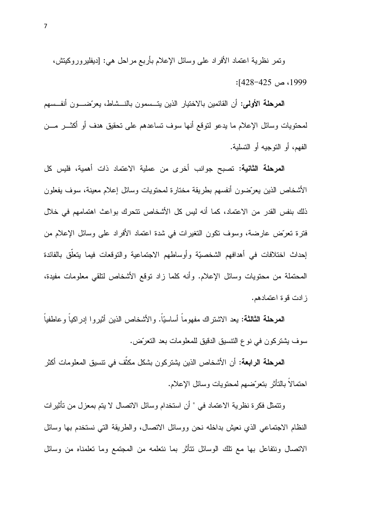ونَمر نظرية اعتماد الأفراد على وسائل الإعلام بأربع مراحل هي: [ديفليروروكيتش، 1999، ص 425–428]:

**المرحلة الأولى**: أن القائمين بالاختيار الذين يتـــسمون بالنـــشاط، يعرّـضــــون أنفـــسهم لمحتويات وسائل الإعلام ما يدعو لنوقع أنها سوف نساعدهم على نحقيق هدف أو أكثــــر مــــن الفهم، أو النوجيه أو التسلية.

**المرحلة الثانية:** تصبح جوانب أخرى من عملية الاعتماد ذات أهمية، فليس كل الأشخاص الذين يعرّضون أنفسهم بطريقة مختارة لمحتويات وسائل إعلام معينة، سوف يفعلون ذلك بنفس القدر من الاعتماد، كما أنه ليس كل الأشخاص نتحرك بواعث اهتمامهم في خلال فترة تعرَّض عارضة، وسوف تكون التغيرات في شدة اعتماد الأفراد على وسائل الإعلام من لِحداث اختلافات في أهدافهم الشخصيّة وأوساطهم الاجتماعية والتوقعات فيما يتعلّق بالفائدة المحتملة من محتويات وسائل الإعلام. وأنه كلما زاد نوقع الأشخاص لنلقى معلومات مفيدة، ز ادت قو ة اعتمادهم.

**المرحلة الثالثة:** يعد الاشتراك مفهوماً أساسيّاً. والأشخاص الذين أثيروا إدراكياً وعاطفياً سوف بِشْتر كون في نو ع التنسيق الدقيق للمعلومات بعد النعر ّض.

**المرحلة الرابعة:** أن الأشخاص الذين يشتركون بشكل مكثّف في تتسيق المعلومات أكثر احتمالاً بالتأثر بتعرّضهم لمحتويات وسائل الإعلام.

ونتمثَّل فكرة نظرية الاعتماد في " أن استخدام وسائل الاتصال لا يتم بمعزل من تأثيرات النظام الاجتماعي الذي نعيش بداخله نحن ووسائل الانصال، والطريقة التي نستخدم بها وسائل الاتصال ونتفاعل بها مع نلك الوسائل نتأثر بما نتعلمه من المجتمع وما تعلمناه من وسائل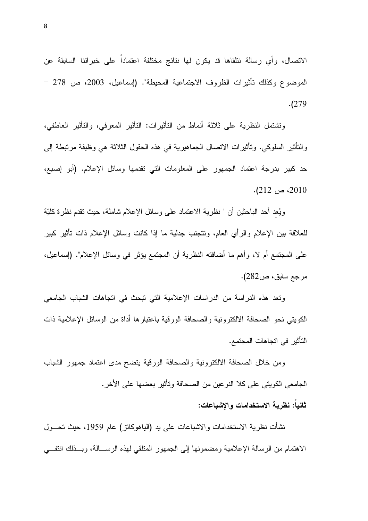الاتصال، وأي رسالة نتلقاها قد يكون لها نتائج مختلفة اعتمادا على خبرانتا السابقة عن الموضوع وكذلك تأثيرات الظروف الاجتماعية المحيطة". (إسماعيل، 2003، ص 278 –  $. (279$ 

وتشتمل النظرية على ثلاثة أنماط من التأثيرات: التأثير المعرفي، والتأثير العاطفي، والتأثير السلوكي. وتأثيرات الاتصال الجماهيرية في هذه الحقول الثلاثة هي وظيفة مرتبطة إلى حد كبير بدرجة اعتماد الجمهور على المعلومات التي نقدمها وسائل الإعلام. (أبو إصبع، 2010، ص 212).

ويُعد أحد الباحثين أن " نظرية الاعتماد على وسائل الإعلام شاملة، حيث نقدم نظرة كليّة للعلاقة بين الإعلام والرأى العام، ونتجنب جدلية ما إذا كانت وسائل الإعلام ذات نأثير كبير على المجتمع أم لا، وأهم ما أضافته النظرية أن المجتمع يؤثر في وسائل الإعلام". (إسماعيل، مرجع سابق، ص282).

ونعد هذه الدراسة من الدراسات الإعلامية التي نبحث في اتجاهات الشباب الجامعي الكويتي نحو الصحافة الالكترونية والصحافة الورقية باعتبارها أداة من الوسائل الإعلامية ذات التأثير في اتجاهات المجتمع.

ومن خلال الصحافة الالكترونية والصحافة الورقية يتضح مدى اعتماد جمهور الشباب الجامعي الكويتي على كلا النوعين من الصحافة وتأثير بعضها على الأخر . ثانيا: نظرية الاستخدامات والإشباعات:

نشأت نظرية الاستخدامات والاشباعات على يد (الياهوكانز) عام 1959، حيث تحـــول الاهتمام من الرسالة الإعلامية ومضمونها إلى الجمهور المتلقى لهذه الرســالة، وبــذلك انتفـــى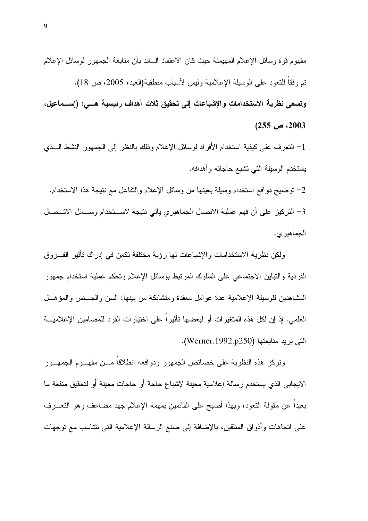مفهوم قوة وسائل الإعلام المهيمنة حيث كان الاعتقاد السائد بأن متابعة الجمهور لوسائل الإعلام تم وفقاً للنعود على الوسيلة الإعلامية وليس لأسباب منطقية(العبد، 2005، ص 18). وتسعى نظرية الاستخدامات والإشباعات إلى تحقيق ثلاث أهداف رئيسية هــي: (إســماعيل،

 $(255 \, \omega \cdot 2003)$ 

1– النعرف على كيفية استخدام الأفراد لوسائل الإعلام وذلك بالنظر إلى الجمهور النشط الــذي يستخدم الوسيلة التي تشبع حاجاته وأهدافه.

2– توضيح دوافع استخدام وسيلة بعينها من وسائل الإعلام والتفاعل مع نتيجة هذا الاستخدام. 3– التركيز على أن فهم عملية الاتصال الجماهيري يأتي نتيجة لاســـتخدام وســـائل الاتـــصال الجماهير *ي*.

ولكن نظرية الاستخدامات والإشباعات لمها رؤية مختلفة تكمن في إدراك تاثير الفـــروق الفردية والنباين الاجتماعي على السلوك المرتبط بوسائل الإعلام وتحكم عملية استخدام جمهور المشاهدين للوسيلة الإعلامية عدة عوامل معقدة ومتشابكة من بينها: السن والحسنس والمؤهـــل العلمي. إذ إن لكل هذه المتغيرات أو لبعضها تاثيرًا على اختيارات الفرد للمضـامين الإعلاميـــة التي يريد متابعتها (Werner.1992.p250).

ونتركز هذه النظرية على خصائص الجمهور ودوافعه انطلاقا مـــن مفهـــوم الجمهـــور الايجابي الذي يستخدم رسالة إعلامية معينة لإشباع حاجة أو حاجات معينة أو لتحقيق منفعة ما بعيدًا عن مقولة التعود، وبهذا أصبح على القائمين بمهمة الإعلام جهد مضاعف وهو التعـــرف علـى اتجاهات وآذواق المتلقين، بـالإضافة إلـى صنـع الرسالـة الإعلاميـة التـي تتناسب مـع توجهات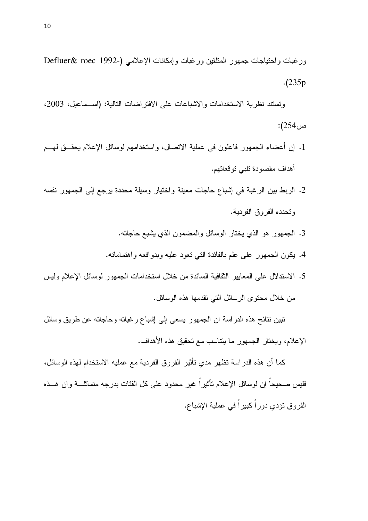وتستند نظرية الاستخدامات والاشباعات على الافتراضات النالية: (إســماعيل، 2003،  $:(254)$ :

- 1. إن أعضاء الجمهور فاعلون في عملية الاتصال، واستخدامهم لوسائل الإعلام يحقــق لهــم أهداف مقصودة نلبي نوقعانهم.
- 2. الربط بين الرغبة في إشباع حاجات معينة واختيار وسيلة محددة برجع إلى الجمهور نفسه وتحدده الفروق الفردية.
	- 3. الجمهور هو الذي يختار الوسائل والمضمون الذي يشبع حاجاته.
	- 4. يكون الجمهور على علم بالفائدة التي تعود عليه وبدوافعه واهتماماته.
- 5. الاستدلال على المعايير الثقافية السائدة من خلال استخدامات الجمهور لوسائل الإعلام وليس من خلال محتوى الرسائل التي تقدمها هذه الوسائل.

نبين نتائج هذه الدراسة ان الجمهور يسعى إلى إشباع رغبانه وحاجاته عن طريق وسائل الإعلام، ويختار الجمهور ما بنناسب مع نحقيق هذه الأهداف.

كما أن هذه الدراسة تظهر مدي ناثير الفروق الفردية مع عمليه الاستخدام لهذه الوسائل، فليس صحيحا إن لوسائل الإعلام تاثيرًا غير محدود على كل الفئات بدرجه متماثلـــة وان هـــذه الفروق نؤدي دورا كبيرا في عملية الإشباع.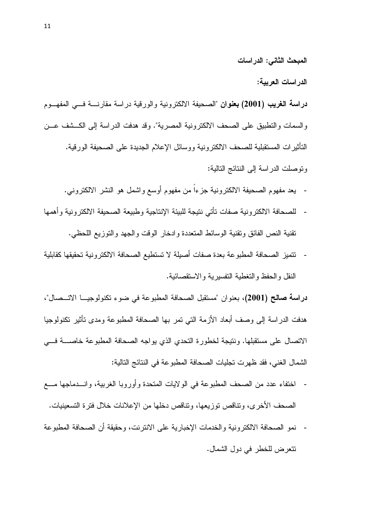المبحث الثاني: الدراسات

الدر اسات العربية:

**دراسة الغريب (2001) بعنوان** "الصحيفة الالكترونية والورقية دراسة مقارنسة فسي المفهــوم والسمات والنطبيق على الصحف الالكترونية المصرية". وقد هدفت الدراسة إلى الكـــشف عـــن النَّاثِيرِات المستقبلية للصحف الالكترونية ووسائل الإعلام الجديدة على الصحيفة الورقية. ونوصلت الدراسة إلى النتائج التالية:

- يعد مفهوم الصحيفة الالكترونية جزءاً من مفهوم أوسع واشمل هو النشر الالكتروني.
- للصحافة الالكترونية صفات تأتي نتيجة للبيئة الإنتاجية وطبيعة الصحيفة الالكترونية وأهمها  $\sim$ تقنية النص الفائق وتقنية الوسائط المتعددة وادخار الوقت والجهد والنوزيع اللحظي.
- تتميز الصحافة المطبوعة بعدة صفات أصيلة لا تستطيع الصحافة الالكتر ونية تحقيقها كقابلية النقل والحفظ والنغطية التفسير ية والاستقصائية.

دراسة صالح (2001)، بعنوان "مستقبل الصحافة المطبوعة في ضوء تكنولوجيـــا الاتـــصـال"، هدفت الدراسة إلى وصف أبعاد الأزمة التي تمر بها الصحافة المطبوعة ومدى تأثير تكنولوجيا الاتصال على مستقبلها. ونتيجة لخطور ة التحدي الذي يو اجه الصحافة المطبو عة خاصــــة فــــى الشمال الغني، فقد ظهرت تجليات الصحافة المطبوعة في النتائج التالية:

- اختفاء عدد من الصحف المطبوعة في الولايات المتحدة وأوروبا الغربية، وانـــدماجها مــــع الصحف الأخرى، وتناقص توزيعها، وتناقص دخلها من الإعلانات خلال فترة التسعينيات.
- نمو الصحافة الالكترونية والخدمات الإخبارية على الانترنت، وحقيقة أن الصحافة المطبوعة نتعرض للخطر في دول الشمال.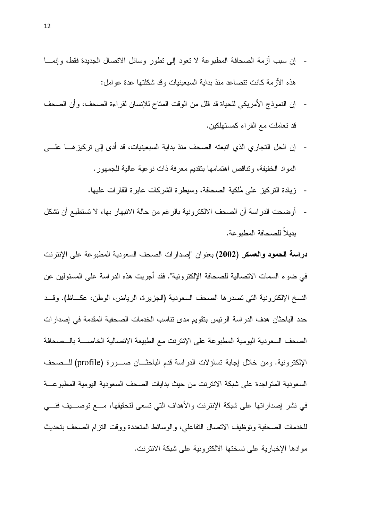- إن سبب أزمة الصحافة المطبوعة لا تعود إلى نطور وسائل الاتصال الجديدة فقط، وإنمـــا هذه الأزمة كانت نتصاعد منذ بداية السبعينيات وقد شكلتها عدة عوامل:
- إن النموذج الأمريكي للحياة قد قلل من الوقت المتاح للإنسان لقراءة الصحف، وأن الصحف  $\overline{\phantom{a}}$ قد تعاملت مع القراء كمستهلكين.
- إن الحل النجار ي الذي اتبعته الصحف منذ بداية السبعينيات، قد أدى إلى تركيز هـــا علــــى المواد الخفيفة، ونتاقص اهتمامها بنقديم معرفة ذات نوعية عالية للجمهور .
	- زيادة النركيز على مُلكية الصحافة، وسيطرة الشركات عابرة القارات عليها.
- أوضحت الدراسة أن الصحف الالكترونية بالرغم من حالة الانبهار بها، لا تستطيع أن نشكل بدبلا للصحافة المطبو عة.

دراسة الحمود والعسكر (2002) بعنوان "إصدارات الصحف السعودية المطبوعة على الإنترنت في ضوء السمات الاتصالية للصحافة الإلكترونية". فقد أجريت هذه الدر اسة على المسئولين عن النسخ الإلكترونية التي تصدرها الصحف السعودية (الجزيرة، الرياض، الوطن، عكـــاظ). وقـــد حدد الباحثان هدف الدراسة الرئيس بتقويم مدى نتاسب الخدمات الصحفية المقدمة في إصدارات الصحف السعودية اليومية المطبوعة على الإنترنت مع الطبيعة الاتصالية الخاصــــة بالـــصحافة الإلكترونية. ومن خلال إجابة تساؤلات الدراسة قدم الباحثـــان صـــورة (profile) للــصحف السعودية المتواجدة على شبكة الانترنت من حيث بدايات الصحف السعودية اليومية المطبوعــة في نشر إصداراتها على شبكة الإنترنت والأهداف التي تسعى لتحقيقها، مسع توصسيف فنسى للخدمات الصحفية وتوظيف الاتصال التفاعلي، والوسائط المتعددة ووقت النزام الصحف بتحديث مو ادها الإخبار ية على نسختها الالكتر و نية على شبكة الانتر نت.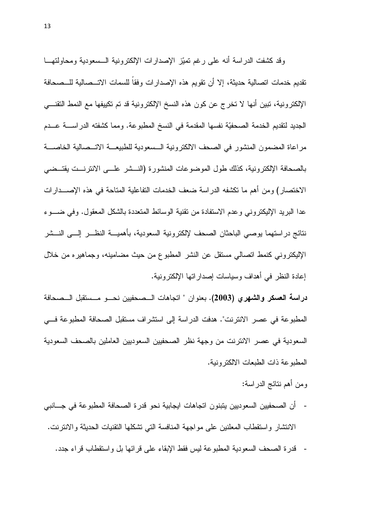وقد كشفت الدراسة أنه على رغم تميّز الإصدارات الإلكترونية السسعودية ومحاولتهــا نقديم خدمات انصالية حديثة، إلا أن نقويم هذه الإصدارات وفقا للسمات الاتـــصالية للـــصحافة الإلكترونية، تبين أنها لا تخرج عن كون هذه النسخ الإلكترونية قد تم تكييفها مع النمط التقنـــي الجديد لتقديم الخدمة الصحفيّة نفسها المقدمة في النسخ المطبوعة. ومما كشفته الدر اســــة عـــدم مراعاة المضمون المنشور في الصحف الالكترونية السسعودية للطبيعة الاتسصالية الخاصسة بالصحافة الإلكترونية، كذلك طول الموضوعات المنشورة (النـــشر علــــى الانترنـــت يقتـــضــى الاختصار) ومن أهم ما تكشفه الدراسة ضعف الخدمات التفاعلية المتاحة في هذه الإصـــدارات عدا البريد الإليكتروني وعدم الاستفادة من نقنية الوسائط المتعددة بالشكل المعقول. وفي ضــــوء نتائج دراستهما بوصبي الباحثان الصحف لإلكترونية السعودية، بأهميـــة النظـــر إلـــي النـــشر الإليكتروني كنمط اتصالي مستقل عن النشر المطبوع من حيث مضامينه، وجماهيره من خلال إعادة النظر في أهداف وسياسات إصدار اتها الإلكترونية.

دراسة العسكر والشهري (2003). بعنوان " انجاهات الــصحفيين نحــو مــستقبل الــصحافة المطبوعة في عصر الانترنت". هدفت الدراسة إلى استشراف مستقبل الصحافة المطبوعة فسي السعودية في عصر الانترنت من وجهة نظر الصحفيين السعوديين العاملين بالصحف السعودية المطبو عة ذات الطبعات الالكتر ونبة.

- ومن أهم نتائج الدراسة:
- أن الصحفيين السعوديين يتبنون اتجاهات ايجابية نحو قدرة الصحافة المطبوعة في جـــانبي الانتشار واستقطاب المعلنين على مواجهة المنافسة التبي تشكلها التقنيات الحديثة والانترنت.
	- قدرة الصحف السعودية المطبوعة ليس فقط الإبقاء على قرائها بل واستقطاب قراء جدد.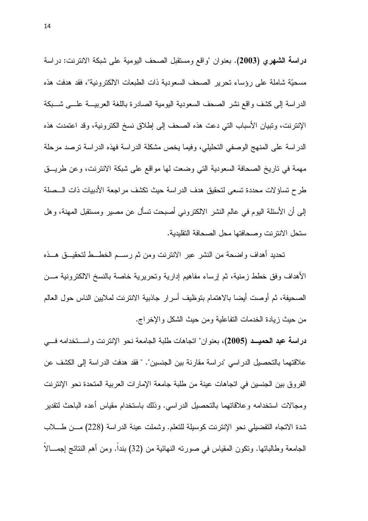دراسة الشهري (2003). بعنوان "واقع ومستقبل الصحف اليومية على شبكة الانترنت: دراسة مسحيَّة شاملة على رؤساء نحرير الصحف السعودية ذات الطبعات الالكترونية"، فقد هدفت هذه الدراسة إلى كشف واقع نشر الصحف السعودية اليومية الصادرة باللغة العربيـــة علــــي شـــبكة الإنترنت، وتبيان الأسباب التي دعت هذه الصحف إلى إطلاق نسخ الكترونية، وقد اعتمدت هذه الدراسة على المنهج الوصفي التحليلي، وفيما يخص مشكلة الدراسة فهذه الدراسة ترصد مرحلة مهمة في ناريخ الصحافة السعودية التي وضعت لها مواقع على شبكة الانترنت، وعن طريــق طرح تساؤلات محددة تسعى لتحقيق هدف الدراسة حيث تكشف مراجعة الأدبيات ذات السصلة إلى أن الأسئلة اليوم في عالم النشر الالكتروني أصبحت نسأل عن مصبر ومستقبل المهنة، وهل ستحل الانترنت وصحافتها محل الصحافة التقليدية.

تحديد أهداف واضحة من النشر عبر الانترنت ومن ثم رســم الخطــط لتحقيـــق هـــذه الأهداف وفق خطط زمنية، ثم إرساء مفاهيم إدارية وتحريرية خاصة بالنسخ الالكترونية مـــن الصحيفة، ثم أوصت أيضا بالاهتمام بتوظيف أسرار جاذبية الانترنت لملايين الناس حول العالم من حيث زيادة الخدمات التفاعلية ومن حيث الشكل والإخراج.

دراسة عبد الحميــد (2005)، بعنوان" اتجاهات طلبة الجامعة نحو الإنترنت واســـتخدامه فــــى علاقتهما بالتحصيل الدر اسي "در اسة مقار نة بين الجنسين". " فقد هدفت الدر اسة إلى الكشف عن الفروق بين الجنسين في اتجاهات عينة من طلبة جامعة الإمارات العربية المتحدة نحو الإنترنت ومجالات استخدامه وعلاقاتهما بالنحصيل الدراسي. وذلك باستخدام مقياس أعده الباحث لتقدير شدة الاتجاه التفضيلي نحو الإنترنت كوسيلة للتعلم. وشملت عينة الدراسة (228) مــن طــــلاب الجامعة وطالباتها. ونكون المقياس في صورته النهائية من (32) بندا. ومن أهم النتائج إجمـــالا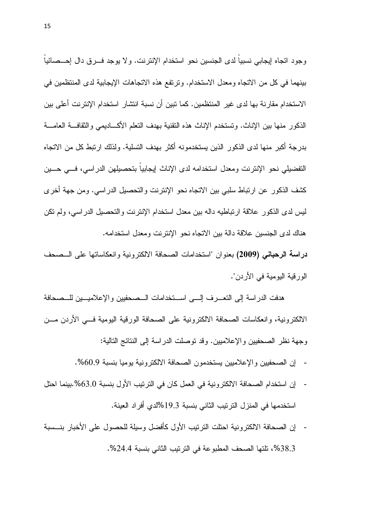وجود اتجاه إيجابي نسبيا لدى الجنسين نحو استخدام الإنترنت. ولا يوجد فـــرق دال إحـــصـائيا بينهما في كل من الاتجاه ومعدل الاستخدام. وترتفع هذه الاتجاهات الإيجابية لدى المنتظمين في الاستخدام مقارنة بها لدى غير المنتظمين. كما تبين أن نسبة انتشار استخدام الإنترنت أعلى بين الذكور منها بين الإناث. وتستخدم الإناث هذه النقنية بهدف النعلم الأكـــاديمي والثقافـــة العامـــة بدرجة أكبر منها لدى الذكور الذين يستخدمونه أكثر بهدف التسلية. ولذلك ارتبط كل من الاتجاه التفضيلي نحو الإنترنت ومعدل استخدامه لدى الإناث إيجابيا بتحصيلهن الدراسي، فـــي حـــين كشف الذكور عن ارتباط سلبي بين الاتجاه نحو الإنترنت والتحصيل الدراسي. ومن جهة أخرى ليس لدى الذكور علاقة ارتباطيه داله بين معدل استخدام الإنترنت والتحصيل الدراسي، ولم نكن هناك لدى الجنسين علاقة دالة بين الاتجاه نحو الإنترنت ومعدل استخدامه.

دراسة الرحباني (2009) بعنوان "استخدامات الصحافة الالكترونية وانعكاساتها على الــصحف الورقية اليومية في الأردن".

هدفت الدراسة إلى التعـــرف إلــــى اســـتخدامات الـــصـحفيين والإعلاميـــين للـــصـحافة الالكترونية، وانعكاسات الصحافة الالكترونية على الصحافة الورقية اليومية فـــي الأردن مـــن وجهة نظر الصحفيين والإعلاميين. وقد نوصلت الدراسة إلى النتائج التالية:

- إن الصحفيين والإعلاميين يستخدمون الصحافة الالكترونية يوميا بنسبة 60.9%.
- إن استخدام الصحافة الالكترونية في العمل كان في الترتيب الأول بنسبة 63.0%.بينما احتل استخدمها في المنزل الترتيب الثاني بنسبة 19.3%لدي أفراد العينة.
- إن الصحافة الالكترونية احتلت الترتيب الأول كأفضل وسيلة للحصول على الأخبار بنـــسبة 38.3%، تلتها الصحف المطبوعة في الترتيب الثاني بنسبة 24.4%.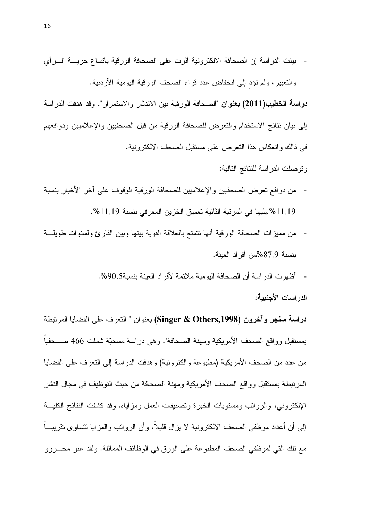- بينت الدراسة إن الصحافة الالكترونية أثرت على الصحافة الورقية باتساع حريــــة الــــرأي والتعبير، ولم نؤد إلى انخفاض عدد قراء الصحف الورقية اليومية الأردنية.

دراسة الخطيب(2011) بعنوان "الصحافة الورقية بين الاندثار والاستمرار". وقد هدفت الدراسة إلى بيان نتائج الاستخدام والتعرض للصحافة الورقية من قبل الصحفيين والإعلاميين ودوافعهم في ذالك وانعكاس هذا التعرض على مستقبل الصحف الالكترونية.

- وتوصلت الدراسة للنتائج التالية:
- من دوافع تعرض الصحفيين والإعلاميين للصحافة الورقية الوقوف على أخر الأخبار بنسبة 11.19%.يليها في المرتبة الثانية تعميق الخزين المعرفي بنسبة 11.19%.
- من مميزات الصحافة الورقية أنها نتمتع بالعلاقة القوية بينها وببن القارئ ولسنوات طويلـــة بنسبة 87.9%من أفراد العينة.
	- أظهرت الدراسة أن الصحافة اليومية ملائمة لأفراد العينة بنسبة90.5%.

الدر اسات الأجنبية:

**دراسة سنجر وأخرون (Singer & Others,1998) بع**نوان " النعرف على القضايا المرتبطة بمستقبل وواقع الصحف الأمريكية ومهنة الصحافة". وهي دراسة مسحيّة شملت 466 صـــحفياً من عدد من الصحف الأمريكية (مطبوعة والكترونية) وهدفت الدراسة إلى التعرف على القضايا المرتبطة بمستقبل وواقع الصحف الأمريكية ومهنة الصحافة من حيث التوظيف في مجال النشر الإلكتروني، والرواتب ومستويات الخبرة وتصنيفات العمل ومزاياه. وقد كشفت النتائج الكليـــة إلى أن أعداد موظفي الصحف الالكترونية لا يزال قليلا، وأن الرواتب والمزايا نتساوى نقريبـــا مع نلك التي لموظفي الصحف المطبوعة على الورق في الوظائف المماثلة. ولقد عبر محـــررو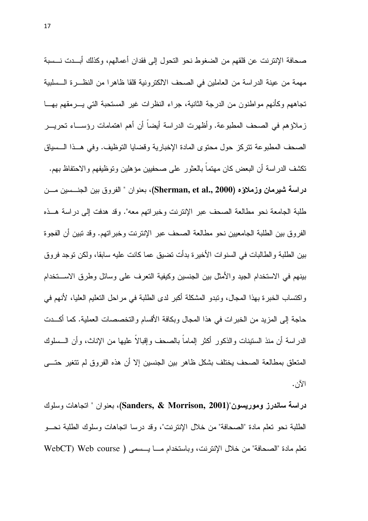صحافة الإنترنت عن قلقهم من الضغوط نحو التحول إلى فقدان أعمالهم، وكذلك أبـــدت نـــسبة مهمة من عينة الدراسة من العاملين في الصحف الالكترونية قلقا ظاهرا من النظـــرة الـــسلبية تجاههم وكانهم مواطنون من الدرجة الثانية، جراء النظرات غير المستحبة التي يــــرمقهم بهــــا زملاؤهم في الصحف المطبوعة. وأظهرت الدراسة أيضا أن أهم اهتمامات رؤســـاء تحريـــر الصحف المطبوعة تتركز حول محتوى المادة الإخبارية وقضايا التوظيف. وفي هــذا الـــسياق نكشف الدراسة أن البعض كان مهتما بالعثور على صحفيين مؤهلين وتوظيفهم والاحتفاظ بهم. **دراسة شيرمان وزملاؤه (Sherman, et al., 2000)**، بعنوان " الفروق بين الجنـــسين مـــن طلبة الجامعة نحو مطالعة الصحف عبر الإنترنت وخبراتهم معه". وقد هدفت إلى دراسة هــذه الفروق بين الطلبة الجامعيين نحو مطالعة الصحف عبر الإنترنت وخبراتهم. وقد تبين أن الفجوة بين الطلبة والطالبات في السنوات الأخيرة بدأت تضبق عما كانت عليه سابقا، ولكن توجد فروق بينهم في الاستخدام الجيد والأمثل بين الجنسين وكيفية التعرف على وسائل وطرق الاســـتخدام و اكتساب الخبر ة بهذا المجال، وتبدو المشكلة أكبر لدى الطلبة في مر احل التعليم العليا، لأنهم في حاجة إلى المزيد من الخبرات في هذا المجال وبكافة الأقسام والتخصصات العملية. كما اكـــدت الدراسة أن منذ السنينات والذكور أكثر المماما بالصحف وإقبالا عليها من الإناث، وأن الـــسلوك المتعلق بمطالعة الصحف يختلف بشكل ظاهر بين الجنسين إلا أن هذه الفروق لم تتغير حتـــي  $\cdot$   $\tilde{\mathrm{V}}$ 

**دراسة ساندرز وموريسون"(Sanders, & Morrison, 2001)**، بعنوان " اتجاهات وسلوك الطلبة نحو تعلم مادة "الصحافة" من خلال الإنترنت"، وقد درسا اتجاهات وسلوك الطلبة نحـــو تعلم مادة "الصحافة" من خلال الإنترنت، وباستخدام مـــا يـــسمى ( WebCT) Web course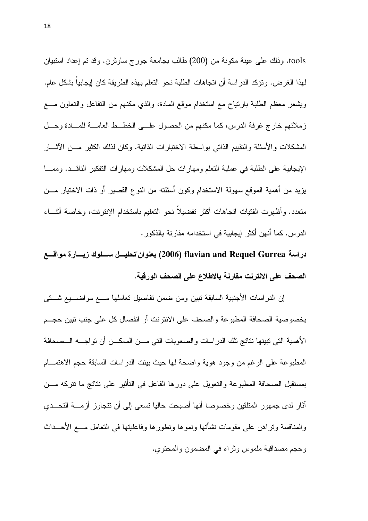tools. وذلك على عينة مكونة من (200) طالب بجامعة جورج ساوثرن. وقد تم إعداد استبيان لمهذا الغرض. ونؤكد الدراسة أن اتجاهات الطلبة نحو النعلم بهذه الطريقة كان إيجابيا بشكل عام. ويشعر معظم الطلبة بارنتياح مع استخدام موقع المادة، والذي مكنهم من النفاعل والنعاون مسع زِ ملائهم خارج غرفة الدرس، كما مكنهم من الحصول علـــى الخطـــط العامـــة للمـــادة وحـــل المشكلات والأسئلة والنقييم الذاتي بواسطة الاختبارات الذانية. وكان لذلك الكثير مـــن الآثـــار الإيجابية على الطلبة في عملية النعلم ومهارات حل المشكلات ومهارات النفكير الناقــد. وممـــا يزيد من أهمية الموقع سهولة الاستخدام وكون أسئلته من النوع القصير أو ذات الاختيار مـــن متعدد. وأظهرت الفتيات اتجاهات أكثر تفضيلاً نحو التعليم باستخدام الإنترنت، وخاصة أثنـــاء الدر س. كما أنهن أكثر ايجابية في استخدامه مقار نة بالذكور .

دراسة flavian and Requel Gurrea (2006) بعنوان"تحليـــل ســــلوك زيــــارة مواقــــع الصحف على الانترنت مقارنة بالاطلاع على الصحف الورقية.

إن الدراسات الأجنبية السابقة تبين ومن ضمن تفاصيل تعاملها مـــع مواضـــيع شـــتـي بخصوصية الصحافة المطبوعة والصحف على الانترنت أو انفصال كل على جنب نبين حجـم الأهمية التي تبينها نتائج تلك الدر اسات و الصعوبات التي مـــن الممكـــن أن تو اجــــه الـــصحافة المطبوعة على الرغم من وجود هوية واضحة لها حيث بينت الدر اسات السابقة حجم الاهتمـــام بمستقبل الصحافة المطبوعة والتعويل على دورها الفاعل في التأثير على نتائج ما نتركه مـــن أثار لدى جمهور المتلقين وخصوصا أنها أصبحت حاليا نسعى إلى أن نتجاوز أزمسة التحــدي والمنافسة ونراهن علىى مقومات نشأتها ونموها ونطورها وفاعليتها فيى النعامل مـــع الأحـــداث وحجم مصداقية ملموس وثراء في المضمون والمحتوي.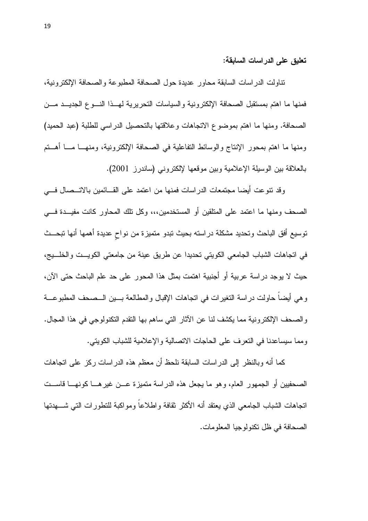تعليق على الدراسات السابقة:

نتاولت الدراسات السابقة محاور عديدة حول الصحافة المطبوعة والصحافة الإلكترونية، فمنها ما اهتم بمستقبل الصحافة الإلكترونية والسياسات التحريرية لهسذا النسوع الجديسد مسن الصحافة. ومنها ما اهتم بموضوع الاتجاهات وعلاقتها بالتحصيل الدراسي للطلبة (عبد الحميد) ومنها ما اهتم بمحور الإنتاج والوسائط التفاعلية في الصحافة الإلكترونية، ومنهـــا مــــا أهـــتم بالعلاقة بين الوسيلة الإعلامية وبين موقعها لإلكتروني (ساندرز 2001).

وقد نتوعت أيضا مجتمعات الدراسات فمنها من اعتمد على القــائمين بالاتــصال فـــى الصـحف ومنـها ما اعتمد علـى المتلقين أو المستخدمين،،، وكل نلك المحاور كانت مفيـــدة فــــى نوسيع أفق الباحث ونحديد مشكلة دراسته بحيث نبدو منميزة من نواح عديدة أهمها أنها نبحــث في اتجاهات الشباب الجامعي الكويتي تحديدا عن طريق عينة من جامعتي الكويــت والخلـــيج، حيث لا يوجد در اسة عربية أو أجنبية اهتمت بمثل هذا المحور على حد علم الباحث حتى الآن، و هي أيضاً حاولت در اسة التغير ات في انجاهات الإقبال والمطالعة بـــين الـــصـحف المطبوعـــة والصحف الإلكترونية مما يكشف لنا عن الآثار التي ساهم بها النقدم النكنولوجي في هذا المجال. ومما سيساعدنا في النعر ف على الحاجات الاتصالية و الإعلامية للشباب الكويتي.

كما أنه وبالنظر إلى الدر اسات السابقة نلحظ أن معظم هذه الدر اسات ركز على اتجاهات الصحفيين أو الجمهور العام، وهو ما يجعل هذه الدراسة متميزة عــن غيرهـــا كونهـــا قاســـت اتجاهات الشباب الجامعي الذي يعتقد أنه الأكثر ثقافة واطلاعاً ومواكبة للتطورات التبي شــــهدنها الصحافة في ظل نكنولوجيا المعلومات.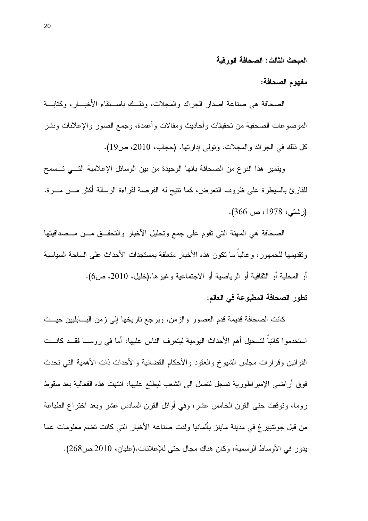المبحث الثالث: الصحافة الورقبة

مفهوم الصحافة:

الصحافة هي صناعة إصدار الجرائد والمجلات، وذلــك باســنقاء الأخبـــار ، وكتابـــة الموضوعات الصحفية من تحقيقات وأحاديث ومقالات وأعمدة، وجمع الصور والإعلانات ونشر كل ذلك في الجرائد والمجلات، ونولي إدارتها. (حجاب، 2010، ص19).

ويتميز هذا النوع من الصحافة بأنها الوحيدة من بين الوسائل الإعلامية التـــي تـــسمح للقارئ بالسيطرة على ظروف النعرض، كما نتيح له الفرصة لقراءة الرسالة أكثر مـــن مـــرة. (رشتي، 1978، ص 366).

الصحافة هي المهنة التي نقوم على جمع ونحليل الأخبار والنحقــق مـــن مـــصداقينها وتقديمها للجمهور ، وغالبا ما نكون هذه الأخبار منعلقة بمستجدات الأحداث على الساحة السياسية أو المحلية أو الثقافية أو الرياضية أو الاجتماعية وغيرها.(خليل، 2010، ص6).

## تطور الصحافة المطبوعة في العالم:

كانت الصحافة قديمة قدم العصور والزمن، ويرجع ناريخها إلىي زمن البسابليين حيــث استخدمو ا كاتباً لتسجيل أهم الأحداث اليومية ليتعرف الناس عليها، أما في رومـــا فقـــد كانـــت القوانين وقرارات مجلس الشيوخ والعقود والأحكام القضائية والأحداث ذات الأهمية التبي تحدث فوق أراضي الإمبر اطورية تسجل لتصل إلى الشعب ليطلع عليها، انتهت هذه الفعالية بعد سقوط روما، ونوففت حتى القرن الخامس عشر، وفي أوائل القرن السادس عشر وبعد اختراع الطباعة من قبل جونتبير غ في مدينة ماينز بألمانيا ولدت صناعه الأخبار التي كانت تضم معلومات عما يدور في الأوساط الرسمية، وكان هناك مجال حتى للإعلانات.(عليان، 2010.ص268).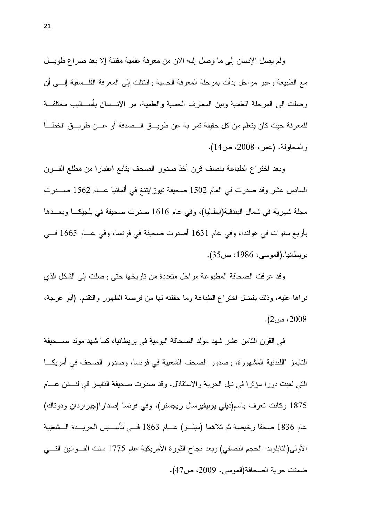ولم يصل الإنسان إلى ما وصل إليه الأن من معرفة علمية مقننة إلا بعد صراع طويـــل مع الطبيعة وعبر مراحل بدأت بمرحلة المعرفة الحسية وانتقلت إلى المعرفة الفلــسفية إلــــي أن وصلت إلى المرحلة العلمية وبين المعارف الحسية والعلمية، مر الإنـــسان بأســـاليب مختلفـــة للمعرفة حيث كان يتعلم من كل حقيقة تمر به عن طريــــق الـــصدفة أو عـــن طريــــق الخطـــأ والمحاولة. (عمر ، 2008، ص14).

وبعد اختراع الطباعة بنصف قرن أخذ صدور الصحف يتابع اعتبارا من مطلع القـــرن السادس عشر وقد صدرت في العام 1502 صحيفة نيوزايتنغ في ألمانيا عـــام 1562 صــــدرت مجلة شهرية في شمال البندقية(ايطاليا)، وفي عام 1616 صدرت صحيفة في بلجيكــا وبعــدها بأربع سنوات في هولندا، وفي عام 1631 أصدرت صحيفة في فرنسا، وفي عـــام 1665 فـــي بريطانيا.(الموسى، 1986، ص35).

وقد عرفت الصحافة المطبوعة مراحل متعددة من ناريخها حتى وصلت إلى الشكل الذي نراها عليه، وذلك بفضل اختراع الطباعة وما حققته لها من فرصة الظهور والنقدم. (أبو عرجة،  $(2)$ ، ص $(2)$ 

في القرن الثامن عشر شهد مولد الصحافة اليومية في بريطانيا، كما شهد مولد صــحيفة التايمز "اللندنية المشهورة، وصدور الصحف الشعبية في فرنسا، وصدور الصحف في أمريكـــا التي لعبت دورا مؤثرا في نيل الحرية والاستقلال. وقد صدرت صحيفة التايمز في لنـــدن عـــام 1875 وكانت نعرف باسم(ديلي يونيفيرسال ريجستر)، وفي فرنسا إصدار ا(جيراردان ودوناك) عام 1836 صحفا رخيصة ثم تلاهما (ميلـــو) عـــام 1863 فـــي تأســـيس الجريـــدة الـــشعبية الأولى(التابلويد–الحجم النصفي) وبعد نجاح الثورة الأمريكية عام 1775 سنت القـــوانين النــــي ضمنت حرية الصحافة(الموسى، 2009، ص47).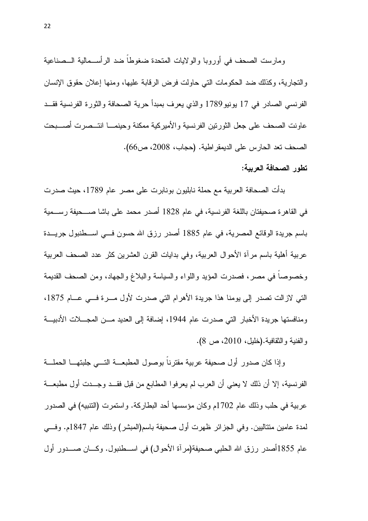ومارست الصحف في أوروبا والولايات المتحدة ضغوطاً ضد الرأســمالية الــصناعية والتجارية، وكذلك ضد الحكومات التي حاولت فرض الرقابة عليها، ومنها إعلان حقوق الإنسان الفرنسي الصادر في 17 يونيو1789 والذي يعرف بمبدأ حرية الصحافة والثورة الفرنسية فقــد عاونت الصحف على جعل الثور نبن الفر نسبة والأمبر كبة ممكنة وحبنمـــا انتـــصر ت أصــــبحت الصحف تعد الحار س على الديمقر اطية. (حجاب، 2008، ص66).

## تطور الصحافة العربية:

بدأت الصحافة العربية مع حملة نابليون بونابرت على مصر عام 1789، حيث صدرت في القاهرة صحيفتان باللغة الفرنسية، في عام 1828 أصدر محمد على باشا صـــحيفة رســـمية باسم جريدة الوقائع المصرية، في عام 1885 أصدر رزق الله حسون فـــي اســـطنبول جريـــدة عربية أهلية باسم مرآة الأحوال العربية، وفي بدايات القرن العشرين كثر عدد الصحف العربية وخصوصا في مصر ، فصدرت المؤيد واللواء والسياسة والبلاغ والجهاد، ومن الصحف القديمة التي لازالت تصدر إلى يومنا هذا جريدة الأهرام التي صدرت لأول مـــرة فـــي عـــام 1875، ومنافستها جريدة الأخبار التي صدرت عام 1944، إضافة إلى العديد مـــن المجــــلات الأدبيـــة والفنية والثقافية.(خليل، 2010، ص 8).

وإذا كان صدور أول صحيفة عربية مقترناً بوصول المطبعــة التـــى جلبتهـــا الحملـــة الفرنسية، إلا أن ذلك لا يعني أن العرب لم يعرفوا المطابع من قبل فقــد وجــدت أول مطبعـــة عربية في حلب وذلك عام 1702م وكان مؤسسها أحد البطاركة. واستمرت (التتبيه) في الصدور لمدة عامين منتاليين. وفي الجزائر ظهرت أول صحيفة باسم(المبشر) وذلك عام 1847م. وفـــي عام 1855أصدر رزق الله الحلبي صحيفة(مرأة الأحوال) في اســـطنبول. وكــــان صــــدور أول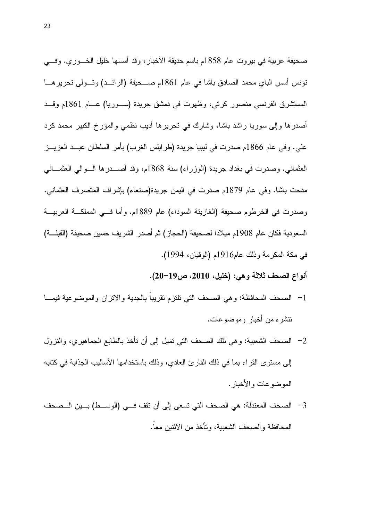صحيفة عربية في بيروت عام 1858م باسم حديقة الأخبار، وقد أسسها خليل الخـــوري. وفــــي نونس أسس الباي محمد الصادق باشا في عام 1861م صـــحيفة (الرائـــد) وتـــولـي تحرير هــــا المستشرق الفرنسي منصور كرتي، وظهرت في دمشق جريدة (سـوريا) عــام 1861م وقــد أصدرها وإلى سوريا راشد باشا، وشارك في تحريرها أديب نظمي والمؤرخ الكبير محمد كرد علي. وفي عام 1866م صدرت في ليبيا جريدة (طرابلس الغرب) بأمر السلطان عبــد العزيـــز العثماني. وصدرت في بغداد جريدة (الوزراء) سنة 1868م، وقد أصــــدرها الــــوالـي العثمــــانـي مدحت باشا. وفي عام 1879م صدرت في اليمن جريدة(صنعاء) بإشراف المتصرف العثماني. وصدرت في الخرطوم صحيفة (الغازيتة السوداء) عام 1889م. وأما فسي المملكـــة العربيـــة السعودية فكان عام 1908م ميلادا لصحيفة (الحجاز) ثم أصدر الشريف حسين صحيفة (القبلـــة) في مكة المكرمة وذلك عام1916م (الوقيان، 1994).

أنواع الصحف ثلاثة وهي: (خليل، 2010، ص19–20).

- 1- الصحف المحافظة: وهي الصحف التي تلتزم نقريباً بالجدية والاتزان والموضوعية فيمــا نتشر ہ من أخبار ۖ و مو ضو عات .
- 2– الصحف الشعبية: وهي نلك الصحف التي نميل إلى أن نأخذ بالطابع الجماهيري، والنزول إلى مستوى القر اء بما في ذلك القار ئ العادي، وذلك باستخدامها الأساليب الجذابة في كتابه الموضوعات والأخبار .
- 3- الصحف المعتدلة: هي الصحف التي تسعى إلى أن تقف فــي (الوســط) بــين الــصحف المحافظة والصحف الشعبية، وتأخذ من الاثنين معاً.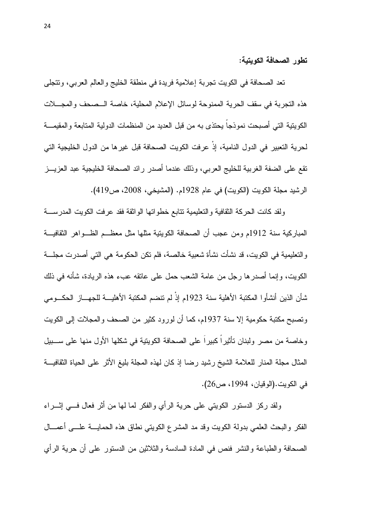تطور الصحافة الكويتية:

تعد الصحافة في الكويت تجربة إعلامية فريدة في منطقة الخليج والعالم العربي، وتتجلَّى هذه النجربة في سقف الحرية الممنوحة لوسائل الإعلام المحلية، خاصة الـــصحف والمجــــلات الكويتية التي أصبحت نموذجا يحتذى به من قبل العديد من المنظمات الدولية المتابعة والمقيمــــة لحرية التعبير في الدول النامية، إذ عرفت الكويت الصحافة قبل غير ها من الدول الخليجية التي نقع على الضفة الغربية للخليج العربي، وذلك عندما أصدر رائد الصحافة الخليجية عبد العزيـــز الرشيد مجلة الكويت (الكويت) في عام 1928م. (المشيخي، 2008، ص419).

ولقد كانت الحركة الثقافية والتعليمية تتابع خطواتها الواثقة فقد عرفت الكويت المدرســة المباركية سنة 1912م ومن عجب أن الصحافة الكوينية مثلها مثل معظـــم الظـــواهر الثقافيـــة و التعليمية في الكويت، قد نشأت نشأة شعبية خالصة، فلم نكن الحكومة هي التي أصدرت مجلَّـــة الكويت، وإنما أصدر ها رجل من عامة الشعب حمل على عانقه عبء هذه الريادة، شأنه في ذلك شأن الذين أنشأوا المكتبة الأهلية سنة 1923م إذْ لم نتضم المكتبة الأهليـــة للجهـــاز الحكـــومي وتصبح مكتبة حكومية إلا سنة 1937م، كما أن لورود كثير من الصحف والمجلات إلى الكويت و خاصة من مصر ولبنان تأثير اً كبير اً على الصحافة الكوبنية في شكلها الأول منها على ســـبيل المثال مجلة المنار للعلامة الشيخ رشيد رضا إذ كان لهذه المجلة بليغ الأثر على الحياة الثقافيـــة في الكويت.(الوقيان، 1994، ص26).

ولقد ركز الدستور الكويتي على حرية الرأي والفكر لما لها من أثر فعال فسي إثـــراء الفكر والبحث العلمي بدولة الكويت وقد مد المشرع الكويتي نطاق هذه الحمايــــة علــــي أعمــــال الصحافة والطباعة والنشر فنص في المادة السادسة والثلاثين من الدستور على أن حرية الرأي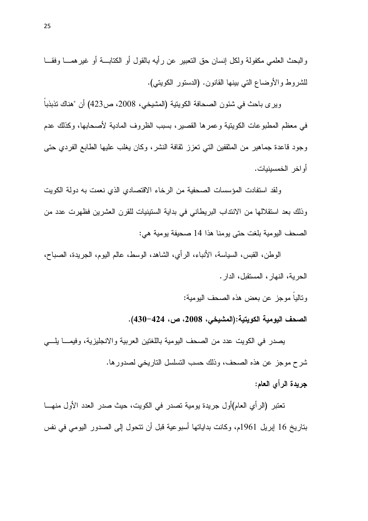والبحث العلمي مكفولة ولكل إنسان حق النعبير عن رأيه بالقول أو الكتابـــة أو غيرهمـــا وفقـــا للشروط والأوضاع التي بينها القانون. (الدستور الكويتي).

وير ى باحث في شئون الصحافة الكويتية (المشيخي، 2008، ص423) أن "هناك نذبذباً في معظم المطبوعات الكويتية وعمر ها القصير ، بسبب الظروف المادية لأصحابها، وكذلك عدم وجود قاعدة جماهير من المثقفين التي نعزز ثقافة النشر، وكان يغلب عليها الطابع الفردي حتى أو اخر الخمسينيات.

ولقد استفادت المؤسسات الصحفية من الرخاء الاقتصادي الذي نعمت به دولة الكويت وذلك بعد استقلالها من الانتداب البريطاني في بداية الستينيات للقرن العشرين فظهرت عدد من الصحف البومبة بلغت حتى بومنا هذا 14 صحبفة بومبة هي:

الوطن، القبس، السياسة، الأنباء، الرأي، الشاهد، الوسط، عالم اليوم، الجريدة، الصباح، الحرية، النهار ، المستقبل، الدار .

ونالياً موجزٍ عن بعض هذه الصحف اليومية:

الصحف اليومية الكويتية:(المشيخى، 2008، ص، 424–430).

يصدر في الكويت عدد من الصحف اليومية باللغتين العربية والانجليزية، وفيمـــا يلــــي شرح موجز عن هذه الصحف، وذلك حسب التسلسل الناريخي لصدور ها.

جريدة الرأى العام:

تعتبر (الرأي العام)أول جريدة يومية تصدر في الكويت، حيث صدر العدد الأول منهـــا بناريخ 16 إبريل 1961م، وكانت بداياتها أسبوعية قبل أن نتحول إلى الصدور اليومي في نفس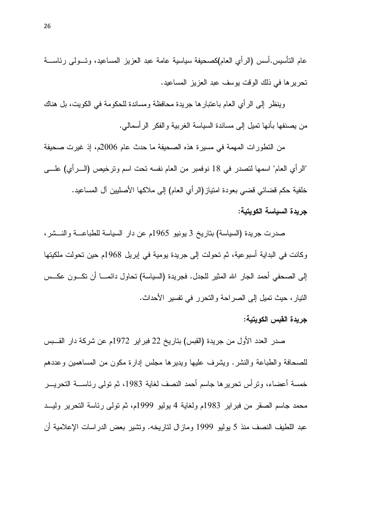عام التأسيس أسس (الرأى العام)كصحيفة سياسية عامة عبد العزيز المساعيد، وتـــولـي رئاســــة تحرير ها في ذلك الوقت يوسف عبد العزيز المساعيد.

وينظر إلى الرأى العام باعتبارها جريدة محافظة ومساندة للحكومة في الكويت، بل هناك من بصنفها بأنها تمبل إلى مساندة السباسة الغر ببة و الفكر الر أسمالي.

من التطور ات المهمة في مسير ة هذه الصحيفة ما حدث عام 2006م، إذ غيرت صحيفة "الرأي العام" اسمها لنصدر في 18 نوفمبر من العام نفسه نحت اسم ونرخيص (الــــرأي) علــــي خلفية حكم قضائي قضيي بعودة امنياز (الرأي العام) إلى ملاكها الأصليين آل المساعيد. جريدة السياسة الكويتية:

صدرت جريدة (السياسة) بتاريخ 3 يونيو 1965م عن دار السياسة للطباعــــة والنــــشر، وكانت في البداية أسبوعية، ثم تحولت إلى جريدة يومية في إبريل 1968م حين تحولت ملكيتها إلى الصحفي أحمد الجار الله المثير للجدل. فجريدة (السياسة) تحاول دائمـــا أن تكـــون عكـــس النيار ، حيث نميل إلى الصر احة و النحر ر في نفسير الأحداث.

### جريدة القبس الكويتية:

صدر العدد الأول من جريدة (القبس) بتاريخ 22 فبر اير 1972م عن شركة دار القـــبس للصحافة والطباعة والنشر . ويشرف عليها ويدير ها مجلس إدارة مكون من المساهمين وعددهم خمسة أعضاء، ونرأس تحريرها جاسم أحمد النصف لغاية 1983، ثم تولَّى رئاســــة النحريــــر محمد جاسم الصقر من فبراير 1983م ولغاية 4 يوليو 1999م، ثم تولي رئاسة التحرير وليـــد عبد اللطيف النصف منذ 5 يوليو 1999 ومازال لتاريخه. وتشير بعض الدراسات الإعلامية أن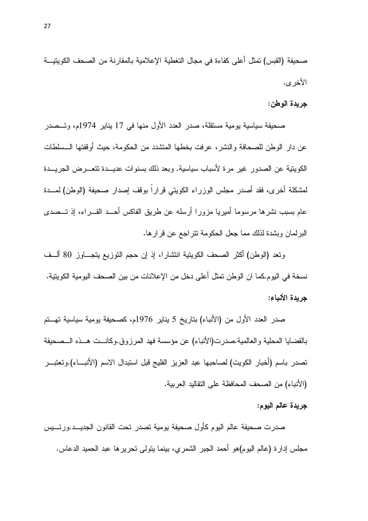صحيفة (القبس) تمثِّل أعلى كفاءة في مجال التغطية الإعلامية بالمقارنة من الصحف الكويتيـــة الأخر ي.

جريدة الوطن:

صحيفة سياسية يومية مستقلة، صدر العدد الأول منها في 17 يناير 1974م، وتـــصدر عن دار الوطن للصحافة و النشر ، عر فت بخطها المتشدد من الحكومة، حيث أو قفتها الــسلطات الكويتية عن الصدور غير مرة لأسباب سياسية. وبعد ذلك بسنوات عديـــدة تتعـــرض الجريـــدة لمشكلة أخرى، فقد أصدر مجلس الوزراء الكويتي قراراً بوقف إصدار صحيفة (الوطن) لمسدة عام بسبب نشرها مرسوما أميريا مزورا أرسله عن طريق الفاكس أحــد القـــراء، إذ تـــصدى البرلمان وبشدة لذلك مما جعل الحكومة نتراجع عن قرارها.

وتعد (الوطن) أكثر الصحف الكويتية انتشارًا، إذ إن حجم التوزيع يتجـــاوز 80 ألـــف نسخة في اليوم.كما ان الوطن تمثِّل أعلى دخل من الإعلانات من بين الصـحف اليومية الكويتية. جريدة الأنباء:

صدر العدد الأول من (الأنباء) بتاريخ 5 يناير 1976م، كصحيفة يومية سياسية تهــتم بالقضايا المحلية و العالمية.صدر ت(الأنباء) عن مؤسسة فهد المر ز و ق.و كانــت هــذه الــصحيفة تصدر باسم (أخبار الكويت) لصاحبها عبد العزيز الفليج قبل استبدال الاسم (الأنبـــاء).وتعتبـــر (الأنباء) من الصحف المحافظة على النقاليد العربية.

جريدة عالم اليوم:

صدرت صحيفة عالم اليوم كأول صحيفة يومية تصدر تحت القانون الجديــد.ورئـــيس مجلس إدارة (عالم اليوم)هو أحمد الجبر الشمري، بينما يتولى تحريرها عبد الحميد الدعاس.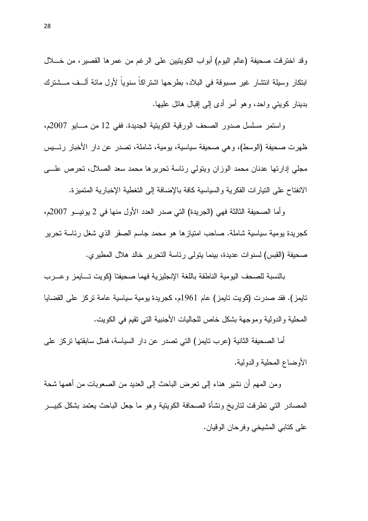وقد اخترفت صحيفة (عالم اليوم) أبواب الكوينيين على الرغم من عمرها القصير، من خــــلل ابنكار وسيلة انتشار غير مسبوقة في البلاد، بطرحها اشتراكا سنويا لأول مائة ألــف مـــشترك بدینار کویتی واحد، وہو اُمر اُدی اِلی اِقبال ہائل علیہا.

واستمر مسلسل صدور الصحف الورقية الكويتية الجديدة. ففي 12 من مسايو 2007م، ظهرت صحيفة (الوسط)، وهي صحيفة سياسية، يومية، شاملة، تصدر عن دار الأخبار رئسيس مجلَّى إدارتها عدنان محمد الوزان ويتولَّى رئاسة تحريرها محمد سعد الصلال، تحرص علـــي الانفتاح على النيارات الفكرية والسياسية كافة بالإضافة إلى التغطية الإخبارية المتميزة.

وأما الصحيفة الثالثة فهي (الجريدة) التي صدر العدد الأول منها في 2 يونيـــو 2007م، كجريدة بومية سياسية شاملة. صاحب امتيازها هو محمد جاسم الصقر الذي شغل رئاسة تحرير صحيفة (القبس) لسنوات عديدة، بينما يتولى رئاسة التحرير خالد هلال المطيرى.

بالنسبة للصحف اليومية الناطقة باللغة الإنجليزية فهما صحيفنا (كويت تسايمز وعسرب تايمز). فقد صدرت (كويت تايمز) عام 1961م، كجريدة يومية سياسية عامة تركز على القضايا المحلية والدولية وموجهة بشكل خاص للجاليات الأجنبية التي نقيم في الكويت.

أما الصحيفة الثانية (عرب تايمز) التي تصدر عن دار السياسة، فمثل سابقتها تركز على الأوضاع المحلية والدولية.

ومن المهم أن نشير هناء إلى نعرض الباحث إلى العديد من الصعوبات من أهمها شحة المصادر التي تطرقت لتاريخ ونشأة الصحافة الكويتية وهو ما جعل الباحث يعتمد بشكل كبيـــر علي كتابي المشيخي وفرحان الوقيان.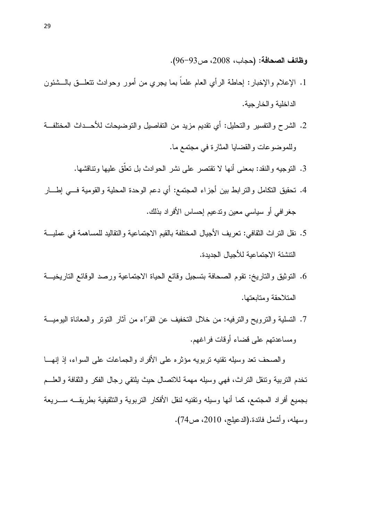$(96-93)$ وظائف الصحافة: (حجاب، 2008، ص

- 1. الإعلام والإخبار: إحاطة الرأي العام علما بما يجري من أمور وحوادث نتعلَّــق بالـــشئون الداخلية و الخار جية.
- 2. الشرح والنفسير والنحليل: أي نقديم مزيد من النفاصيل والنوضيحات للأحــداث المختلفــة وللموضوعات والقضابا المثار ة في مجتمع ما.
	- 3. التوجيه والنقد: بمعنى أنها لا تقتصر على نشر الحوادث بل نعلِّق عليها وتناقشها.
- 4. نحقيق النكامل والنزابط بين أجزاء المجتمع: أي دعم الوحدة المحلية والقومية فـــي إطـــار جغرافي أو سياسي معين وندعيم إحساس الأفراد بذلك.
- 5. نقل النراث الثقافي: تعريف الأجيال المختلفة بالقيم الاجتماعية والنقاليد للمساهمة في عمليـــة التتشئة الاجتماعية للأجبال الجديدة.
- 6. التوثيق والتاريخ: تقوم الصحافة بتسجيل وقائع الحياة الاجتماعية ورصد الوقائع التاريخيـــة المتلاحقة ومتابعتها.
- 7. التسلية والنرويح والنرفيه: من خلال التخفيف عن القرَّاء من أثار النونر والمعاناة اليوميـــة ومساعدتهم على قضاء أوقات فراغهم.

والصحف نعد وسيله نقنيه نربويه مؤثره على الأفراد والجماعات على السواء، إذ إنهــا تخدم التربية ونتقل التراث، فهي وسيله مهمة للاتصال حيث يلتقى رجال الفكر والثقافة والعلسم بجميع أفراد المجتمع، كما أنها وسيله وتقنيه لنقل الأفكار النربوية والتثقيفية بطريقـــه ســـريعة وسهله، وأشمل فائدة.(الدعيلج، 2010، ص74).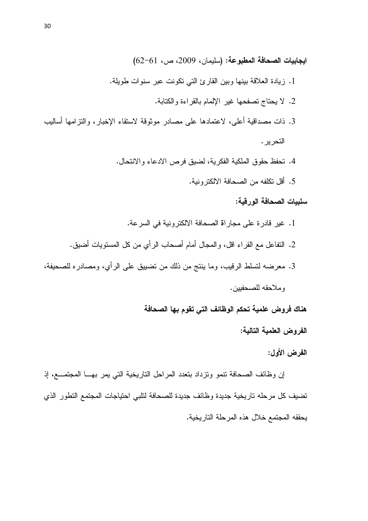1. زيادة العلاقة بينها وبين القارئ التي نكونت عبر سنوات طويلة. 2. لا يحتاج تصفحها غير الإلمام بالقراءة والكتابة. 3. ذات مصداقية أعلى، لاعتمادها على مصادر موثوقة لاستقاء الإخبار، والنز امها أساليب التحرير . 4. تحفظ حقوق الملكية الفكرية، لضيق فرص الادعاء والانتحال.

5. أقل تكلفه من الصحافة الالكتر ونية.

ايجابيات الصحافة المطبوعة: (سليمان، 2009، ص، 61–62)

### سلببات الصحافة الورقبة:

1. غير قادرة على مجاراة الصحافة الالكترونية في السرعة. 2. النفاعل مع القراء اقل، والمجال أمام أصحاب الرأي من كل المستويات أضيق. 3. معرضه لتسلط الرقيب، وما ينتج من ذلك من تضييق على الرأى، ومصادره للصحيفة، وملاحقه للصحفيين.

هناك فروض علمية تحكم الوظائف التي تقوم بها الصحافة

الفر وض العلمبة التالبة:

#### الفرض الأول:

إن وظائف الصحافة تنمو ونزداد بنعدد المراحل الناريخية التي يمر بهـــا المجتمــــع، إذ تضيف كل مرحله تاريخية جديدة وظائف جديدة للصحافة لنلبى احتياجات المجتمع التطور الذي يحققه المجتمع خلال هذه المرحلة التاريخية.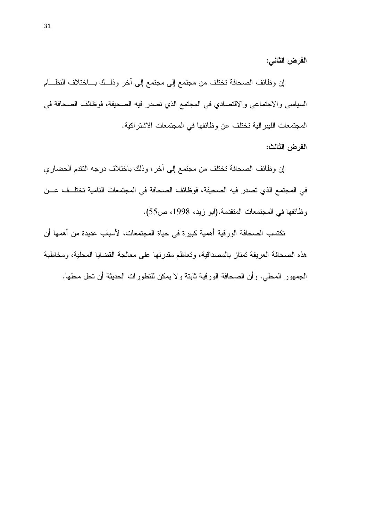الفرض الثاني:

إن وظائف الصحافة نختلف من مجتمع إلى مجتمع إلى أخر وذلــك بـــاختلاف النظـــام السياسي والاجتماعي والاقتصادي في المجتمع الذي تصدر فيه الصحيفة، فوظائف الصحافة في المجتمعات الليبر الية تختلف عن وظائفها في المجتمعات الاشتر اكية.

الفرض الثالث:

إن وظائف الصحافة تختلف من مجتمع إلى أخر ، وذلك باختلاف درجه التقدم الحضاري في المجتمع الذي تصدر فيه الصحيفة، فوظائف الصحافة في المجتمعات النامية تختلــف عـــن وظائفها في المجتمعات المتقدمة.(أبو زيد، 1998، ص55).

تكتسب الصحافة الورقية أهمية كبيرة في حياة المجتمعات، لأسباب عديدة من أهمها أن هذه الصحافة العريقة تمتاز بالمصداقية، وتعاظم مقدرتها على معالجة القضايا المحلية، ومخاطبة الجمهور المحلي. وأن الصحافة الورقية ثابتة ولا يمكن للتطورات الحديثة أن تحل محلها.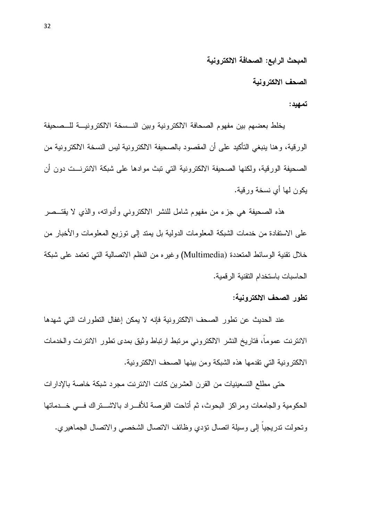المبحث الرابع: الصحافة الالكترونية

الصحف الالكتر ونبة

تمهيد:

يخلط بعضهم بين مفهوم الصحافة الالكترونية وبين النسسخة الالكترونيـــة للــصحيفة الورقية، وهنا ينبغي التأكيد على أن المقصود بالصحيفة الالكترونية ليس النسخة الالكترونية من الصحيفة الورقية، ولكنها الصحيفة الالكترونية التي نبث موادها على شبكة الانترنـــت دون أن يكون لمها أي نسخة ورقية.

هذه الصحيفة هي جزء من مفهوم شامل للنشر الالكترونـى وأدواتـه، والذي لا يقتـــصر على الاستفادة من خدمات الشبكة المعلومات الدولية بل يمتد إلى نوزيع المعلومات والأخبار من خلال نقنية الوسائط المتعددة (Multimedia) وغير ه من النظم الاتصالية التي تعتمد على شبكة الحاسبات باستخدام النقنية الر قمية.

تطور الصحف الالكترونية:

عند الحديث عن نطور الصحف الالكترونية فإنه لا يمكن إغفال النطورات التي شهدها الانترنت عموماً، فتاريخ النشر الالكتروني مرتبط ارتباط وثيق بمدى نطور الانترنت والخدمات الالكترونية التي تقدمها هذه الشبكة ومن بينها الصحف الالكترونية.

حتى مطلع التسعينيات من القرن العشرين كانت الانترنت مجرد شبكة خاصة بالإدارات الحكومية و الجامعات ومر اكز البحوث، ثم أتاحت الفرصة للأفـــر اد بالاشـــتر اك فــــى خــــدماتها ونحولت ندريجياً إلى وسيلة انصال نؤدي وظائف الانصال الشخصبي والانصال الجماهيري.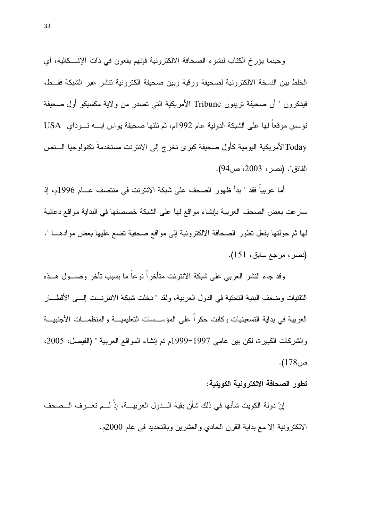وحينما يؤرخ الكتاب لنشوء الصحافة الالكترونية فإنهم يقعون في ذات الإشــكالية، أي الخلط بين النسخة الالكترونية لصحيفة ورقية وبين صحيفة الكترونية تتشر عبر الشبكة فقــط، فيذكرون " أن صحيفة تريبون Tribune الأمريكية التي تصدر من ولاية مكسيكو أول صحيفة نؤسس موقعا لها على الشبكة الدولية عام 1992م، ثم تلتها صحيفة بواس ابـــه تـــوداي USA Todayالأمريكية اليومية كأول صحيفة كبرى تخرج إلى الانترنت مستخدمةً تكنولوجيا السنص الفائق". (نصر ، 2003، ص94).

أما عربياً فقد " بدأ ظهور الصحف على شبكة الانترنت في منتصف عـــام 1996م، إذ سارعت بعض الصحف العربية بإنشاء مواقع لمها على الشبكة خصصتها في البداية مواقع دعائية لها ثم حولتها بفعل تطور الصحافة الالكترونية إلى مواقع صحفية تضع عليها بعض موادهـــا ". (نصر ، مرجع سابق، 151).

وقد جاء النشر العربي على شبكة الانترنت متأخراً نوعاً ما بسبب تأخر وصـــول هـــذه النقنيات وضعف البنية التحتية في الدول العربية، ولقد " دخلت شبكة الانترنـــت إلـــي الأقطـــار العربية في بداية التسعينيات وكانت حكراً على المؤســسات التعليميـــة والمنظمـــات الأجنبيـــة وِ الشرِكات الكبيرِ ة، لكن بين عامي 1997–1999م تم إنشاء المو اقع العربية " (الفيصل، 2005،  $. (178)$ ص

#### تطور الصحافة الالكتر ونبة الكويتبة:

إنّ دولة الكويت شأنها في ذلك شأن بقية الـــدول العربيـــة، إذّ لـــم تعـــرف الـــصـحف الالكترونية إلا مع بداية القرن الحادي والعشرين وبالتحديد في عام 2000م.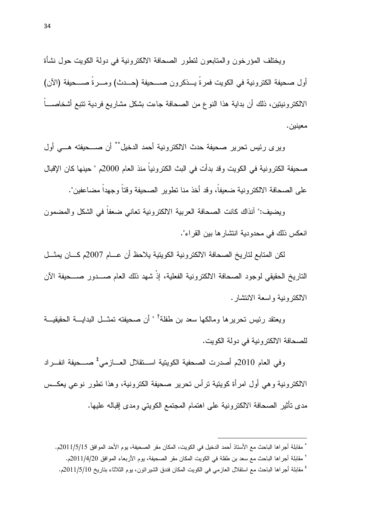ويختلف المؤرخون والمنابعون لنطور الصحافة الالكترونية في دولة الكويت حول نشأة أول صحيفة الكترونية في الكويت فمرة يـــذكرون صــــحيفة (حـــدث) ومـــرة صـــحيفة (الآن) الالكترونيتين، ذلك أن بداية هذا النوع من الصحافة جاءت بشكل مشاريع فردية تتبع أشخاصــــاً معبنبن.

ويرى رئيس تحرير صحيفة حدث الالكترونية أحمد الدخيل \*\* أن صــحيفته هــي أول صحيفة الكترونية في الكويت وقد بدأت في البث الكترونياً منذ العام 2000م " حينها كان الإقبال على الصحافة الالكترونية ضعيفاً، وقد أخذ منا تطوير الصحيفة وقتاً وجهداً مضاعفين".

ويضيف:" أنذاك كانت الصحافة العربية الالكترونية تعانى ضعفاً في الشكل والمضمون انعكس ذلك في محدو دبة انتشار ها ببن القر اء".

لكن المتابع لتاريخ الصحافة الالكترونية الكويتية يلاحظ أن عسام 2007م كسان يمثسل التاريخ الحقيقي لوجود الصحافة الالكترونية الفعلية، إذْ شهد ذلك العام صـــدور صـــحيفة الآن الالكتر ونبية واسعة الانتشار .

ويعتقد رئيس تحريرها ومالكها سعد بن طفلة<sup>†</sup> " أن صحيفته تمثـــل البدايــــة الحقيقيـــة للصحافة الالكتر ونية في دولة الكويت.

وفي العام 2010م أصدرت الصحفية الكويتية اســتقلال العـــازمي ً صـــحيفة انفــر اد الالكترونية وهي أول امرأة كويتية ترأس تحرير صحيفة الكترونية، وهذا نطور نوعي يعكــس مدى نأثير الصحافة الالكترونية على اهتمام المجتمع الكويتي ومدى إقباله عليها.

<sup>\*</sup> مقابلة أجراها الباحث مع الأستاذ أحمد الدخيل في الكويت، المكان مقر الصحيفة، يوم الأحد الموافق 2011/5/15م.

<sup>&</sup>lt;sup>+</sup> مقابلة أجراها الباحث مع سعد بن طفلة في الكويت المكان مقر الصحيفة، يوم الأربعاء الموافق 2011/4/20م.

 $^{\ddagger}$ مقابلة أجر اها الباحث مع استقلال العازمي في الكويت المكان فندق الشير اتون، يوم الثلاثاء بتاريخ 2011/5/10م.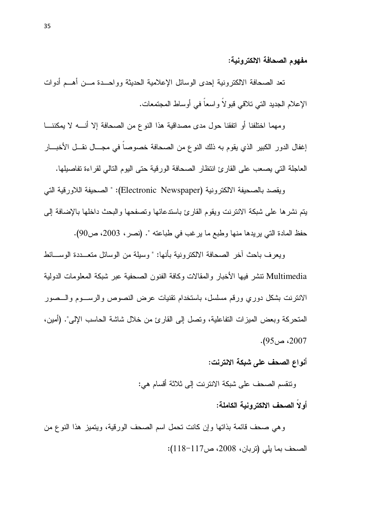مفهوم الصحافة الالكترونية:

تعد الصحافة الالكترونية إحدى الوسائل الإعلامية الحديثة وواحـــدة مـــن أهـــم أدوات الإعلام الجديد التي تلاقي قبو لاً واسعاً في أوساط المجتمعات.

ومهما اختلفنا أو انفقنا حول مدى مصداقية هذا النوع من الصحافة إلا أنــــه لا يمكننــــا إغفال الدور الكبير الذي يقوم به ذلك النوع من الصحافة خصوصاً في مجـــال نقـــل الأخبـــار العاجلة التي يصعب على القارئ انتظار الصحافة الورقية حتى اليوم التالي لقراءة تفاصيلها.

ويقصد بالصحيفة الالكترونية (Electronic Newspaper): " الصحيفة اللاورقية التي يتم نشرها على شبكة الانترنت ويقوم القارئ باستدعائها وتصفحها والبحث داخلها بالإضافة إلى حفظ المادة التي يريدها منها وطبع ما يرغب في طباعته ". (نصر ، 2003، ص90).

ويعرف باحث آخر الصحافة الالكترونية بأنها: " وسيلة من الوسائل متعـــددة الوســـائط Multimedia نتشر فيها الأخبار والمقالات وكافة الفنون الصحفية عبر شبكة المعلومات الدولية الانترنت بشكل دوري ورقم مسلسل، باستخدام نقنيات عرض النصوص والرســوم والـــصور المتحركة وبعض المميزات النفاعلية، وتصل إلى القارئ من خلال شاشة الحاسب الإلى". (أمين، 2007، ص95).

أنواع الصحف على شبكة الانترنت:

ونتقسم الصحف على شبكة الانترنت إلى ثلاثة أقسام هي:

أو لا الصحف الالكتر و نبة الكاملة:

وهي صحف قائمة بذاتها وإن كانت تحمل اسم الصحف الورقية، ويتميز هذا النوع من الصحف بما يلي (تربان، 2008، ص117-118):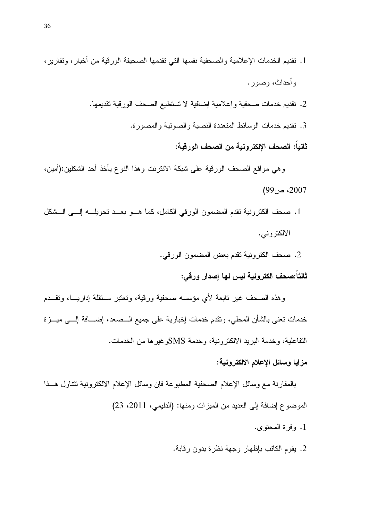- 1. نقديم الخدمات الإعلامية والصحفية نفسها التي نقدمها الصحيفة الورقية من أخبار ، ونقارير ، و أحداث، وصور .
	- 2. نقديم خدمات صحفية وإعلامية إضافية لا تستطيع الصحف الورقية تقديمها.
		- 3. تقديم خدمات الوسائط المتعددة النصبة والصونبة والمصور ة.

ثانيا: الصحف الالكترونية من الصحف الورقية:

و هي مو اقع الصحف الورقية على شبكة الانترنت و هذا النوع يأخذ أحد الشكلين:(أمين، 2007، ص99)

- 1. صحف الكترونية نقدم المضمون الورقي الكامل، كما هــو بعــد نحويلـــه إلـــي الـــشكل الالكتروني.
	- 2. صحف الكترونية تقدم بعض المضمون الورقي.

ثالثاً:صحف الكترونية ليس لها إصدار ورقى:

وهذه الصحف غير تابعة لأي مؤسسه صحفية ورقية، وتعتبر مستقلة إداريـــا، وتقـــدم خدمات نعني بالشأن المحلي، ونقدم خدمات إخبارية على جميع الـــصعد، إضــــافة الِــــي ميـــزة النفاعلية، وخدمة البريد الالكترونية، وخدمة SMSوغير ها من الخدمات.

### مزايا وسائل الإعلام الالكترونية:

بالمقارنة مع وسائل الإعلام الصحفية المطبوعة فإن وسائل الإعلام الالكترونية تتناول هــذا الموضوع إضافة إلى العديد من الميزات ومنها: (الدليمي، 2011، 23)

- 1. وفرة المحتوى.
- 2. يقوم الكاتب بإظهار وجهة نظرة بدون رقابة.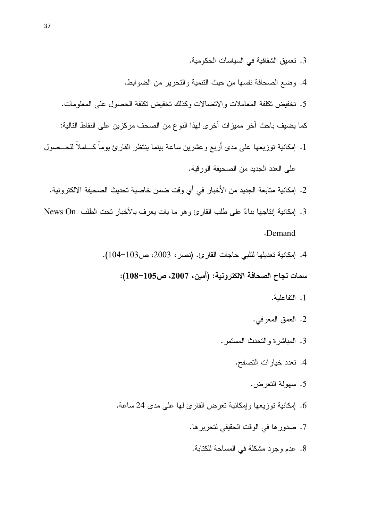- 3. تعميق الشفافية في السياسات الحكومية.
- 4. وضع الصحافة نفسها من حبث النتمية والنحرير من الضوابط.
- 5. تخفيض تكلفة المعاملات والاتصالات وكذلك تخفيض تكلفة الحصول على المعلومات.
- كما يضيف باحث آخر ٍ مميز ات أخر ي لهذا النو ع من الصحف مركز بن على النقاط التالية:
- 1. إمكانية توزيعها على مدى أربع وعشرين ساعة بينما ينتظر القارئ يوماً كـــاملاً للـحــصول على العدد الجديد من الصحيفة الورقية.
	- 2. إمكانية متابعة الجديد من الأخبار في أي وقت ضمن خاصية تحديث الصحيفة الالكترونية.
- 3. إمكانية إنتاجها بناءً على طلب القارئ وهو ما بات يعرف بالأخبار تحت الطلب News On .Demand
	- 4. إمكانية تعديلها لنلبي حاجات القارئ. (نصر، 2003، ص103-104).

سمات نجاح الصحافة الالكترونية: (أمين، 2007، ص105–108):

- 1. التفاعلبة.
- 2. العمق المعرفي.
- 3. المباشرة والتحدث المستمر .
	- 4. تعدد خيارات التصفح.
		- 5. سهولة التعرض.
- 6. إمكانية توزيعها وإمكانية تعرض القارئ لها على مدى 24 ساعة.
	- 7. صدورها في الوقت الحقيقي لتحريرها.
	- 8. عدم وجود مشكلة في المساحة للكتابة.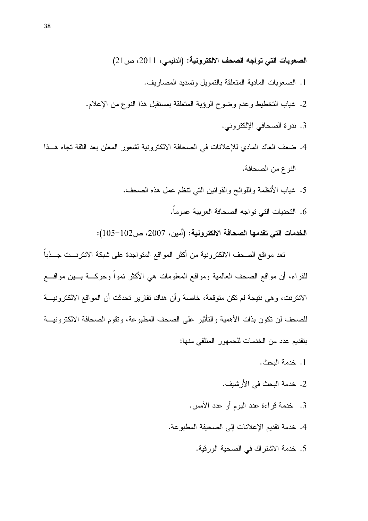الصعوبات التي تواجه الصحف الالكترونية: (الدليمي، 2011، ص22)

- 1. الصعوبات المادية المنعلقة بالتمويل وتسديد المصاريف.
- 2. غياب التخطيط وعدم وضوح الرؤية المتعلقة بمستقبل هذا النوع من الإعلام.
	- 3. ندرة الصحافي الإلكتروني.
- 4. ضعف العائد المادي للإعلانات في الصحافة الالكترونية لشعور المعلن بعد الثقة تجاه هــذا النوع من الصحافة.
	- 5. غياب الأنظمة واللوائح والقوانين التي نتظم عمل هذه الصحف.
		- 6. التحديات التي تواجه الصحافة العربية عموماً.

الخدمات التي تقدمها الصحافة الالكترونية: (أمين، 2007، ص102-105):

تعد مواقع الصحف الالكترونية من أكثر المواقع المتواجدة على شبكة الانترنست جسذباً للقراء، أن مواقع الصحف العالمية ومواقع المعلومات هي الأكثر نمواً وحركـــة بــــين مواقــــع الانترنت، وهي نتيجة لم تكن متوقعة، خاصة وأن هناك تقارير تحدثت أن المواقع الالكترونيـــة للصحف لن تكون بذات الأهمية والتأثير على الصحف المطبوعة، وتقوم الصحافة الالكترونيـــة بتقديم عدد من الخدمات للجمهور المتلقى منها:

- 1. خدمة البحث.
- 2. خدمة البحث في الأر شيف.
- 3. خدمة قراءة عدد اليوم أو عدد الأمس.
- 4. خدمة تقديم الإعلانات إلى الصحيفة المطبوعة.
	- 5. خدمة الاشتراك في الصحية الورقية.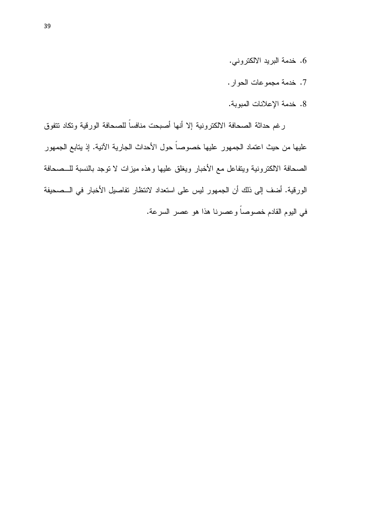- 6. خدمة البريد الالكتروني.
- 7. خدمة مجموعات الحوار.
- 8. خدمة الإعلانات المبوبة.

رغم حداثة الصحافة الالكترونية إلا أنها أصبحت منافساً للصحافة الورقية وتكاد نتفوق عليها من حيث اعتماد الجمهور عليها خصوصاً حول الأحداث الجارية الآنية. إذ يتابع الجمهور الصحافة الالكترونية ويتفاعل مع الأخبار ويغلق عليها وهذه ميزات لا توجد بالنسبة للــصحافة الورقية. أضف إلى ذلك أن الجمهور ليس على استعداد لانتظار تفاصيل الأخبار في الــصحيفة في اليوم القادم خصوصاً وعصرنا هذا هو عصر السرعة.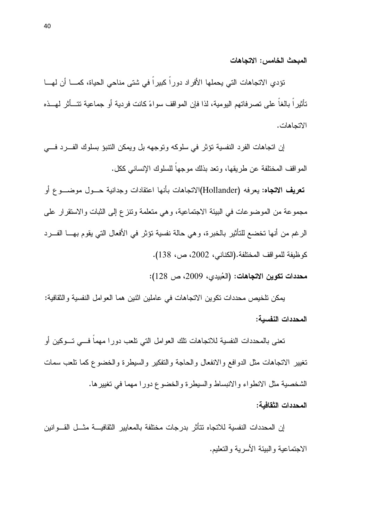المبحث الخامس: الاتجاهات

نؤدي الاتجاهات التي يحملها الأفراد دوراً كبيراً في شتى مناحي الحياة، كمــــا أن لهـــا تأثيراً بالغاً على تصرفاتهم اليومية، لذا فإن المواقف سواءً كانت فردية أو جماعية تتــأثر لمهــذه الاتحاهات.

إن اتجاهات الفرد النفسية نؤثر في سلوكه وتوجهه بل ويمكن النتبؤ بسلوك الفـــرد فــــي المواقف المختلفة عن طريقها، وتعد بذلك موجهاً للسلوك الإنساني ككل.

**تعريف الاتجاه:** يعرفه (Hollander)الاتجاهات بأنها اعتقادات وجدانية حـــول موضــــو ع أو مجموعة من الموضوعات في البيئة الاجتماعية، وهي متعلمة ونتزع إلى الثبات والاستقرار على الرغم من أنها تخضع للتأثير بالخبر ة، و هي حالة نفسية تؤثر في الأفعال التي يقوم بهـــا الفـــر د كوظيفة للمواقف المختلفة.(الكناني، 2002، ص، 138).

محددات تكوين الاتجاهات: (العُبيدي، 2009، ص 128):

يمكن تلخيص محددات نكوين الانجاهات في عاملين اثنين هما العوامل النفسية والثقافية: المحددات النفسية:

تعني بالمحددات النفسية للاتجاهات تلك العوامل التي تلعب دور ا مهما فـــي تــوكين أو تغيير الاتجاهات مثل الدوافع والانفعال والحاجة والتفكير والسيطرة والخضوع كما نلعب سمات الشخصية مثل الانطواء والانبساط والسيطرة والخضوع دورا مهما في تغيير ها. المحددات الثقافية:

إن المحددات النفسية للاتجاه نتأثر بدرجات مختلفة بالمعايير الثقافيـــة مثـــل القـــوانين الاجتماعية والبيئة الأسرية والتعليم.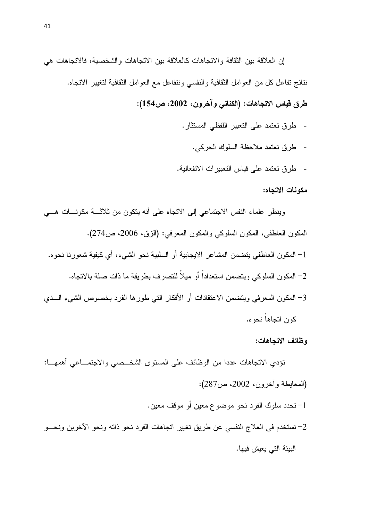إن العلاقة بين الثقافة والاتجاهات كالعلاقة بين الاتجاهات والشخصية، فالاتجاهات هي نتائج نفاعل كل من العوامل الثقافية والنفسي ونتفاعل مع العوامل الثقافية لنغيير الانجاه. طرق فياس الاتجاهات: (الكناني وآخرون، 2002، ص154):

- طرق نعتمد على التعبير اللفظي المستثار .
	- طرق تعتمد ملاحظة السلوك الحركي.
- طرق تعتمد على قياس التعبير ات الانفعالية.

مكونات الاتجاه:

وينظر علماء النفس الاجتماعي إلى الاتجاه على أنه يتكون من ثلاثـــة مكونـــات هـــي المكون العاطفي، المكون السلوكي والمكون المعرفي: (الزق، 2006، ص274). 1– المكون العاطفي بتضمن المشاعر الايجابية أو السلبية نحو الشيء، أي كيفية شعورنا نحوه. 2– المكون السلوكي ويتضمن استعداداً أو ميلاً للتصرف بطريقة ما ذات صلة بالاتجاه. 3– المكون المعرفي ويتضمن الاعتقادات أو الأفكار التي طورها الفرد بخصوص الشيء الـــذي كون اتحاهاً نحو ه.

#### وظائف الاتجاهات:

نؤدي الاتجاهات عددا من الوظائف على المستوى الشخــصبي والاجتمـــاعي أهمهـــا: (المعايطة و أخرون، 2002، ص287): 1– تحدد سلوك الفرد نحو موضوع معين أو موقف معين. 2– تستخدم في العلاج النفسي عن طريق تغيير اتجاهات الفرد نحو ذاته ونحو الآخرين ونحـــو البيئة التي يعيش فيها.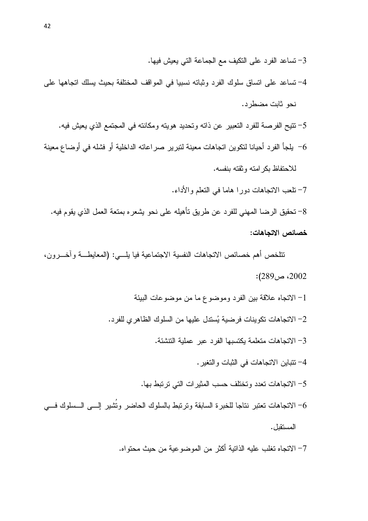- 3- تساعد الفرد على التكيف مع الجماعة التي يعيش فيها.
- 4– تساعد على انساق سلوك الفرد وثباته نسبيا في المواقف المختلفة بحيث يسلك انجاهها على نحو ثابت مضطر د.
	- 5– نتيح الفرصة للفرد النعبير عن ذاته وتحديد هويته ومكانته في المجتمع الذي يعيش فيه.
- 6— يلجأ الفر د أحيانا لتكوين اتجاهات معينة لتبرير صر اعاته الداخلية أو فشله في أوضاع معينة للاحتفاظ بكر امته وثقته بنفسه.

7– نلعب الانجاهات دورًا هاما في النعلم والأداء. 8– تحقيق الرضا المهنى للفرد عن طريق تأهيله على نحو يشعره بمتعة العمل الذي يقوم فيه. خصائص الاتجاهات:

نتلخص أهم خصائص الاتجاهات النفسية الاجتماعية فيا يلـــي: (المعايطـــة وآخــــرون، 2002، ص289):

- 1– الاتجاه علاقة بين الفرد وموضوع ما من موضوعات البيئة
- 2– الاتجاهات تكوينات فرضية يُستدل عليها من السلوك الظاهري للفرد.
	- 3– الاتجاهات متعلمة يكتسبها الفر د عبر عملية التتشئة.
		- 4– نتبابن الاتجاهات في الثبات والتغير .
	- 5– الاتجاهات تعدد وتختلف حسب المثيرات التي ترتبط بها.
- 6– الاتجاهات تعتبر نتاجا للخبرة السابقة وترتبط بالسلوك الحاضر وتُشير إلـــي الـــسلوك فـــي المستقىل .
	- 7– الاتجاه تغلب عليه الذاتية أكثر ً من الموضو عية من حيث محتو اه.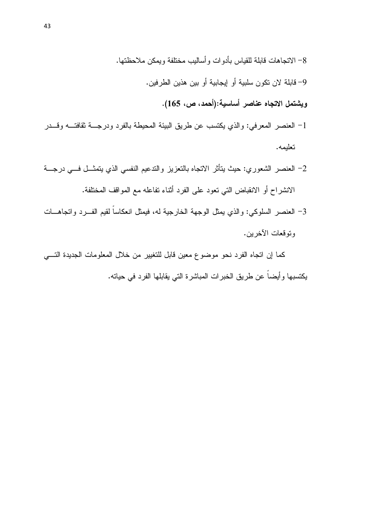- 8– الانجاهات قابلة للقياس بأدوات وأساليب مختلفة ويمكن ملاحظتها.
	- 9- قابلة لان تكون سلبية أو إيجابية أو بين هذين الطرفين.

ويشتمل الاتجاه عناصر أساسية:(أحمد، ص، 165).

- 1– العنصر المعرفي: والذي يكتسب عن طريق البيئة المحيطة بالفرد ودرجـــة ثقافتـــه وقـــدر تعليمه.
- 2– العنصر الشعوري: حيث بتأثر الاتجاه بالنعزيز والندعيم النفسي الذي يتمثـــل فـــي درجـــة الانشراح أو الانقباض التي تعود على الفرد أنثاء تفاعله مع المواقف المختلفة.
- 3– العنصر السلوكي: والذي يمثل الوجهة الخارجية له، فيمثل انعكاساً لقيم الفـــرد واتجاهـــات وتوقعات الآخر بن.

كما إن اتجاه الفرد نحو موضوع معين قابل للتغيير من خلال المعلومات الجديدة التسي يكتسبها و أيضاً عن طريق الخبر ات المباشرة التي يقابلها الفرد في حياته.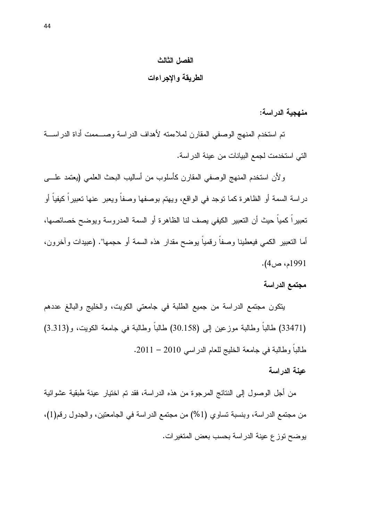## الفصل الثالث الطريقة والاجراءات

### منهجية الدراسة:

تم استخدم المنهج الوصفى المقارن لملاءمته لأهداف الدر اسة وصـــممت أداة الدر اســـة التي استخدمت لجمع البيانات من عينة الدراسة.

ولأن استخدم المنهج الوصفي المقارن كأسلوب من أساليب البحث العلمي (يعتمد علـــي دراسة السمة أو الظاهرة كما نوجد في الواقع، ويهتم بوصفها وصفا ويعبر عنها نعبيرا كيفيا أو تعبيرا كميا حيث أن التعبير الكيفي يصف لنا الظاهرة أو السمة المدروسة ويوضح خصائصها، أما النعبير الكمـى فيعطينا وصفاً رقمياً بوضح مقدار هذه السمة أو حجمها". (عبيدات وآخرون، 1991م، ص4).

### مجتمع الدراسة

ينكون مجتمع الدراسة من جميع الطلبة في جامعتي الكويت، والخليج والبالغ عددهم (33471) طالباً وطالبة موزعين إلى (30.158) طالباً وطالبة في جامعة الكويت، و(3.313) طالباً وطالبة في جامعة الخليج للعام الدراسي 2010 – 2011.

#### عبنة الدراسة

من أجل الوصول إلى النتائج المرجوة من هذه الدراسة، فقد تم اختيار عينة طبقية عشوائية من مجتمع الدراسة، وبنسبة نساوي (1%) من مجتمع الدراسة في الجامعتين، والجدول رقم(1)، يوضح نوز ع عينة الدراسة بحسب بعض المتغيرات.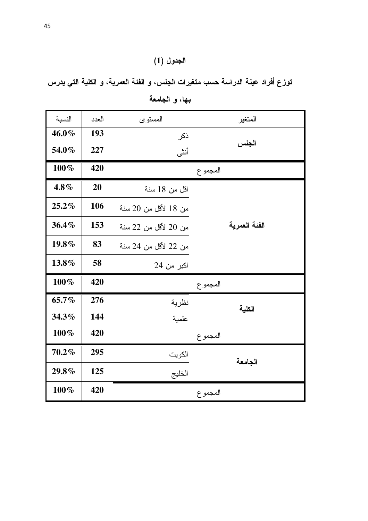## الجدول (1)

توزع أفراد عينة الدراسة حسب متغيرات الجنس، و الفئة العمرية، و الكلية التي يدرس

| النسبة   | العدد | المستوى              | المتغير       |
|----------|-------|----------------------|---------------|
| 46.0%    | 193   | ذكر                  |               |
| 54.0%    | 227   | أنثى                 | الجنس         |
| $100\%$  | 420   |                      | المجموع       |
| $4.8\%$  | 20    | اقل من 18 سنة        |               |
| $25.2\%$ | 106   | من 18 لأقل من 20 سنة |               |
| 36.4%    | 153   | من 20 لأقل من 22 سنة | الفئة العمرية |
| 19.8%    | 83    | من 22 لأقل من 24 سنة |               |
| $13.8\%$ | 58    | اكبر من 24           |               |
| 100%     | 420   |                      | المجموع       |
| $65.7\%$ | 276   | نظرية                | الكلية        |
| 34.3%    | 144   | علمية                |               |
| 100%     | 420   |                      | المجموع       |
| $70.2\%$ | 295   | الكويت               | الجامعة       |
| 29.8%    | 125   | الخليج               |               |
| 100%     | 420   |                      | المجمو ع      |

بها، و الجامعة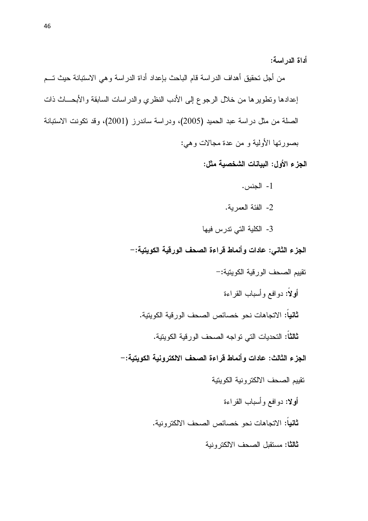أداة الدر اسة:

من أجل تحقيق أهداف الدر اسة قام الباحث بإعداد أداة الدر اسة و هي الاستبانة حيث تـــم إعدادها ونطويرها من خلال الرجوع إلى الأدب النظري والدراسات السابقة والأبحـــاث ذات الصلة من مثل دراسة عبد الحميد (2005)، ودراسة ساندرز (2001)، وقد نكونت الاستبانة بصورتها الأولية و من عدة مجالات وهي:

الجزء الأول: البيانات الشخصية مثل:

- 1- الجنس.
- 2- الفئة العمر بة.
- 3- الكلية التي تدرس فيها

الجزء الثاني: عادات وأنماط قراءة الصحف الورقية الكويتية:-

نقييم الصحف الورقية الكويتية:-

أولأ: دو افع و أسباب القر اءة

ثانياً: الاتجاهات نحو خصائص الصحف الورقبة الكوبنية.

ثالثاً: النحديات التي تواجه الصحف الورقية الكويتية.

الجزء الثالث: عادات وأنماط قراءة الصحف الالكترونية الكويتية:-

تقييم الصحف الالكترونية الكويتية

- أولا: دوافع وأسباب القراءة
- ثانياً: الاتجاهات نحو خصائص الصحف الالكتر ونية.
	- ثالثا: مستقبل الصحف الالكترونية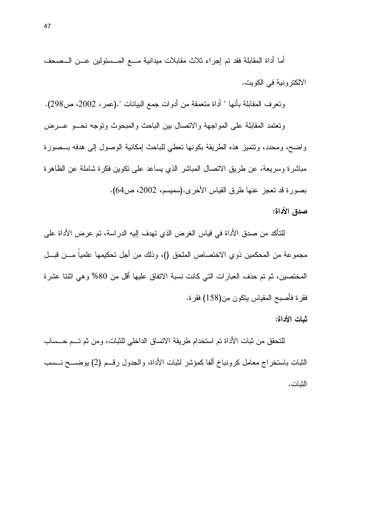أما أداة المقابلة فقد تم إجراء ثلاث مقابلات ميدانية مسع المسسئولين عسن السصحف الالكترونية في الكويت.

ونعرف المقابلة بأنها " أداة متعمقة من أدوات جمع البيانات ".(عمر ، 2002، ص298).

وتعتمد المقابلة على المواجهة والاتصال بين الباحث والمبحوث وتوجه نحسو عسرض واضح، ومحدد، ونتميز هذه الطريقة بكونها تعطي للباحث إمكانية الوصول إلى هدفه بــصورة مباشرة وسريعة، عن طريق الاتصال المباشر الذي يساعد على نكوين فكرة شاملة عن الظاهرة بصورة قد تعجز عنها طرق القياس الأخرى.(سميسم، 2002، ص64).

صدق الأداة:

للتأكد من صدق الأداة في قياس الغرض الذي تهدف إليه الدراسة، تم عرض الأداة على مجموعة من المحكمين ذوي الاختصاص الملحق ()، وذلك من أجل تحكيمها علمياً مـــن قبـــل المختصين، ثم تم حذف العبار ات التي كانت نسبة الاتفاق عليها أقل من 80% و هي اثنتا عشر ة فقرة فأصبح المقياس يتكون من(158) فقرة.

شات الأداة:

للنحقق من ثبات الأداة تم استخدام طريقة الاتساق الداخلي للثبات، ومن ثم تـــم حـــساب الثبات باستخر اج معامل كرونباخ ألفا كمؤشر لثبات الأداة، والجدول رقسم (2) يوضــــح نـــسب الثبات.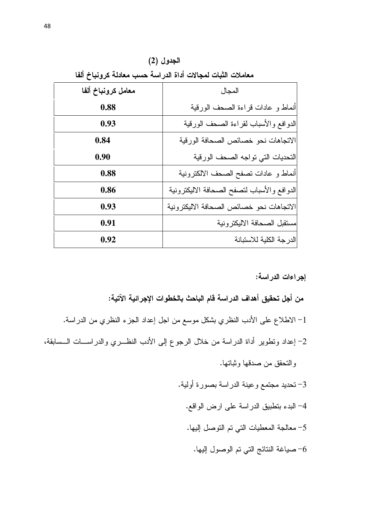| الجدول (2)                                                  |                                             |  |  |  |  |
|-------------------------------------------------------------|---------------------------------------------|--|--|--|--|
| معاملات الثبات لمجالات أداة الدراسة حسب معادلة كرونباخ ألفا |                                             |  |  |  |  |
| معامل كرونباخ ألفا                                          | المجال                                      |  |  |  |  |
| 0.88                                                        | أنماط و عادات قراءة الصحف الورقية           |  |  |  |  |
| 0.93                                                        | الدوافع والأسباب لقراءة الصحف الورقية       |  |  |  |  |
| 0.84                                                        | الاتجاهات نحو خصائص الصحافة الورقية         |  |  |  |  |
| 0.90                                                        | التحديات التي تواجه الصحف الورقية           |  |  |  |  |
| 0.88                                                        | أنماط و عادات نصفح الصحف الالكترونية        |  |  |  |  |
| 0.86                                                        | الدوافع والأسباب لنصفح الصحافة الاليكترونية |  |  |  |  |
| 0.93                                                        | الاتجاهات نحو خصائص الصحافة الاليكترونية    |  |  |  |  |
| 0.91                                                        | مستقبل الصحافة الاليكترونية                 |  |  |  |  |
| 0.92                                                        | الدرجة الكلية للاستبانة                     |  |  |  |  |

#### إجراءات الدراسة:

من أجل تحقيق أهداف الدراسة قام الباحث بالخطوات الإجرائية الآتية: 1– الاطلاع على الأدب النظري بشكل موسع من اجل إعداد الجزء النظري من الدراسة. 2– إعداد ونطوير أداة الدراسة من خلال الرجوع إلى الأدب النظـــري والدراســـات الـــسابقة، والتحقق من صدقها وثباتها. 3– تحديد مجتمع وعينة الدراسة بصورة أولية. 4– البدء بتطبيق الدراسة على ارض الواقع. 5- معالجة المعطيات التي تم النوصل إليها. 6– صياغة النتائج التي تم الوصول إليها.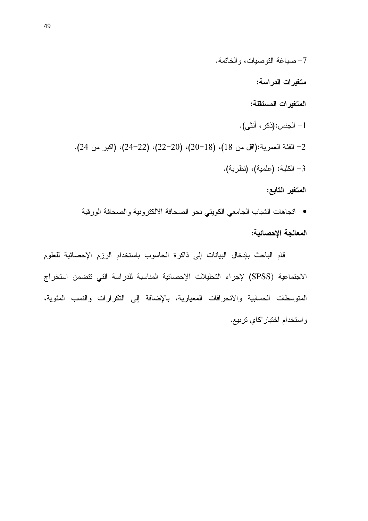7- صياغة التوصيات، والخاتمة.

متغيرات الدراسة:

المتغيرات المستقلة:

1– الجنس:(ذكر ، أنثى). 2− الفئة العمرية:(اقل من 18)، (18−20)، (20−22)، (22−22)، (اكبر من 24). 3- الكلية: (علمية)، (نظرية).

المتغير التابع:

• اتجاهات الشباب الجامعي الكويتي نحو الصحافة الالكترونية والصحافة الورقية المعالجة الإحصائية:

قام الباحث بإدخال البيانات إلى ذاكرة الحاسوب باستخدام الرزم الإحصائية للعلوم الاجتماعية (SPSS) لإجراء التحليلات الإحصائية المناسبة للدراسة التي تتضمن استخراج المتوسطات الحسابية والانحرافات المعيارية، بالإضافة إلى التكرارات والنسب المئوية، واستخدام اختبار "كاي تربيع.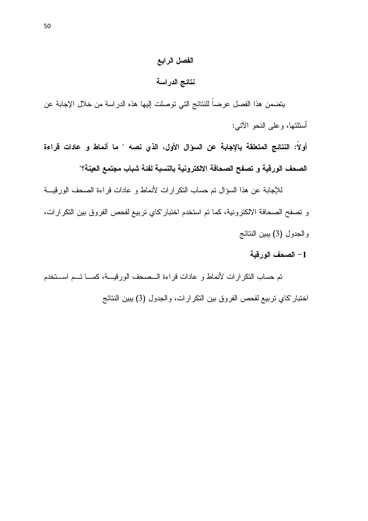### الفصل الرابع

#### نتائج الدراسة

يتضمن هذا الفصل عرضاً للنتائج التي توصلت إليها هذه الدراسة من خلال الإجابة عن أسئلتها، وعلى النحو الآتي:

أولاً: النتائج المتعلقة بالإجابة عن السؤال الأول، الذي نصه " ما أنماط و عادات قراءة الصحف الورقية و تصفح الصحافة الالكترونية بالنسبة لفئة شباب مجتمع العينة؟"

للإجابة عن هذا السؤال تم حساب النكر ارات لأنماط و عادات قراءة الصحف الورقيـــة و تصفح الصحافة الالكترونية، كما تم استخدم اختبار "كاي تربيع لفحص الفروق بين التكرارات، والجدول (3) يبين النتائج

#### 1- الصحف الورقبة

تم حساب النكرارات لأنماط و عادات قراءة الــصحف الورقيـــة، كمـــا تـــم اســـتخدم اختبار "كاي تربيع لفحص الفروق بين التكرارات، والجدول (3) يبين النتائج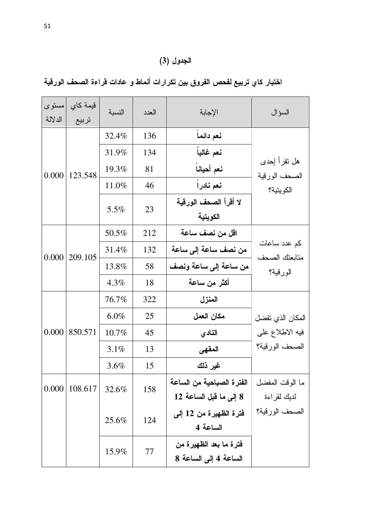# الجدول (3)

| مستوى<br>الدلالة | قيمة كاي<br>تربيع | النسبة  | العدد | الإجابة                   | السؤال                        |
|------------------|-------------------|---------|-------|---------------------------|-------------------------------|
|                  |                   | 32.4%   | 136   | نعم دائما                 |                               |
|                  |                   | 31.9%   | 134   | نعم غالباً                |                               |
| 0.000            | 123.548           | 19.3%   | 81    | نعم أحياناً               | هل نقرأ إحدى<br>الصحف الورقية |
|                  |                   | 11.0%   | 46    | نعم نادراً                | الكويتية؟                     |
|                  |                   | 5.5%    | 23    | لا أقرأ الصحف الورقية     |                               |
|                  |                   |         |       | الكويتية                  |                               |
|                  |                   | 50.5%   | 212   | اقل من نصف ساعة           |                               |
| 0.000            | 209.105           | 31.4%   | 132   | من نصف ساعة إلى ساعة      | كم عدد ساعات<br>متابعتك الصحف |
|                  |                   | 13.8%   | 58    | من ساعة إلى ساعة ونصف     | الورقية؟                      |
|                  |                   | $4.3\%$ | 18    | أكثر من ساعة              |                               |
|                  |                   | 76.7%   | 322   | المنزل                    |                               |
|                  |                   | 6.0%    | 25    | مكان العمل                | المكان الذي تفضل              |
| 0.000            | 850.571           | 10.7%   | 45    | النادي                    | فيه الاطلاع على               |
|                  |                   | 3.1%    | 13    | المقهى                    | الصحف الورقية؟                |
|                  |                   | 3.6%    | 15    | غير ذلك                   |                               |
| 0.000            | 108.617           | 32.6%   | 158   | الفترة الصباحية من الساعة | ما الوقت المفضل               |
|                  |                   |         |       | 8 إلى ما قَبْل الساعة 12  | لديك لقراءة                   |
|                  |                   | 25.6%   | 124   | فترة الظهيرة من 12 إلى    | الصحف الورقية؟                |
|                  |                   |         |       | الساعة 4                  |                               |
|                  |                   | 15.9%   | 77    | فترة ما بعد الظهيرة من    |                               |
|                  |                   |         |       | الساعة 4 إلى الساعة 8     |                               |

#### اختبار كاي تربيع لفحص الفروق بين تكرارات أنماط و عادات قراءة الصحف الورقية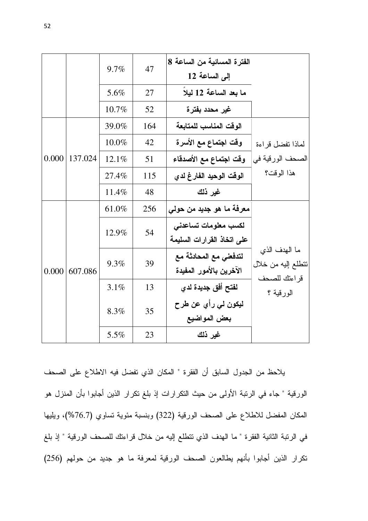|       |         | 9.7%  |     | الفترة المسائية من الساعة 8 |                                     |
|-------|---------|-------|-----|-----------------------------|-------------------------------------|
|       |         |       | 47  | إلى الساعة 12               |                                     |
|       |         | 5.6%  | 27  | ما بعد الساعة 12 ليلاً      |                                     |
|       |         | 10.7% | 52  | غير محدد بفترة              |                                     |
|       |         | 39.0% | 164 | الوقت المناسب للمتابعة      |                                     |
|       | 137.024 | 10.0% | 42  | وقت اجتماع مع الأسرة        | لماذا تفضل قراءة                    |
| 0.000 |         | 12.1% | 51  | وفت اجتماع مع الأصدقاء      | الصحف الورقية في                    |
|       |         | 27.4% | 115 | الوقت الوحيد الفارغ لدي     | هذا الوقت؟                          |
|       |         | 11.4% | 48  | غير ذلك                     |                                     |
|       |         | 61.0% | 256 | معرفة ما هو جديد من حولي    |                                     |
|       | 607.086 | 12.9% | 54  | لكسب معلومات تساعدني        |                                     |
|       |         |       |     | على اتخاذ القرارات السليمة  |                                     |
|       |         | 9.3%  | 39  | لتدفعني مع المحادثة مع      | ما الهدف الذي<br>نتطلع إليه من خلال |
| 0.000 |         |       |     | الآخرين بالأمور المفيدة     | قراءتك للصحف                        |
|       |         | 3.1%  | 13  | لفتح أفق جديدة لدي          | الورقية ؟                           |
|       |         | 8.3%  | 35  | ليكون لى رأي عن طرح         |                                     |
|       |         |       |     | بعض المواضيع                |                                     |
|       |         | 5.5%  | 23  | غير ذلك                     |                                     |

يلاحظ من الجدول السابق أن الفقرة " المكان الذي تفضل فيه الاطلاع على الصحف الورقية " جاء في الرتبة الأولى من حيث التكرارات لذ بلغ نكرار الذين أجابوا بأن المنزل هو المكان المفضل للاطلاع على الصحف الورقية (322) وبنسبة مئوية تساوي (76.7%)، ويليها في الرتبة الثانية الفقرة " ما الهدف الذي نتطلع إليه من خلال قراءتك للصحف الورقية " إذ بلغ نكرار الذين أجابوا بأنهم يطالعون الصحف الورقية لمعرفة ما هو جديد من حولهم (256)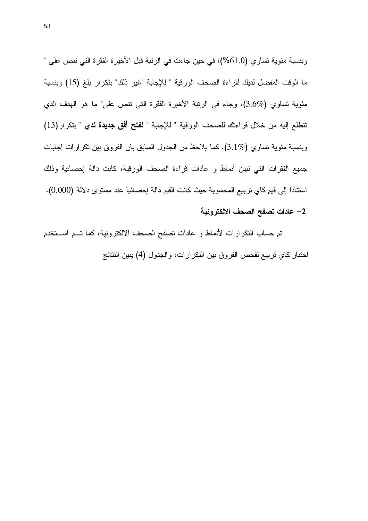وبنسبة مئوية تساوي (1.0%)، في حين جاءت في الرتبة قبل الأخيرة الفقرة التي نتص على " ما الوقت المفضل لديك لقراءة الصحف الورقية " للإجابة "غير ذلك" بتكرار بلغ (15) وبنسبة مئوية تساوى (3.6%)، وجاء في الرتبة الأخيرة الفقرة التي نتص على" ما هو الهدف الذي نتطلع إليه من خلال قراءتك للصحف الورقية " للإجابة " **لفتح أفق جديدة لدى** " بتكرار (13) وبنسبة مئوية تساوى (3.1%). كما يلاحظ من الجدول السابق بان الفروق بين نكرارات إجابات جميع الفقرات التي تبين أنماط و عادات قراءة الصحف الورقية، كانت دالة إحصائية وذلك اسنتادا إلى قيم كاي نربيع المحسوبة حيث كانت القيم دالة إحصائيا عند مستوى دلالة (0.000). 2– عادات تصفح الصحف الالكترونية

تم حساب التكرارات لأنماط و عادات تصفح الصحف الالكترونية، كما تــم اســتخدم اختبار "كاي تربيع لفحص الفروق بين النكر ارات، والجدول (4) يبين النتائج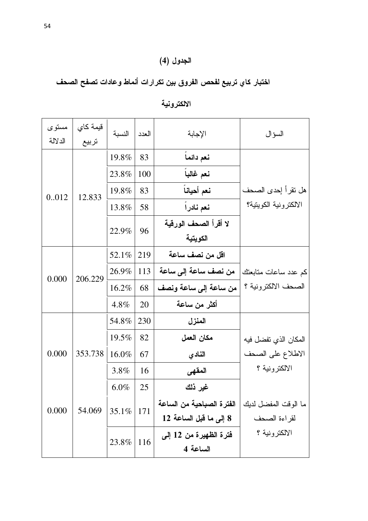# الجدول (4)

# اختبار كاي تربيع لفحص الفروق بين تكرارات أنماط وعادات تصفح الصحف

| مستوى<br>الدلالة | قيمة كاي<br>تربيع | النسبة  | العدد | الإجابة                            | السؤال                |
|------------------|-------------------|---------|-------|------------------------------------|-----------------------|
|                  |                   | 19.8%   | 83    | نعم دائما                          |                       |
|                  |                   | 23.8%   | 100   | نعم غالباً                         |                       |
| 0.012            | 12.833            | 19.8%   | 83    | نعم أحياناً                        | هل تقرأ إحدى الصحف    |
|                  |                   | 13.8%   | 58    | نعم نادراً                         | الالكترونية الكويتية؟ |
|                  |                   | 22.9%   | 96    | لا أقرأ الصحف الورقية<br>الكويتية  |                       |
|                  |                   | 52.1%   | 219   | اقل من نصف ساعة                    |                       |
| 0.000            | 206.229           | 26.9%   | 113   | من نصف ساعة إلى ساعة               | كم عدد ساعات متابعتك  |
|                  |                   | 16.2%   | 68    | من ساعة إلى ساعة ونصف              | الصحف الالكترونية ؟   |
|                  |                   | 4.8%    | 20    | أكثر من ساعة                       |                       |
|                  |                   | 54.8%   | 230   | المنزل                             |                       |
|                  |                   | 19.5%   | 82    | مكان العمل                         | المكان الذي تفضل فيه  |
| 0.000            | 353.738           | 16.0%   | 67    | النادي                             | الاطلاع على الصحف     |
|                  |                   | 3.8%    | 16    | المقهى                             | الالكترونية ؟         |
|                  |                   | $6.0\%$ | 25    | غير ذلك                            |                       |
| 0.000            | 54.069            | 35.1%   | 171   | الفترة الصباحية من الساعة          | ما الوقت المفضل لديك  |
|                  |                   |         |       | 8 إلى ما قبل الساعة 12             | لقراءة الصحف          |
|                  |                   | 23.8%   | 116   | فترة الظهيرة من 12 إلى<br>الساعة 4 | الالكترونية ؟         |

### الالكترونية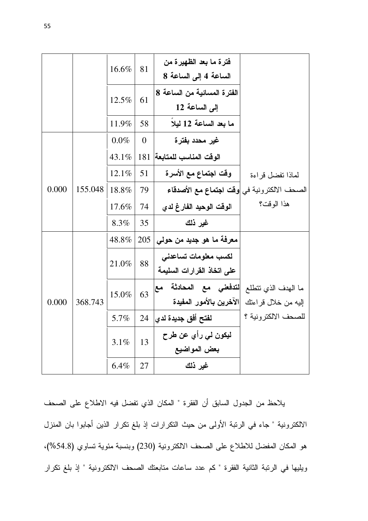|       |         | 16.6%   | 81           | فترة ما بعد الظهيرة من<br>الساعة 4 إلى الساعة 8                                                        |                     |
|-------|---------|---------|--------------|--------------------------------------------------------------------------------------------------------|---------------------|
|       |         | 12.5%   | 61           | الفترة المسائية من الساعة 8<br>إلى الساعة 12                                                           |                     |
|       |         | 11.9%   | 58           | ما بعد الساعة 12 ليلا                                                                                  |                     |
|       |         | $0.0\%$ | $\mathbf{0}$ | غير محدد بفترة                                                                                         |                     |
|       |         | 43.1%   | 181          | الوقت المناسب للمتابعة                                                                                 |                     |
|       |         | 12.1%   | 51           | وقت اجتماع مع الأسرة                                                                                   | لماذا نفضل قراءة    |
| 0.000 | 155.048 | 18.8%   | 79           | الصحف الالكترونية في  وقت اجتماع مع الأصدقاء                                                           |                     |
|       |         | 17.6%   | 74           | الوقت الوحيد الفارغ لدي                                                                                | هذا الوقت؟          |
|       |         | 8.3%    | 35           | غير ذلك                                                                                                |                     |
|       |         | 48.8%   | 205          | معرفة ما هو جديد من حولي                                                                               |                     |
|       |         | 21.0%   | 88           | لكسب معلومات تساعدنى<br>على اتخاذ القرارات السليمة                                                     |                     |
| 0.000 | 368.743 | 15.0%   | 63           | ما الهدف الذي تتطلع   <b>لتدفعني  مع  المحادثة  مع</b><br>إليه من خلال قراءتك  الأخرين بالأمور المفيدة |                     |
|       |         | 5.7%    |              | لفتح أفق جديدة لدي  24                                                                                 | للصحف الالكترونية ؟ |
|       |         | 3.1%    | 13           | ليکون ل <i>ي ر</i> أي عن طرح<br>بعض المواضيع                                                           |                     |
|       |         | 6.4%    | 27           | غير ذلك                                                                                                |                     |

يلاحظ من الجدول السابق أن الفقرة " المكان الذي تفضل فيه الاطلاع على الصحف الالكترونية " جاء في الرتبة الأولى من حيث التكرارات إذ بلغ نكرار الذين أجابوا بان المنزل هو المكان المفضل للاطلاع على الصحف الالكترونية (230) وبنسبة مئوية تساوي (54.8%)، ويليها في الرتبة الثانية الفقرة " كم عدد ساعات متابعتك الصحف الالكترونية " إذ بلغ تكرار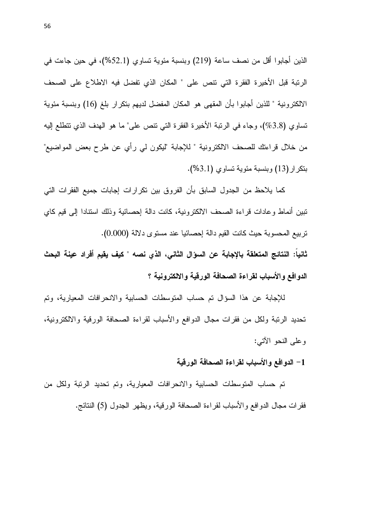الذين أجابوا أقل من نصف ساعة (219) وبنسبة مئوية تساوي (52.1%)، في حين جاءت في الرنبة قبل الأخيرة الفقرة التي نتص على " المكان الذي تفضل فيه الاطلاع على الصحف الالكترونية " للذين أجابوا بأن المقهى هو المكان المفضل لديهم بتكرار بلغ (16) وبنسبة مئوية تساوى (3.8%)، وجاء في الرتبة الأخير ة الفقر ة التي نتص على" ما هو الهدف الذي نتطلع إليه من خلال قراءتك للصحف الالكترونية " للإجابة "ليكون لي رأي عن طرح بعض المواضيع" بتكرار (13) وبنسبة مئوية تساوى (3.1%).

كما يلاحظ من الجدول السابق بأن الفروق بين نكرارات إجابات جميع الفقرات التي تبين أنماط وعادات قراءة الصحف الالكترونية، كانت دالة إحصائية وذلك استنادا إلىي قيم كاي تربيع المحسوبة حيث كانت القيم دالة إحصائيا عند مستوى دلالة (0.000). ثانيا: النتائج المتعلقة بالإجابة عن السوّال الثاني، الذي نصه " كيف يقيم أفراد عينة البحث الدوافع والأسباب لقراءة الصحافة الورقية والالكترونية ؟

للإجابة عن هذا السؤال تم حساب المتوسطات الحسابية والانحرافات المعيارية، وتم تحديد الرنبة ولكل من فقرات مجال الدوافع والأسباب لقراءة الصحافة الورقية والالكترونية، و علي النحو الآتي:

### 1– الدوافع والأسباب لقراءة الصحافة الورقية

تم حساب المتوسطات الحسابية والانحرافات المعيارية، وتم تحديد الرتبة ولكل من فقرات مجال الدوافع والأسباب لقراءة الصحافة الورقية، ويظهر الجدول (5) النتائج.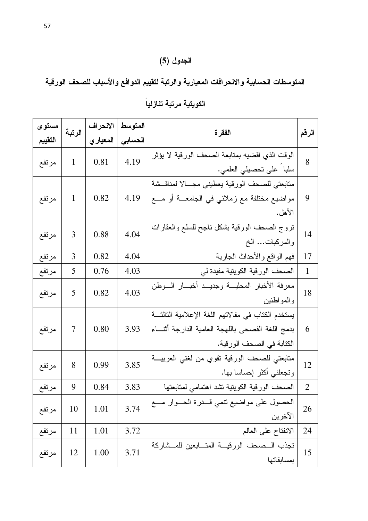## الجدول (5)

المتوسطات الحسابية والانحرافات المعيارية والرتبة لتقييم الدوافع والأسباب للصحف الورقية

| مستوى   |                | الانحراف  | المتوسط | الفقرة<br>الرقم                                                                                                                       |                |
|---------|----------------|-----------|---------|---------------------------------------------------------------------------------------------------------------------------------------|----------------|
| التقييم | الرتبة         | المعيار ي | الحسابي |                                                                                                                                       |                |
| مرتفع   | $\mathbf{1}$   | 0.81      | 4.19    | الوقت الذي اقضيه بمتابعة الصحف الورقية لا يؤثر<br>سلبا على تحصيلي العلمي.                                                             | 8              |
| مرتفع   | $\mathbf{1}$   | 0.82      | 4.19    | متابعتي للصحف الورقية يعطيني مجـــالا لمناقــشة<br>مواضيع مختلفة مع زملائي في الجامعـــة أو مـــع<br>الأهل.                           | 9              |
| مرتفع   | 3              | 0.88      | 4.04    | نروج الصحف الورقية بشكل ناجح للسلع والعقارات<br>والمركبات الخ                                                                         | 14             |
| مرتفع   | 3              | 0.82      | 4.04    | فهم الواقع والأحداث الجارية                                                                                                           | 17             |
| مرتفع   | 5              | 0.76      | 4.03    | الصحف الورقية الكويتية مفيدة لي                                                                                                       | $\mathbf{1}$   |
| مرتفع   | 5              | 0.82      | 4.03    | معرفة الأخبار المحليــة وجديــد أخبـــار الـــوطن<br>والمواطنين                                                                       | 18             |
| مرتفع   | $\overline{7}$ | 0.80      | 3.93    | يستخدم الكتاب في مقالاتهم اللغة الإعلامية الثالثـــة<br>بدمج اللغة الفصحى باللهجة العامية الدارجة أثنساء<br>الكتابة في الصحف الورقية. | 6              |
| مرتفع   | 8              | 0.99      | 3.85    | متابعتي للصحف الورقية نقوي من لغتي العربيـــة<br>وتجعلني أكثر إحساسا بها.                                                             | 12             |
| مرتفع   | 9              | 0.84      | 3.83    | الصحف الورقية الكويتية نثند اهتمامي لمتابعتها                                                                                         | $\overline{2}$ |
| مرتفع   | 10             | 1.01      | 3.74    | الحصول على مواضيع نتمي قـــدرة الحـــوار مــــع<br>الآخرين                                                                            | 26             |
| مرتفع   | 11             | 1.01      | 3.72    | الانفتاح علىي العالم                                                                                                                  | 24             |
| مرتفع   | 12             | 1.00      | 3.71    | نجذب السصحف الورقيسة المتسابعين للمسشاركة<br>بمسابقاتها                                                                               | 15             |

الكويتية مرتبة تنازلياً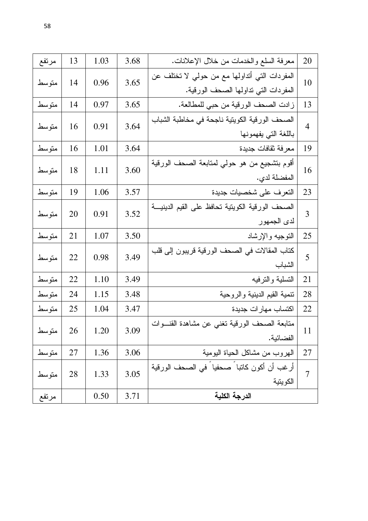| مرتفع  | 13 | 1.03 | 3.68 | معرفة السلع والخدمات من خلال الإعلانات.                                               | 20             |
|--------|----|------|------|---------------------------------------------------------------------------------------|----------------|
| متوسط  | 14 | 0.96 | 3.65 | المفردات التي أنداولها مع من حولي لا تختلف عن<br>المفردات التي تداولها الصحف الورقية. | 10             |
| متوسط  | 14 | 0.97 | 3.65 | زادت الصحف الورقية من حبي للمطالعة.                                                   | 13             |
| متوسط  | 16 | 0.91 | 3.64 | الصحف الورقية الكويتية ناجحة في مخاطبة الشباب<br>باللغة التي يفهمونها                 | $\overline{4}$ |
| متوسط  | 16 | 1.01 | 3.64 | معرفة ثقافات جديدة                                                                    | 19             |
| متوسط  | 18 | 1.11 | 3.60 | أقوم بتشجيع من هو حولي لمتابعة الصحف الورقية<br>المفضلة لدي.                          | 16             |
| متوسط  | 19 | 1.06 | 3.57 | التعرف على شخصيات جديدة                                                               | 23             |
| متوسط  | 20 | 0.91 | 3.52 | الصحف الورقية الكويتية تحافظ على القيم الدينيـــة<br>لدى الجمهور                      | $\overline{3}$ |
| متوسط  | 21 | 1.07 | 3.50 | التوجيه والإرشاد                                                                      | 25             |
| متوسط  | 22 | 0.98 | 3.49 | كتاب المقالات في الصحف الورقية قريبون إلى قلب<br>الشباب                               | 5              |
| متوسط  | 22 | 1.10 | 3.49 | التسلية والترفيه                                                                      | 21             |
| متوسط  | 24 | 1.15 | 3.48 | تتمية القيم الدينية والروحية                                                          | 28             |
| متوسط  | 25 | 1.04 | 3.47 | اكتساب مهارات جديدة                                                                   | 22             |
| متوسط  | 26 | 1.20 | 3.09 | متابعة الصحف الورقية تغني عن مشاهدة القنسوات<br>الفضائية.                             | 11             |
| متو سط | 27 | 1.36 | 3.06 | الـهروب من مشاكل الـحياة اليومية                                                      | 27             |
| متوسط  | 28 | 1.33 | 3.05 | أرغب أن أكون كاتبا صحفيا في الصحف الورقية<br>الكويتية                                 | 7              |
| مرتفع  |    | 0.50 | 3.71 | الدرجة الكلية                                                                         |                |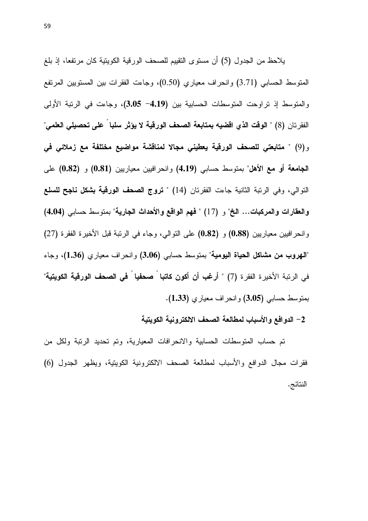يلاحظ من الجدول (5) أن مستوى التقييم للصحف الورقية الكويتية كان مرتفعا، إذ بلغ المتوسط الحسابي (3.71) وانحراف معياري (0.50)، وجاءت الفقرات بين المستويين المرتفع والمتوسط إذ تراوحت المتوسطات الحسابية بين (4.19– 3.05)، وجاءت في الرتبة الأولى الفقر نان (8) " الوقت الذي اقضيه بمتابعة الصحف الورقية لا يؤثر سلبا على تحصيلي العلمي" و(9) " متابعتي للصحف الورقية يعطيني مجالا لمناقشة مواضيع مختلفة مع زملائي في الجامعة أو مع الأهل" بمتوسط حسابي (4.19) وانحرافيين معياريين (0.81) و (0.82) على النوالي، وفي الرنبة الثانية جاءت الفقرنان (14) " تروج الصحف الورقية بشكل ناجح للسلع والعقارات والمركبات... الخ" و (17) " فهم الواقع والأحداث الجارية" بمنوسط حسابي (4.04) و انحر افيين معياريين (0.88) و (0.82) على التوالي، وجاء في الرئبة قبل الأخير ة الفقر ة (27) "الهروب من مشاكل الحياة اليومية" بمنوسط حسابي (3.06) وانحراف معياري (1.36)، وجاء في الرنبة الأخيرة الفقرة (7) " أرغب أن أكون كاتبا َ صحفيا َ في الصحف الورقية الكويتية" بمنوسط حسابي (3.05) وانحراف معياري (1.33).

2– الدوافع والأسباب لمطالعة الصحف الالكترونية الكويتية

تم حساب المتوسطات الحسابية والانحرافات المعيارية، وتم تحديد الرنبة ولكل من فقرات مجال الدوافع والأسباب لمطالعة الصحف الالكترونية الكوينية، ويظهر الجدول (6) النتائج.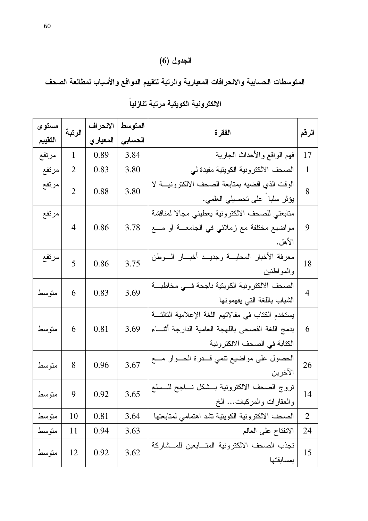# الجدول (6)

المتوسطات الحسابية والانحرافات المعيارية والرتبة لتقييم الدوافع والأسباب لمطالعة الصحف

| مستوى     |                | الانحراف | المتوسط | الفقرة                                               |                |  |
|-----------|----------------|----------|---------|------------------------------------------------------|----------------|--|
| التقييم   | الرتبة         | المعياري | الحسابى |                                                      | الرقم          |  |
| مرتفع     | $\mathbf{1}$   | 0.89     | 3.84    | فهم الواقع والأحداث الجارية                          | 17             |  |
| مرتفع     | 2              | 0.83     | 3.80    | الصحف الالكترونية الكويتية مفيدة لي                  | $\mathbf{1}$   |  |
| مرتفع     | $\overline{2}$ | 0.88     | 3.80    | الوقت الذي اقضيه بمتابعة الصحف الالكترونية لا        | 8              |  |
|           |                |          |         | يؤثر سلباً على تحصيلي العلمي.                        |                |  |
| مرتفع     |                |          |         | متابعتي للصحف الالكترونية يعطيني مجالا لمناقشة       |                |  |
|           | $\overline{4}$ | 0.86     | 3.78    | مواضيع مختلفة مع زملائي في الجامعـــة أو مـــع       | 9              |  |
|           |                |          |         | الأهل.                                               |                |  |
| مرتفع     | 5              | 0.86     | 3.75    | معرفة الأخبار المحليـــة وجديـــد أخبـــار الـــوطن  | 18             |  |
|           |                |          |         | والمواطنين                                           |                |  |
|           | 6              | 0.83     | 3.69    | الصحف الالكترونية الكويتية ناجحة فسي مخاطبة          | $\overline{4}$ |  |
| متوسط     |                |          |         | الشباب باللغة التي بفهمونها                          |                |  |
|           |                |          |         | يستخدم الكتاب في مقالاتهم اللغة الإعلامية الثالثـــة |                |  |
| متوسط     | 6              | 0.81     | 3.69    | بدمج اللغة الفصحى باللهجة العامية الدارجة أثنساء     | 6              |  |
|           |                |          |         | الكتابة في الصحف الالكترونية                         |                |  |
|           | 8              | 0.96     | 3.67    | الحصول على مواضيع نتمي قـــدرة الحـــوار مــــع      | 26             |  |
| متوسط     |                |          |         | الآخرين                                              |                |  |
|           |                |          |         | نروج الصحف الالكنرونية بسشكل نساجح للسسلع            |                |  |
| 9   متوسط |                | 0.92     | 3.65    | والعقارات والمركبات الخ                              | 14             |  |
| متوسط     | 10             | 0.81     | 3.64    | الصحف الالكترونية الكويتية نشد اهتمامى لمتابعتها     | $\overline{2}$ |  |
| متوسط     | 11             | 0.94     | 3.63    | الانفتاح على العالم                                  | 24             |  |
|           |                |          |         | تجذب الصحف الالكترونية المتسابعين للمسشاركة          |                |  |
| متوسط     | 12             | 0.92     | 3.62    | بمسابقتها                                            | 15             |  |

الالكترونية الكويتية مرتبة تنازلياً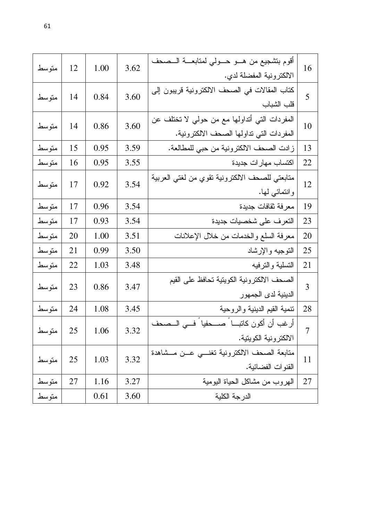| متوسط | 12 | 1.00 | 3.62 | أقوم بتشجيع من هـــو حــــولـي لمتابعــــة الـــصـحف<br>الالكترونية المفضلة لدي.          | 16             |
|-------|----|------|------|-------------------------------------------------------------------------------------------|----------------|
| متوسط | 14 | 0.84 | 3.60 | كتاب المقالات في الصحف الالكترونية قريبون إلى<br>قلب الشباب                               | 5              |
| متوسط | 14 | 0.86 | 3.60 | المفردات التي أنداولها مع من حولي لا تختلف عن<br>المفردات التي تداولها الصحف الالكترونية. | 10             |
| متوسط | 15 | 0.95 | 3.59 | زادت الصحف الالكترونية من حبي للمطالعة.                                                   | 13             |
| متوسط | 16 | 0.95 | 3.55 | اكتساب مهارات جديدة                                                                       | 22             |
| متوسط | 17 | 0.92 | 3.54 | متابعتي للصحف الالكترونية تقوي من لغتي العربية<br>وانتمائي لها.                           | 12             |
| متوسط | 17 | 0.96 | 3.54 | معرفة نقافات جديدة                                                                        | 19             |
| متوسط | 17 | 0.93 | 3.54 | التعرف على شخصيات جديدة                                                                   | 23             |
| متوسط | 20 | 1.00 | 3.51 | معرفة السلع والخدمات من خلال الإعلانات                                                    | 20             |
| متوسط | 21 | 0.99 | 3.50 | التوجيه والإرشاد                                                                          | 25             |
| متوسط | 22 | 1.03 | 3.48 | التسلية والترفيه                                                                          | 21             |
| متوسط | 23 | 0.86 | 3.47 | الصحف الالكترونية الكويتية تحافظ على القيم<br>الدينية لدى الجمهور                         | $\overline{3}$ |
| متوسط | 24 | 1.08 | 3.45 | تتمية القيم الدينية والروحية                                                              | 28             |
| متوسط | 25 | 1.06 | 3.32 | أرغب أن أكون كاتباً صحفياً فــي الــصحف<br>الالكترونية الكويتية.                          | 7              |
| متوسط | 25 | 1.03 | 3.32 | متابعة الصحف الالكترونية تغنسي عسن مــشاهدة<br>القنوات الفضائية.                          | 11             |
| متوسط | 27 | 1.16 | 3.27 | البهروب من مشاكل الحياة البومية                                                           | 27             |
| متوسط |    | 0.61 | 3.60 | الدرجة الكلية                                                                             |                |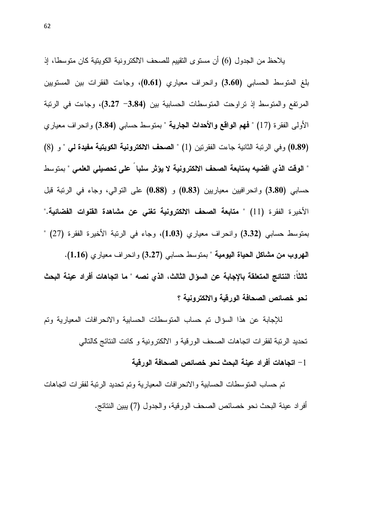يلاحظ من الجدول (6) أن مستوى التقييم للصحف الالكترونية الكويتية كان متوسطا، إذ بلغ المتوسط الحسابي (3.60) وانحراف معياري (0.61)، وجاءت الفقرات بين المستويين المرتفع والمنوسط إذ نراوحت المنوسطات الحسابية بين (3.84– 3.27)، وجاءت في الرنبة الأولى الفقرة (17) " **فهم الواقع والأحداث الجارية** " بمتوسط حسابي (3.84) وانحراف معياري (0.89) وفي الرئبة الثانية جاءت الفقر تين (1) " الصحف الالكترونية الكويتية مفيدة لي " و (8) " الوقت الذي اقضيه بمتابعة الصحف الالكترونية لا يؤثر سلبا ُ على تحصيلي العلمي " بمتوسط حسابي (3.80) وانحرافيين معياريين (0.83) و (0.88) على النوالي، وجاء في الرنبة قبل الأخير: «الفقر: (11) " متابعة الصحف الالكترونية تغنى عن مشاهدة القنوات الفضائية." بمتوسط حسابي (3.32) وانحراف معياري (1.03)، وجاء في الرنبة الأخيرة الفقرة (27) " الهروب من مشاكل الحياة اليومية " بمنوسط حسابي (3.27) وانحر اف معياري (1.16). ثالثا: النتائج المتعلقة بالإجابة عن السوال الثالث، الذي نصه " ما اتجاهات أفراد عينة البحث نحو خصائص الصحافة الورقية والالكترونية ؟

للإجابة عن هذا السؤال تم حساب المتوسطات الحسابية والانحرافات المعيارية وتم تحديد الرئبة لفقرات اتجاهات الصحف الورقية و الالكترونية و كانت النتائج كالتالي

1– اتجاهات أفراد عينة البحث نحو خصائص الصحافة الورقية

تم حساب المنوسطات الحسابية والانحرافات المعيارية وتم تحديد الرنبة لفقرات اتجاهات أفراد عينة البحث نحو خصائص الصحف الورقية، والجدول (7) يبين النتائج.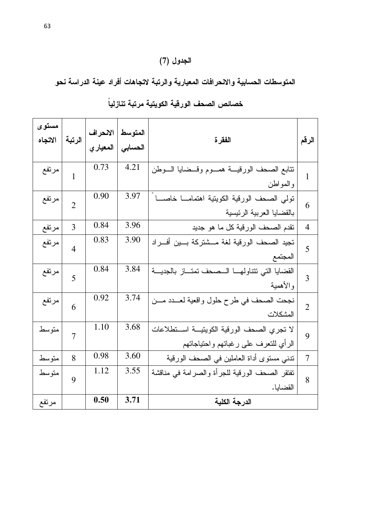# الجدول (7)

المتوسطات الحسابية والانحرافات المعيارية والرتبة لاتجاهات أفراد عينة الدراسة نحو

| مستوى<br>الاتجاه | الرتبة         | الانحراف<br>المعيار ي | المتوسط<br>الحسابى | الفقر ة                                                                              | الرقم          |
|------------------|----------------|-----------------------|--------------------|--------------------------------------------------------------------------------------|----------------|
| مرتفع            | $\mathbf{1}$   | 0.73                  | 4.21               | نتابع الصحف الورقيسة همسوم وقسضايا السوطن<br>والمواطن                                | $\mathbf{1}$   |
| مرتفع            | $\overline{2}$ | 0.90                  | 3.97               | نولى الصحف الورقية الكويتية اهتماما خاصـا<br>بالقضايا العربية الرئيسية               | 6              |
| مرتفع            | 3              | 0.84                  | 3.96               | نقدم الصحف الورقية كل ما هو جديد                                                     | $\overline{4}$ |
| مرتفع            | $\overline{4}$ | 0.83                  | 3.90               | تجيد الصحف الورقية لغة مـــشتركة بـــين أفـــراد<br>المجتمع                          | 5              |
| مرتفع            | 5              | 0.84                  | 3.84               | القضايا التى تتناولها المصحف تمتساز بالجديسة<br>والأهمية                             | 3              |
| مرتفع            | 6              | 0.92                  | 3.74               | نجحت الصحف في طرح حلول واقعية لعـــدد مـــن<br>المشكلات                              | $\overline{2}$ |
| متوسط            | $\overline{7}$ | 1.10                  | 3.68               | لا نجري الصحف الورقية الكويتيــة اســنطلاعات<br>الرأي للتعرف على رغباتهم واحتياجاتهم | 9              |
| متوسط            | 8              | 0.98                  | 3.60               | ندني مسنوى أداة العاملين في الصحف الورقية                                            | 7              |
| متوسط            | 9              | 1.12                  | 3.55               | نفتقر الصحف الورقية للجرأة والصرامة في مناقشة<br>القضايا.                            | 8              |
| مرتفع            |                | 0.50                  | 3.71               | الدرجة الكلية                                                                        |                |

خصائص الصحف الورقية الكويتية مرتبة تنازلياً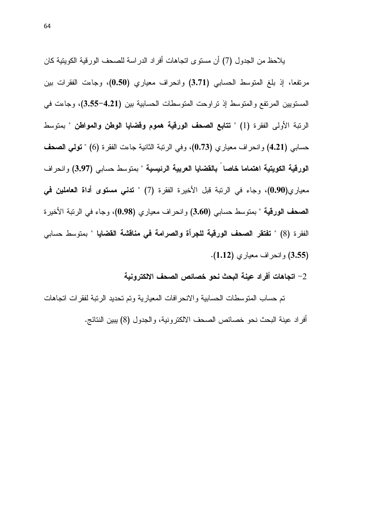يلاحظ من الجدول (7) أن مستوى اتجاهات أفراد الدراسة للصحف الورقية الكويتية كان مرتفعا، إذ بلغ المنوسط الحسابي (3.71) وانحراف معياري (0.50)، وجاءت الفقرات بين المستويين المرتفع والمتوسط إذ تراوحت المتوسطات الحسابية بين (4.21–3.55)، وجاءت في الرِّتبة الأولى الفقرة (1) " **تتابع الصحف الورقية هموم وقضايا الوطن والمواطن** " بمتوسط حسابي (4.21) وانحراف معياري (0.73)، وفي الرتبة الثانية جاءت الفقرة (6) " تولى الصحف الورقية الكويتية اهتماما خاصا ً بالقضايا العربية الرئيسية " بمتوسط حسابي (3.97) وانحراف معياري(0.90)، وجاء في الرنبة قبل الأخيرة الفقرة (7) " تدنى مستوى أداة العاملين في الصحف الورقية " بمتوسط حسابي (3.60) وانحراف معياري (0.98)، وجاء في الرتبة الأخيرة الفقر ة (8) " **تفتقر الصحف الورقية للجر**أة **والصرامة في مناقشة القضايا** " بمتوسط حسابي (3.55) وانحراف معياري (1.12).

2– اتجاهات أفراد عينة البحث نحو خصائص الصحف الالكترونية

تم حساب المتوسطات الحسابية والانحر افات المعيارية وتم تحديد الرتبة لفقرات اتجاهات أفراد عينة البحث نحو خصائص الصحف الالكترونية، والجدول (8) بيين النتائج.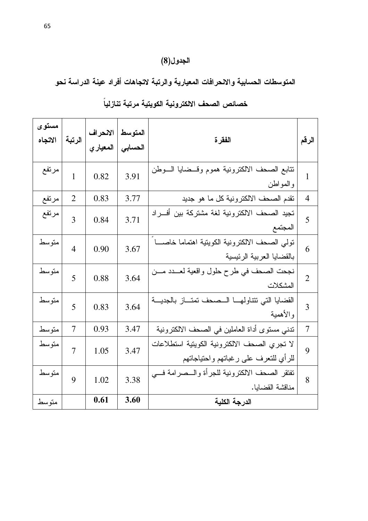# الجدول(8)

المتوسطات الحسابية والانحرافات المعيارية والرتبة لاتجاهات أفراد عينة الدراسة نحو

| مستوى<br>الاتجاه | الرتبة         | الانحراف<br>المعياري | المتوسط<br>الحسابي | الفقر ة                                                                              | الرقم          |
|------------------|----------------|----------------------|--------------------|--------------------------------------------------------------------------------------|----------------|
| مرتفع            | 1              | 0.82                 | 3.91               | نتابع الصحف الالكترونية هموم وقسضايا السوطن<br>والمواطن                              | $\mathbf{1}$   |
| مرتفع            | $\overline{2}$ | 0.83                 | 3.77               | نقدم الصحف الالكترونية كل ما هو جديد                                                 | 4              |
| مرتفع            | 3              | 0.84                 | 3.71               | تجيد الصحف الالكترونية لغة مشتركة بين أفـــراد<br>المجتمع                            | 5              |
| متوسط            | $\overline{4}$ | 0.90                 | 3.67               | نولى الصحف الالكترونية الكويتية اهتماما خاصـا<br>بالقضايا العربية الرئيسية           | 6              |
| متوسط            | 5              | 0.88                 | 3.64               | نجحت الصحف في طرح حلول واقعية لعـــدد مـــن<br>المشكلات                              | $\overline{2}$ |
| متوسط            | 5              | 0.83                 | 3.64               | القضايا التى تتناولها السصحف تمتساز بالجديسة<br>والأهمية                             | 3              |
| متوسط            | 7              | 0.93                 | 3.47               | تدنى مستوى أداة العاملين في الصحف الالكترونية                                        | 7              |
| متوسط            | $\overline{7}$ | 1.05                 | 3.47               | لا تجري الصحف الالكترونية الكويتية استطلاعات<br>للرأي للتعرف على رغباتهم واحتياجاتهم | 9              |
| متوسط            | 9              | 1.02                 | 3.38               | تفتقر الصحف الالكترونية للجرأة والسصرامة فسي<br>مناقشة القضايا.                      | 8              |
| متوسط            |                | 0.61                 | 3.60               | الدرجة الكلية                                                                        |                |

خصائص الصحف الالكترونية الكويتية مرتبة تنازلياً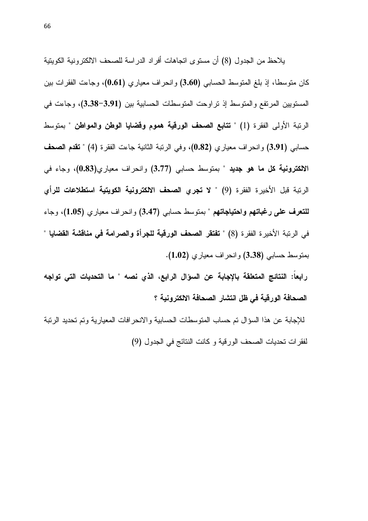يلاحظ من الجدول (8) أن مستوى اتجاهات أفراد الدراسة للصحف الالكترونية الكويتية كان منوسطًا، إذ بلغ المنوسط الحسابي (3.60) وانحراف معياري (0.61)، وجاءت الفقرات بين المستويين المرتفع والمتوسط إذ تراوحت المتوسطات الحسابية بين (3.91–3.38)، وجاءت في الرِّتبة الأولى الفقرة (1) " **تتابع الصحف الورقية هموم وقضايا الوطن والمواطن** " بمتوسط حسابي (3.91) وانحراف معياري (0.82)، وفي الرتبة الثانية جاءت الفقرة (4) " تقدم الصحف الالكترونية كل ما هو جديد " بمنوسط حسابي (3.77) وانحراف معياري(0.83)، وجاء في الرنبة قبل الأخيرة الفقرة (9) " لا تجري الصحف الالكترونية الكويتية استطلاعات للرأي للتعرف على رغباتهم واحتياجاتهم " بمنوسط حسابي (3.47) وانحراف معياري (1.05)، وجاء في الرِّتبة الأخيرِ ة الفقرِ ة (8) " **تفتقر الصحف الورقية للجر**أة **والصرامة في مناقشة القضايا** " بمتوسط حسابي (3.38) وانحراف معياري (1.02).

رابعاً: النتائج المتعلقة بالإجابة عن السؤال الرابع، الذي نصه " ما التحديات التي تواجه الصحافة الورقية في ظل انتشار الصحافة الالكترونية ؟

للإجابة عن هذا السؤال تم حساب المتوسطات الحسابية والانحرافات المعيارية وتم تحديد الرتبة لفقرات تحديات الصحف الورقية و كانت النتائج في الجدول (9)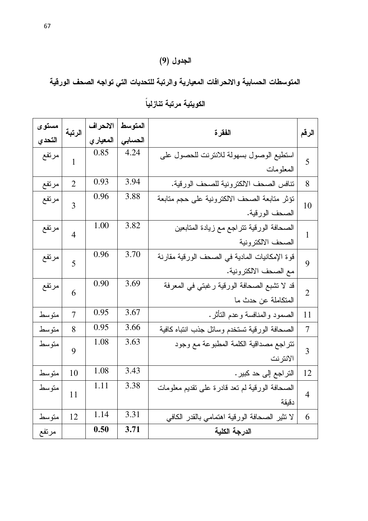# الجدول (9)

المتوسطات الحسابية والانحرافات المعيارية والرتبة للتحديات التي تواجه الصحف الورقية

| مستوى  | الرتبة         | الانحراف | المتوسط | الفقرة                                         |                |
|--------|----------------|----------|---------|------------------------------------------------|----------------|
| التحدي |                | المعياري | الحسابى |                                                | الرقم          |
| مرتفع  | 1              | 0.85     | 4.24    | استطيع الوصول بسهولة للانترنت للحصول على       | 5              |
|        |                |          |         | المعلومات                                      |                |
| مرتفع  | $\overline{2}$ | 0.93     | 3.94    | نتافس الصحف الالكترونية للصحف الورقية.         | 8              |
| مرتفع  |                | 0.96     | 3.88    | نؤثر متابعة الصحف الالكترونية على حجم متابعة   |                |
|        | 3              |          |         | الصحف الورقية.                                 | 10             |
| مرتفع  |                | 1.00     | 3.82    | الصحافة الورقية نتراجع مع زيادة المتابعين      |                |
|        | $\overline{4}$ |          |         | الصحف الالكترونية                              | 1              |
| مرتفع  |                | 0.96     | 3.70    | قوة الإمكانيات المادية في الصحف الورقية مقارنة | 9              |
|        | 5              |          |         | مع الصحف الالكترونية.                          |                |
| مرتفع  |                | 0.90     | 3.69    | قد لا نشبع الصحافة الورقية رغبتي في المعرفة    |                |
|        | 6              |          |         | المتكاملة عن حدث ما                            | $\overline{2}$ |
| متوسط  | 7              | 0.95     | 3.67    | الصمود والمنافسة وعدم النأثر.                  | 11             |
| متوسط  | 8              | 0.95     | 3.66    | الصحافة الورقية تستخدم وسائل جذب انتباه كافية  | 7              |
| متوسط  |                | 1.08     | 3.63    | نتراجع مصداقية الكلمة المطبوعة مع وجود         |                |
|        | 9              |          |         | الانترنت                                       | $\overline{3}$ |
| متوسط  | 10             | 1.08     | 3.43    | التراجع إلى حد كبير .                          | 12             |
| متوسط  |                | 1.11     | 3.38    | الصحافة الورقية لم تعد قادرة على نقديم معلومات |                |
|        | 11             |          |         | دقيقة                                          | $\overline{4}$ |
| متوسط  | 12             | 1.14     | 3.31    | لا نثير الصحافة الورقية اهتمامي بالقدر الكافي  | 6              |
| مرتفع  |                | 0.50     | 3.71    | الدرجة الكلية                                  |                |

الكويتية مرتبة تنازلياً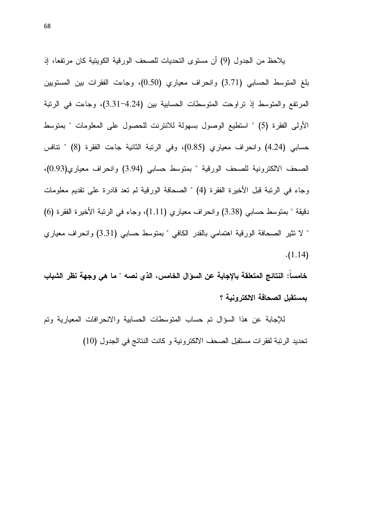يلاحظ من الجدول (9) أن مستوى التحديات للصحف الورقية الكويتية كان مرتفعا، إذ بلغ المتوسط الحسابي (3.71) وانحراف معياري (0.50)، وجاءت الفقرات بين المستويين المرتفع والمنوسط إذ تراوحت المتوسطات الحسابية بين (4.24–3.31)، وجاءت في الرتبة الأولى الفقرة (5) " استطيع الوصول بسهولة للانترنت للحصول على المعلومات " بمتوسط حسابي (4.24) وانحراف معياري (0.85)، وفي الرنبة الثانية جاءت الفقرة (8) " نتافس الصحف الالكترونية للصحف الورقية " بمتوسط حسابي (3.94) وانحراف معياري(0.93)، وجاء في الرتبة قبل الأخيرة الفقرة (4) " الصحافة الورقية لم تعد قادرة على تقديم معلومات دقيقة " بمتوسط حسابي (3.38) وانحراف معياري (1.11)، وجاء في الرتبة الأخيرة الفقرة (6) " لا نثير الصحافة الورقية اهتمامي بالقدر الكافي " بمتوسط حسابي (3.31) وانحراف معياري  $(1.14)$ 

خامساً: النتائج المتعلقة بالإجابة عن السوَّال الخامس، الذي نصه " ما هي وجهة نظر الشباب بمستقبل الصحافة الالكترونية ؟

للإجابة عن هذا السؤال تم حساب المتوسطات الحسابية والانحرافات المعيارية وتم تحديد الرتبة لفقرات مستقبل الصحف الالكترونية وكانت النتائج في الجدول (10)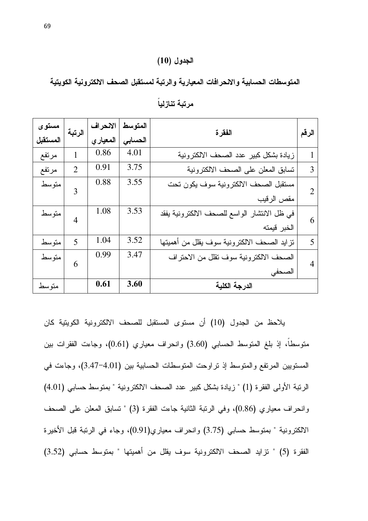#### الجدول (10)

المتوسطات الحسابية والانحرافات المعيارية والرتبة لمستقبل الصحف الالكترونية الكويتية

| مستوى    | الرتبة         | الانحراف | المتوسط | الفقر ة                                      | الرقم          |
|----------|----------------|----------|---------|----------------------------------------------|----------------|
| المستقبل |                | المعياري | الحسابى |                                              |                |
| مرتفع    | 1              | 0.86     | 4.01    | زيادة بشكل كبير عدد الصحف الالكترونية        | 1              |
| مرتفع    | $\overline{2}$ | 0.91     | 3.75    | نسابق المعلن على الصحف الالكترونية           | 3              |
| متوسط    | 3              | 0.88     | 3.55    | مستقبل الصحف الالكترونية سوف يكون تحت        | 2              |
|          |                |          |         | مقص الرقيب                                   |                |
| منوسط    | $\overline{4}$ | 1.08     | 3.53    | في ظل الانتشار الواسع للصحف الالكترونية يفقد | 6              |
|          |                |          |         | الخبر قيمته                                  |                |
| متوسط    | 5              | 1.04     | 3.52    | نزايد الصحف الالكترونية سوف يقلل من أهميتها  | 5              |
| متوسط    | 6              | 0.99     | 3.47    | الصحف الالكترونية سوف نقلل من الاحتراف       | $\overline{4}$ |
|          |                |          |         | الصحفى                                       |                |
| متوسط    |                | 0.61     | 3.60    | الدرجة الكلية                                |                |

مرتبة تنازليا

يلاحظ من الجدول (10) أن مستوى المستقبل للصحف الالكترونية الكويتية كان متوسطاً، إذ بلغ المتوسط الحسابي (3.60) وانحراف معياري (0.61)، وجاءت الفقرات بين المستويين المرتفع والمتوسط إذ نراوحت المتوسطات الحسابية بين (4.01–3.47)، وجاءت في الرنبة الأولى الفقرة (1) " زيادة بشكل كبير عدد الصحف الالكترونية " بمنوسط حسابي (4.01) وانحراف معياري (0.86)، وفي الرتبة الثانية جاءت الفقرة (3) " تسابق المعلن على الصحف الالكترونية " بمتوسط حسابي (3.75) وانحراف معياري(0.91)، وجاء في الرتبة قبل الأخيرة الفقرة (5) " نزايد الصحف الالكترونية سوف يقلل من أهميتها " بمتوسط حسابي (3.52)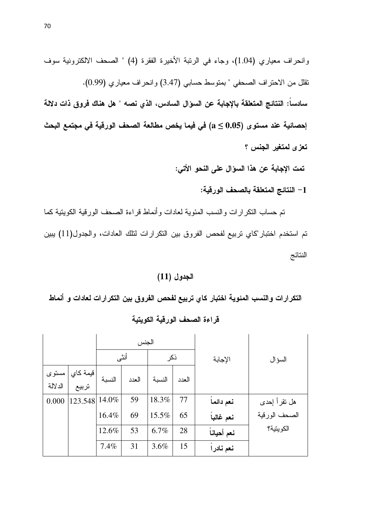تمت الإجابة عن هذا السؤال على النحو الأتي:

1– النتائج المتعلقة بالصحف الورقية:

تم حساب النكر ارات والنسب المئوية لعادات وأنماط قراءة الصحف الورقية الكويتية كما تم استخدم اختبار كاي نربيع لفحص الفروق بين النكرارات لتلك العادات، والجدول(11) يبين النتائج

### الجدول (11)

التكرارات والنسب المئوية اختبار كاي تربيع لفحص الفروق بين التكرارات لعادات و أنماط

|         |          |        | الجنس |        |       |            |               |
|---------|----------|--------|-------|--------|-------|------------|---------------|
|         |          | أنثى   |       | ذكر    |       | الإجابة    | السؤال        |
| مستوى   | قيمة كاي | النسبة | العدد | النسبة | العدد |            |               |
| الدلالة | تربيع    |        |       |        |       |            |               |
| 0.000   | 123.548  | 14.0%  | 59    | 18.3%  | 77    | نعم دائماً | هل نقر أ إحدى |
|         |          | 16.4%  | 69    | 15.5%  | 65    | نعم غالباً | الصحف الورقية |
|         |          | 12.6%  | 53    | 6.7%   | 28    | نعم أحيانا | الكويتية؟     |
|         |          | 7.4%   | 31    | 3.6%   | 15    | نعم نادرا  |               |

قراءة الصحف الورقية الكويتية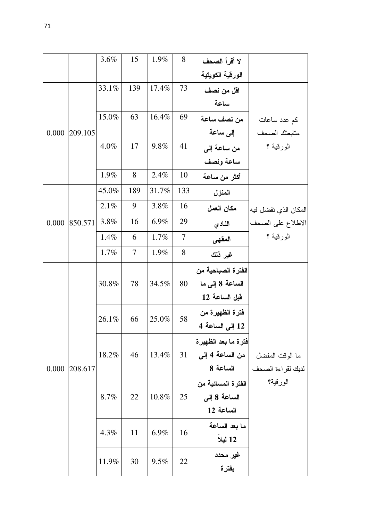|       |         | 3.6%  | 15             | 1.9%  | 8   | لا أقرأ الصحف       |                      |
|-------|---------|-------|----------------|-------|-----|---------------------|----------------------|
|       |         |       |                |       |     | الورقية الكويتية    |                      |
|       |         | 33.1% | 139            | 17.4% | 73  | اقل من نصف          |                      |
|       |         |       |                |       |     | ساعة                |                      |
|       |         | 15.0% | 63             | 16.4% | 69  | من نصف ساعة         | كم عدد ساعات         |
| 0.000 | 209.105 |       |                |       |     | إلى ساعة            | متابعتك الصحف        |
|       |         | 4.0%  | 17             | 9.8%  | 41  | من ساعة إلى         | الورقية ؟            |
|       |         |       |                |       |     | ساعة ونصف           |                      |
|       |         | 1.9%  | 8              | 2.4%  | 10  | أكثر من ساعة        |                      |
|       |         | 45.0% | 189            | 31.7% | 133 | المنزل              |                      |
| 0.000 | 850.571 | 2.1%  | 9              | 3.8%  | 16  | مكان العمل          | المكان الذي تفضل فيه |
|       |         | 3.8%  | 16             | 6.9%  | 29  | الناد ي             | الاطلاع على الصحف    |
|       |         | 1.4%  | 6              | 1.7%  | 7   | المقهى              | الورقية ؟            |
|       |         | 1.7%  | $\overline{7}$ | 1.9%  | 8   | غير ذلك             |                      |
|       |         |       |                |       |     | الفترة الصباحية من  |                      |
|       |         | 30.8% | 78             | 34.5% | 80  | الساعة 8 إلى ما     |                      |
|       |         |       |                |       |     | قبل الساعة 12       |                      |
|       |         | 26.1% | 66             | 25.0% | 58  | فترة الظهيرة من     |                      |
|       |         |       |                |       |     | 12 إلى الساعة 4     |                      |
|       |         |       |                |       |     | فترة ما بعد الظهيرة |                      |
|       |         | 18.2% | 46             | 13.4% | 31  | من الساعة 4 إلى     | ما الوقت المفضل      |
| 0.000 | 208.617 |       |                |       |     | الساعة 8            | لديك لقراءة الصحف    |
|       |         |       |                |       |     | الفتر ة المسائية من | الورقية؟             |
|       |         | 8.7%  | 22             | 10.8% | 25  | الساعة 8 إلى        |                      |
|       |         |       |                |       |     | الساعة 12           |                      |
|       |         | 4.3%  | 11             | 6.9%  | 16  | ما بعد الساعة       |                      |
|       |         |       |                |       |     | 12 ليلا             |                      |
|       |         | 11.9% | 30             | 9.5%  | 22  | غير محدد            |                      |
|       |         |       |                |       |     | بفترة               |                      |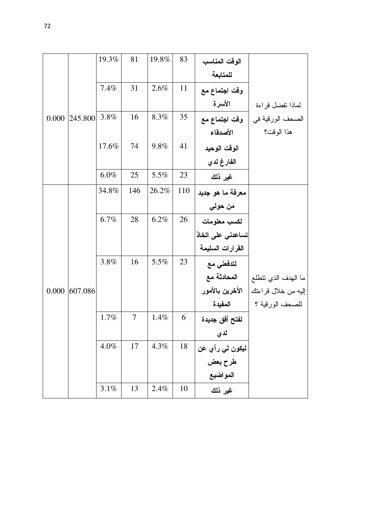|       |         | 19.3% | 81             | 19.8% | 83  | الوقت المناسب       |                     |
|-------|---------|-------|----------------|-------|-----|---------------------|---------------------|
|       |         |       |                |       |     | للمتابعة            |                     |
|       |         | 7.4%  | 31             | 2.6%  | 11  | وقت اجتماع مع       |                     |
|       |         |       |                |       |     | الأسرة              | لماذا تفضل قراءة    |
| 0.000 | 245.800 | 3.8%  | 16             | 8.3%  | 35  | وقت اجتماع مع       | الصحف الورقية في    |
|       |         |       |                |       |     | الأصدقاء            | هذا الوقت؟          |
|       |         | 17.6% | 74             | 9.8%  | 41  | الوقت الوحيد        |                     |
|       |         |       |                |       |     | الفارغ لدي          |                     |
|       |         | 6.0%  | 25             | 5.5%  | 23  | غير ذلك             |                     |
|       |         | 34.8% | 146            | 26.2% | 110 | معرفة ما هو جديد    |                     |
|       |         |       |                |       |     | من حولی             |                     |
|       |         | 6.7%  | 28             | 6.2%  | 26  | لكسب معلومات        |                     |
|       |         |       |                |       |     | تساعدنى على اتخاذ   |                     |
|       |         |       |                |       |     | القرارات السليمة    |                     |
|       |         | 3.8%  | 16             | 5.5%  | 23  | لتدفعني مع          |                     |
|       |         |       |                |       |     | المحادثة مع         | ما الهدف الذي تتطلع |
| 0.000 | 607.086 |       |                |       |     | الآخرين بالأمور     | إليه من خلال قراءتك |
|       |         |       |                |       |     | المفيدة             | للصحف الورقية ؟     |
|       |         | 1.7%  | $\overline{7}$ | 1.4%  | 6   | لفتح أفق جديدة      |                     |
|       |         |       |                |       |     | لدي                 |                     |
|       |         | 4.0%  | 17             | 4.3%  | 18  | ليکون لي رأي عن     |                     |
|       |         |       |                |       |     | طرح بعض<br>المواضيع |                     |
|       |         |       |                |       |     |                     |                     |
|       |         | 3.1%  | 13             | 2.4%  | 10  | غير ذلك             |                     |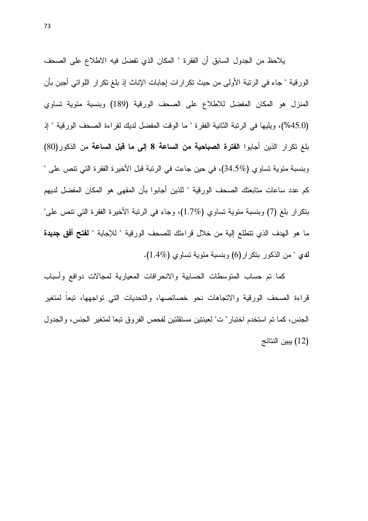يلاحظ من الجدول السابق أن الفقرة " المكان الذي تفضل فيه الاطلاع على الصحف الورقية " جاء في الرتبة الأولى من حيث تكرارات إجابات الإناث إذ بلغ تكرار اللواتي أجبن بأن المنزل هو المكان المفضل للاطلاع على الصحف الورقية (189) وبنسبة مئوية تساوى (45.0%)، وبلبها في الرئبة الثانبة الفقر ة " ما الوقت المفضل لدبك لقر اءة الصحف الور قبة " إذ بلغ تكرار الذين أجابوا الفترة الصباحية من الساعة 8 إلى ما قبل الساعة من الذكور(80) وبنسبة مئوية تساوي (34.5%)، في حين جاءت في الرنبة قبل الأخيرة الفقرة التي نتص على " كم عدد ساعات متابعتك الصحف الورقية " للذين أجابوا بأن المقهى هو المكان المفضل لديهم بتكرار بلغ (7) وبنسبة مئوية تساوي (1.7%)، وجاء في الرتبة الأخيرة الفقرة التي تتص على" ما هو الهدف الذي نتطلع إلية من خلال قراءتك للصحف الورقية " للإجابة " **لفتح أفق جديدة** لدى " من الذكور بتكرار (6) وبنسبة مئوية تساوى (1.4%).

كما تم حساب المتوسطات الحسابية والانحرافات المعيارية لمجالات دوافع وأسباب قراءة الصحف الورقية والاتجاهات نحو خصائصها، والتحديات التي تواجهها، تبعاً لمتغير الجنس، كما تم استخدم اختبار " ت" لعينتين مستقلتين لفحص الفروق تبعا لمتغير الجنس، والجدول (12) يبين النتائج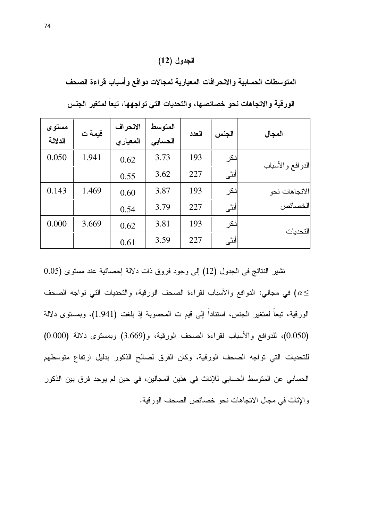## الجدول (12)

المتوسطات الحسابية والانحرافات المعيارية لمجالات دوافع وأسباب قراءة الصحف

| مستوى<br>الدلالة | قيمة ت | الانحراف<br>المعيار ي | المتو سط<br>الحسابي | العدد | الجنس | المجال            |
|------------------|--------|-----------------------|---------------------|-------|-------|-------------------|
| 0.050            | 1.941  | 0.62                  | 3.73                | 193   | ذكر   | اللدوافع والأسباب |
|                  |        | 0.55                  | 3.62                | 227   | أنثى  |                   |
| 0.143            | 1.469  | 0.60                  | 3.87                | 193   | ذكر   | الاتجاهات نحو     |
|                  |        | 0.54                  | 3.79                | 227   | أنثى  | الخصائص           |
| 0.000            | 3.669  | 0.62                  | 3.81                | 193   | ذكر   | التحديات          |
|                  |        | 0.61                  | 3.59                | 227   | أنثى  |                   |

الورقية والاتجاهات نحو خصائصها، والتحديات التي تواجهها، تبعاً لمتغير الجنس

نشير النتائج في الجدول (12) إلى وجود فروق ذات دلالة إحصائية عند مستوى (0.05 في مجالي: الدوافع والأسباب لقراءة الصحف الورقية، والتحديات التي تواجه الصحف  $\alpha$ الورقية، تبعاً لمتغير الجنس، استناداً إلى قيم ت المحسوبة إذ بلغت (1.941)، وبمستوى دلالة (0.050)، للدوافع والأسباب لقراءة الصحف الورقية، و(3.669) وبمستوى دلالة (0.000) للتحديات التي تواجه الصحف الورقية، وكان الفرق لصالح الذكور بدليل ارتفاع متوسطهم الحسابي عن المتوسط الحسابي للإناث في هذين المجالين، في حين لم يوجد فرق بين الذكور والإناث في مجال الاتجاهات نحو خصائص الصحف الورقية.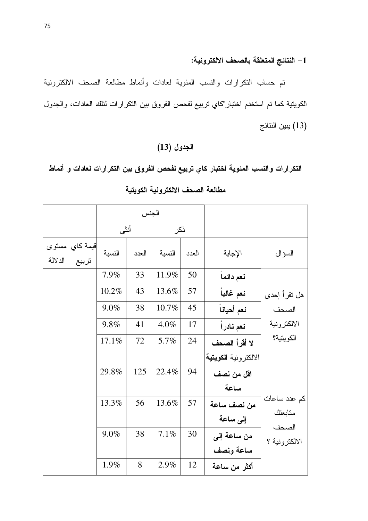1– النتائج المتعلقة بالصحف الالكترونية:

تم حساب النكرارات والنسب المئوية لعادات وأنماط مطالعة الصحف الالكترونية الكويتية كما تم استخدم اختبار كاي تربيع لفحص الفروق بين النكر ارات لنلك العادات، والجدول (13) يبين النتائج

## الجدول (13)

التكرارات والنسب المئوية اختبار كاي تربيع لفحص الفروق بين التكرارات لعادات و أنماط

|         |                           |                 | الجنس |        |       |                      |                         |
|---------|---------------------------|-----------------|-------|--------|-------|----------------------|-------------------------|
|         |                           | أنثى            |       | ذكر    |       |                      |                         |
| الدلالة | قيمة كاي   مستوى<br>تربيع | النسبة<br>العدد |       | النسبة | العدد | الإجابة              | السؤال                  |
|         |                           | 7.9%            | 33    | 11.9%  | 50    | نعم دائما            |                         |
|         |                           | 10.2%           | 43    | 13.6%  | 57    | نعم غالباً           | هل نقرأ إحدى            |
|         |                           | 9.0%            | 38    | 10.7%  | 45    | نعم أحياناً          | الصحف                   |
|         |                           | 9.8%            | 41    | 4.0%   | 17    | نعم نادراً           | الالكترونية             |
|         |                           | 17.1%           | 72    | 5.7%   | 24    | لا أقرأ الصحف        | الكويتية؟               |
|         |                           |                 |       |        |       | الالكترونية الكويتية |                         |
|         |                           | 29.8%           | 125   | 22.4%  | 94    | اقل من نصف           |                         |
|         |                           |                 |       |        |       | ساعة                 |                         |
|         |                           | 13.3%           | 56    | 13.6%  | 57    | من نصف ساعة          | كم عدد ساعات<br>متابعتك |
|         |                           |                 |       |        |       | إلى ساعة             | الصحف                   |
|         |                           | 9.0%            | 38    | 7.1%   | 30    | من ساعة إلى          | الالكترونية ؟           |
|         |                           |                 |       |        |       | ساعة ونصف            |                         |
|         |                           | 1.9%            | 8     | 2.9%   | 12    | أكثر من ساعة         |                         |

### مطالعة الصحف الالكترونية الكويتية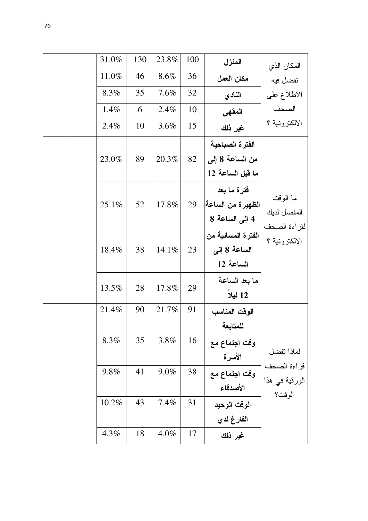|  | 31.0%   | 130 | 23.8%   | 100 | المنزل             | المكان الذي                             |
|--|---------|-----|---------|-----|--------------------|-----------------------------------------|
|  | 11.0%   | 46  | 8.6%    | 36  | مكان العمل         | تفضل فيه                                |
|  | 8.3%    | 35  | 7.6%    | 32  | النادي             | الاطلاع على                             |
|  | $1.4\%$ | 6   | 2.4%    | 10  | المقهى             | الصحف                                   |
|  | 2.4%    | 10  | 3.6%    | 15  | غير ذلك            | الالكترونية ؟                           |
|  |         |     |         |     | الفترة الصباحية    |                                         |
|  | 23.0%   | 89  | 20.3%   | 82  | من الساعة 8 إلى    |                                         |
|  |         |     |         |     | ما قبل الساعة 12   |                                         |
|  |         |     |         |     | فترة ما بعد        |                                         |
|  | 25.1%   | 52  | 17.8%   | 29  | الظهيرة من الساعة  | ما الوقت<br>المفضل لديك<br>لقراءة الصحف |
|  |         |     |         |     | 4 إلى الساعة 8     |                                         |
|  |         | 38  |         |     | الفترة المسائية من | الالكترونية ؟                           |
|  | 18.4%   |     | 14.1%   | 23  | الساعة 8 إلى       |                                         |
|  |         |     |         |     | الساعة 12          |                                         |
|  | 13.5%   | 28  | 17.8%   | 29  | ما بعد الساعة      |                                         |
|  |         |     |         |     | 12 ليلا            |                                         |
|  | 21.4%   | 90  | 21.7%   | 91  | الوقت المناسب      |                                         |
|  |         |     |         |     | للمتابعة           |                                         |
|  | 8.3%    | 35  | 3.8%    | 16  | وقت اجتماع مع      |                                         |
|  |         |     |         |     | الأسرة             | لماذا تفضل                              |
|  | 9.8%    | 41  | 9.0%    | 38  | وقت اجتماع مع      | قراءة الصحف                             |
|  |         |     |         |     | الأصدقاء           | الورقية في هذا<br>الوقت؟                |
|  | 10.2%   | 43  | 7.4%    | 31  | الوقت الوحيد       |                                         |
|  |         |     |         |     | الفارغ لدي         |                                         |
|  | $4.3\%$ | 18  | $4.0\%$ | 17  | غير ذلك            |                                         |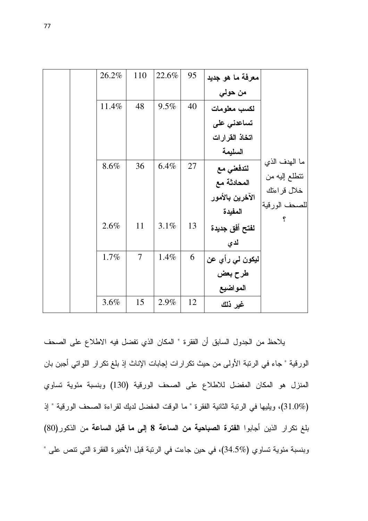|  | 26.2% | 110            | 22.6%   | 95 | معرفة ما هو جديد |                    |
|--|-------|----------------|---------|----|------------------|--------------------|
|  |       |                |         |    | من حولي          |                    |
|  | 11.4% | 48             | $9.5\%$ | 40 | لكسب معلومات     |                    |
|  |       |                |         |    | تساعدنى على      |                    |
|  |       |                |         |    | اتخاذ القرارات   |                    |
|  |       |                |         |    | السليمة          |                    |
|  | 8.6%  | 36             | 6.4%    | 27 | لتدفعني مع       | ما الهدف الذي      |
|  |       |                |         |    | المحادثة مع      | نتطلع إليه من      |
|  |       |                |         |    | الآخرين بالأمور  | خلال قراءتك        |
|  |       |                |         |    | المفيدة          | للصحف الورقية<br>Ç |
|  | 2.6%  | 11             | 3.1%    | 13 | لفتح أفق جديدة   |                    |
|  |       |                |         |    | لدي              |                    |
|  | 1.7%  | $\overline{7}$ | 1.4%    | 6  | ليکون لمی رأي عن |                    |
|  |       |                |         |    | طرح بعض          |                    |
|  |       |                |         |    | المواضيع         |                    |
|  | 3.6%  | 15             | 2.9%    | 12 | غير ذلك          |                    |

يلاحظ من الجدول السابق أن الفقرة " المكان الذي تفضل فيه الاطلاع على الصحف الورقية " جاء في الرتبة الأولى من حيث نكر ار ات إجابات الإناث إذ بلغ نكر ار اللواتي أجبن بان المنزل هو المكان المفضل للاطلاع على الصحف الورقية (130) وبنسبة مئوية تساوي (31.0%)، ويليها في الرتبة الثانية الفقرة " ما الوقت المفضل لديك لقراءة الصحف الورقية " إذ بلغ تكرار الذين أجابوا ا**لفترة الصباحية من الساعة 8 إلى ما قبل الساعة** من الذكور(80) وبنسبة مئوية تساوي (34.5%)، في حين جاءت في الرتبة قبل الأخيرة الفقرة التي تتص على "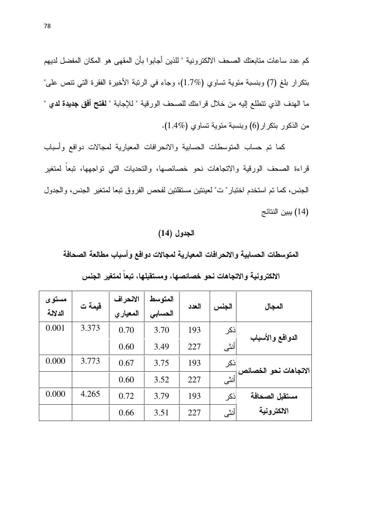كم عدد ساعات متابعتك الصحف الالكترونية " للذين أجابوا بأن المقهى هو المكان المفضل لديهم بنكر ار بلغ (7) وبنسبة مئوية تساوي (1.7%)، وجاء في الرتبة الأخيرة الفقرة التي نتص على" ما الهدف الذي نتطلع إليه من خلال قراءتك للصحف الورقية " للإجابة " **لفتح أفق جديدة لدى** " من الذكور بنكرار (6) وبنسبة مئوية تساوي (1.4%).

كما تم حساب المتوسطات الحسابية والانحرافات المعيارية لمجالات دوافع وأسباب قراءة الصحف الورقية والاتجاهات نحو خصائصها، والتحديات التي تواجهها، تبعاً لمتغير الجنس، كما تم استخدم اختبار " ت" لعينتين مستقلتين لفحص الفروق تبعا لمتغير الجنس، والجدول (14) يبين النتائج

#### الجدول (14)

المتوسطات الحسابية والانحرافات المعيارية لمجالات دوافع وأسباب مطالعة الصحافة

| مستوى<br>الدلالة | قيمة ت | الانحراف<br>المعيار ي | المتوسط<br>الحسابي | العدد | الجنس | المجال                |
|------------------|--------|-----------------------|--------------------|-------|-------|-----------------------|
| 0.001            | 3.373  | 0.70                  | 3.70               | 193   | ذكر   | الدوافع والأسباب      |
|                  |        | 0.60                  | 3.49               | 227   | أنثى  |                       |
| 0.000            | 3.773  | 0.67                  | 3.75               | 193   | ذكر   | الاتجاهات نحو الخصائص |
|                  |        | 0.60                  | 3.52               | 227   | اأنڈى |                       |
| 0.000            | 4.265  | 0.72                  | 3.79               | 193   | ذكر   | مستقبل الصحافة        |
|                  |        | 0.66                  | 3.51               | 227   | أنثى  | الالكترونية           |

الالكترونية والاتجاهات نحو خصائصها، ومستقبلها، تبعا لمتغير الجنس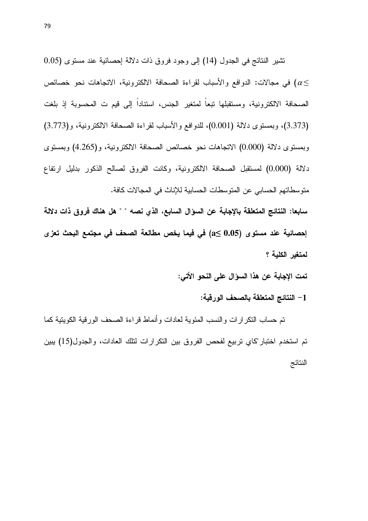نتثمير النتائج في الجدول (14) إلى وجود فروق ذات دلالة إحصائية عند مستوى (0.05 في مجالات: الدوافع والأسباب لقراءة الصحافة الالكترونية، الاتجاهات نحو خصائص  $\alpha$ ≤ الصحافة الالكترونية، ومستقبلها تبعاً لمتغير الجنس، استناداً إلى قيم ت المحسوبة إذ بلغت (3.373)، وبمستوى دلالة (0.001)، للدوافع والأسباب لقراءة الصحافة الالكترونية، و(3.773) وبمستوى دلالة (0.000) الاتجاهات نحو خصائص الصحافة الالكترونية، و(4.265) وبمستوى دلالة (0.000) لمستقبل الصحافة الالكترونية، وكانت الفروق لصالح الذكور بدليل ارتفاع منوسطاتهم الحسابي عن المنوسطات الحسابية للإناث في المجالات كافة.

سابعا: النتائج المتعلقة بالإجابة عن السؤال السابع، الذي نصه " " هل هناك فروق ذات دلالة إحصائية عند مستوى (0.05) £ في فيما يخص مطالعة الصحف في مجتمع البحث تعزى لمتغير الكلبة ؟

تمت الإجابة عن هذا السؤال على النحو الأتي:

1– النتائج المتعلقة بالصحف الورقية:

تم حساب النكر ارات والنسب المئوية لعادات وأنماط قراءة الصحف الورقية الكوينية كما تم استخدم اختبار "كاي تر بيع لفحص الفر و ق بين النكر ار ات لتلك العادات، و الجدول(15) ببين النتائج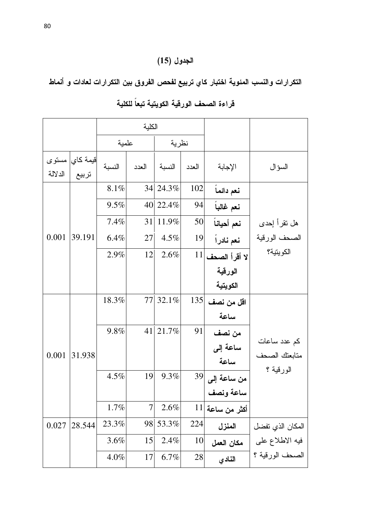# الجدول (15)

التكر ار ات والنسب المئوية اختبار كاي تربيع لفحص الفروق بين التكر ار ات لعادات و أنماط

|         |                           |         | الكلية         |          |       |                                |                               |
|---------|---------------------------|---------|----------------|----------|-------|--------------------------------|-------------------------------|
|         |                           | علمية   |                | نظرية    |       |                                |                               |
| الدلالة | قيمة كاي   مستوى<br>تربيع | النسبة  | العدد          | النسبة   | العدد | الإجابة                        | السؤال                        |
|         |                           | 8.1%    |                | 34 24.3% | 102   | نعم دائماً                     |                               |
|         |                           | 9.5%    |                | 40 22.4% | 94    | نعم غالباً                     |                               |
|         |                           | 7.4%    | 31             | 11.9%    | 50    | نعم أحياناً                    | هل نقرأ إحدى                  |
| 0.001   | 39.191                    | 6.4%    | 27             | $4.5\%$  | 19    | نعم نادراً                     | الصحف الورقية                 |
|         |                           | 2.9%    | 12             | $2.6\%$  |       | لا أقرأ الصحف $\vert 11 \vert$ | الكويتية؟                     |
|         |                           |         |                |          |       | الورقية                        |                               |
|         |                           |         |                |          |       | الكويتية                       |                               |
|         |                           | 18.3%   |                | 77 32.1% | 135   | اقل من نصف                     |                               |
|         |                           |         |                |          |       | ساعة                           |                               |
|         |                           | 9.8%    |                | 41 21.7% | 91    | من نصف                         |                               |
| 0.001   | 31.938                    |         |                |          |       | ساعة إلى                       | كم عدد ساعات<br>متابعتك الصحف |
|         |                           |         |                |          |       | ساعة                           |                               |
|         |                           | $4.5\%$ | 19             | 9.3%     |       | من ساعة إل <i>ى</i> 39         | الورقية ؟                     |
|         |                           |         |                |          |       | ساعة ونصف                      |                               |
|         |                           | 1.7%    | $\overline{7}$ | 2.6%     |       | $\left 11\right $ أكثر من ساعة |                               |
| 0.027   | 28.544                    | 23.3%   |                | 98 53.3% | 224   | المنزل                         | المكان الذي تفضل              |
|         |                           | 3.6%    | 15             | 2.4%     | 10    | مكان العمل                     | فيه الاطلاع على               |
|         |                           | $4.0\%$ | 17             | $6.7\%$  | 28    | النادي                         | الصحف الورقية ؟               |

قراءة الصحف الورقية الكويتية تبعا للكلية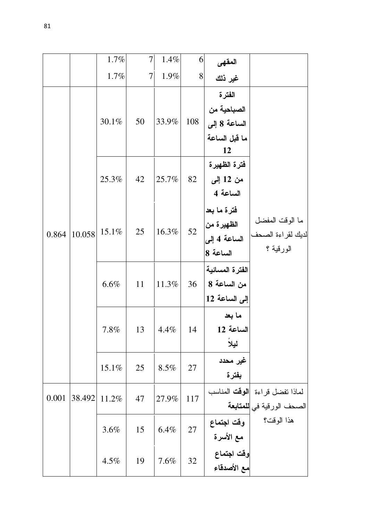|       |        | 1.7%  |    | 7 | 1.4%     | 6   | المقهى                                                       |                                                                           |
|-------|--------|-------|----|---|----------|-----|--------------------------------------------------------------|---------------------------------------------------------------------------|
|       |        | 1.7%  |    | 7 | 1.9%     | 8   | غير ذلك                                                      |                                                                           |
|       |        | 30.1% | 50 |   | 33.9%    | 108 | الفترة<br>الصباحية من<br>الساعة 8 إلى<br>ما قبل الساعة<br>12 |                                                                           |
|       |        | 25.3% | 42 |   | 25.7%    | 82  | فترة الظهيرة<br>من 12 إلى<br>الساعة 4                        |                                                                           |
| 0.864 | 10.058 | 15.1% | 25 |   | 16.3%    | 52  | فترة ما بعد<br>الظهيرة من<br>الساعة 4 إلى<br>الساعة 8        | ما الوقت المفضل<br>لديك لقراءة الصحف <br>الورقية ؟                        |
|       |        | 6.6%  | 11 |   | $11.3\%$ | 36  | الفترة المسائية<br>من الساعة 8<br>إلى الساعة 12              |                                                                           |
|       |        | 7.8%  | 13 |   | $4.4\%$  | 14  | ما بعد<br>الساعة 12<br>ليلأ                                  |                                                                           |
|       |        | 15.1% | 25 |   | 8.5%     | 27  | غير محدد<br>بفترة                                            |                                                                           |
| 0.001 | 38.492 | 11.2% | 47 |   | 27.9%    | 117 |                                                              | لماذا تفضل قراءة  الوقت المناسب<br>الصحف الورقية في <mark>للمتابعة</mark> |
|       |        | 3.6%  | 15 |   | 6.4%     | 27  | وقت اجتماع<br>مع الأسرة                                      | هذا الوقت؟                                                                |
|       |        | 4.5%  | 19 |   | 7.6%     | 32  | وقت اجتماع<br> <br> مع الأصدقاء                              |                                                                           |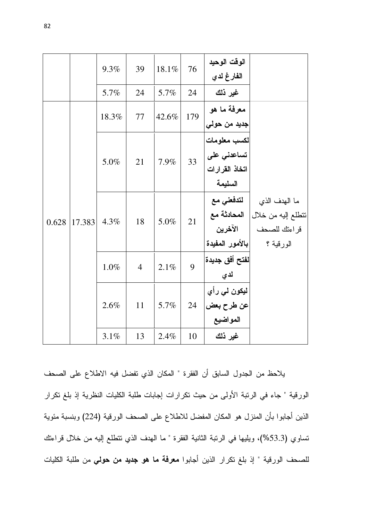|       |        | 9.3%    | 39             | 18.1% | 76  | الوقت الوحيد<br>الفارغ لدي |                                          |
|-------|--------|---------|----------------|-------|-----|----------------------------|------------------------------------------|
|       |        | 5.7%    | 24             | 5.7%  | 24  | غير ذلك                    |                                          |
|       |        | 18.3%   | 77             | 42.6% | 179 | معرفة ما هو                |                                          |
|       |        |         |                |       |     | جديد من حولي               |                                          |
|       |        |         |                |       |     | لكسب معلومات               |                                          |
|       |        | 5.0%    | 21             | 7.9%  | 33  | تساعدني على                |                                          |
|       |        |         |                |       |     | اتخاذ القرارات             |                                          |
|       |        |         |                |       |     | السليمة                    |                                          |
|       |        |         |                |       |     |                            | ما الهدف الذي      ل <b>تدفعني مع</b>    |
| 0.628 | 17.383 | $4.3\%$ | 18             | 5.0%  | 21  |                            | نتطلع إليه من خلال   ا <b>لمحادثة مع</b> |
|       |        |         |                |       |     |                            | قراءتك للصحف      الآخرين                |
|       |        |         |                |       |     |                            |                                          |
|       |        | 1.0%    | $\overline{4}$ | 2.1%  | 9   | لفتح أفق جديدة             |                                          |
|       |        |         |                |       |     | لدي                        |                                          |
|       |        |         |                |       |     | ليكون لي رأي               |                                          |
|       |        | 2.6%    | 11             | 5.7%  | 24  | عن طرح بعض                 |                                          |
|       |        |         |                |       |     | المواضيع                   |                                          |
|       |        | 3.1%    | 13             | 2.4%  | 10  | غير ذلك                    |                                          |

يلاحظ من الجدول السابق أن الفقرة " المكان الذي تفضل فيه الاطلاع على الصحف الورقية " جاء في الرنبة الأولى من حيث نكرارات إجابات طلبة الكليات النظرية إذ بلغ نكرار الذين أجابوا بأن المنزل هو المكان المفضل للاطلاع على الصحف الورقية (224) وبنسبة مئوية نساوي (53.3%)، ويليها في الرنبة الثانية الفقرة " ما الهدف الذي نتطلع إليه من خلال قراءتك للصحف الورقية " إذ بلغ نكرار الذين أجابوا **معرفة ما هو جديد من حولي** من طلبة الكليات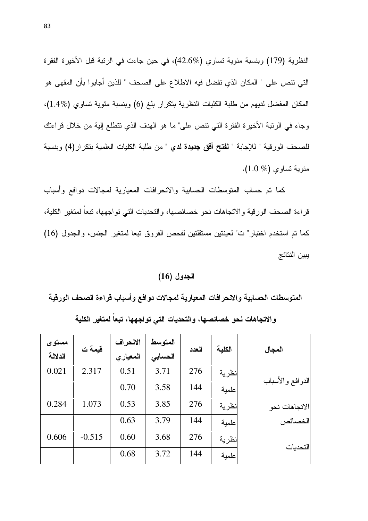النظرية (179) وبنسبة مئوية تساوي (42.6%)، في حين جاءت في الرتبة قبل الأخيرة الفقرة التي تتص على " المكان الذي تفضل فيه الاطلاع على الصحف " للذين أجابوا بأن المقهى هو المكان المفضل لديهم من طلبة الكليات النظرية بتكرار بلغ (6) وبنسبة مئوية تساوي (1.4%)، وجاء في الرتبة الأخيرة الفقرة التي تتص على" ما هو الهدف الذي تتطلع إلية من خلال قراءتك للصحف الورقية " للإجابة " **لفتح أفق جديدة لدي** " من طلبة الكليات العلمية بتكر ار (4) وبنسبة مئوية تساوي ( $\sim (1.0~\%)$ .

كما تم حساب المتوسطات الحسابية والانحرافات المعيارية لمجالات دوافع وأسباب قراءة الصحف الورقية والاتجاهات نحو خصائصها، والتحديات التي تواجهها، تبعا لمتغير الكلية، كما تم استخدم اختبار" ت" لعينتين مستقلتين لفحص الفروق تبعا لمتغير الجنس، والجدول (16) يبين النتائج

#### $(16)$  الجدول

المتوسطات الحسابية والانحرافات المعيارية لمجالات دوافع وأسباب قراءة الصحف الورقية

| مستوى<br>الدلالة | قيمة ت   | الانحراف<br>المعياري | المتوسط<br>الحسابي | العدد | الكلية | المجال            |
|------------------|----------|----------------------|--------------------|-------|--------|-------------------|
| 0.021            | 2.317    | 0.51                 | 3.71               | 276   | نظر ية |                   |
|                  |          | 0.70                 | 3.58               | 144   | علمية  | االدوافع والأسباب |
| 0.284            | 1.073    | 0.53                 | 3.85               | 276   | نظرية  | الاتجاهات نحو     |
|                  |          | 0.63                 | 3.79               | 144   | علمية  | الخصائص           |
| 0.606            | $-0.515$ | 0.60                 | 3.68               | 276   | نظرية  |                   |
|                  |          | 0.68                 | 3.72               | 144   | علمية  | التحدبات          |

والاتجاهات نحو خصائصها، والتحديات التى تواجهها، تبعا لمتغير الكلية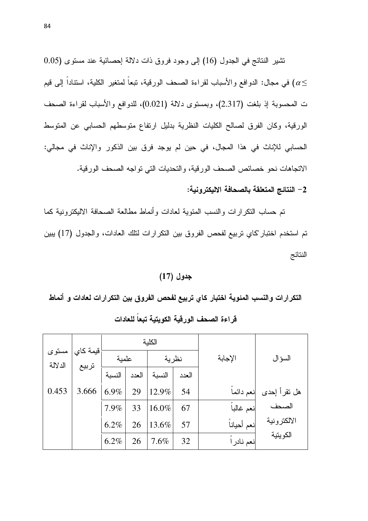نتثمير النتائج في الجدول (16) إلى وجود فروق ذات دلالة إحصائية عند مستوى (0.05 في مجال: الدوافع والأسباب لقراءة الصحف الورقية، تبعا لمتغير الكلية، استنادا إلى قيم ) في الله عنه  $(\alpha \leq$ ت المحسوبة إذ بلغت (2.317)، وبمستوى دلالة (0.021)، للدوافع والأسباب لقراءة الصحف الورقية، وكان الفرق لصالح الكليات النظرية بدليل ارتفاع منوسطهم الحسابي عن المنوسط الحسابي للإناث في هذا المجال، في حين لم يوجد فرق بين الذكور والإناث في مجالي: الاتجاهات نحو خصائص الصحف الورقية، والتحديات التي تواجه الصحف الورقية.

## 2– النتائج المتعلقة بالصحافة الاليكترونية:

تم حساب التكرارات والنسب المئوية لعادات وأنماط مطالعة الصحافة الاليكترونية كما تم استخدم اختبار "كاي نربيع لفحص الفروق بين النكر ارات لنلك العادات، والجدول (17) يبين النتائج

#### جدول (17)

التكرارات والنسب المئوية اختبار كاي تربيع لفحص الفروق بين التكرارات لعادات و أنماط قراءة الصحف الورقية الكويتية تبعاً للعادات

|                  |                   |         |       | الكلبة |       |              |              |
|------------------|-------------------|---------|-------|--------|-------|--------------|--------------|
| مستوى<br>الدلالة | قيمة كاي<br>تربيع | علمية   |       | نظرية  |       | الإجابة      | السؤ ال      |
|                  |                   | النسبة  | العدد | النسبة | العدد |              |              |
| 0.453            | 3.666             | $6.9\%$ | 29    | 12.9%  | 54    | نعم دائما    | هل تقرأ إحدى |
|                  |                   | 7.9%    | 33    | 16.0%  | 67    | نعم غالبا    | الصحف        |
|                  |                   | $6.2\%$ | 26    | 13.6%  | 57    | أنعم أحياناً | الالكتر ونية |
|                  |                   | 6.2%    | 26    | 7.6%   | 32    | انعم نادرا   | الكويتية     |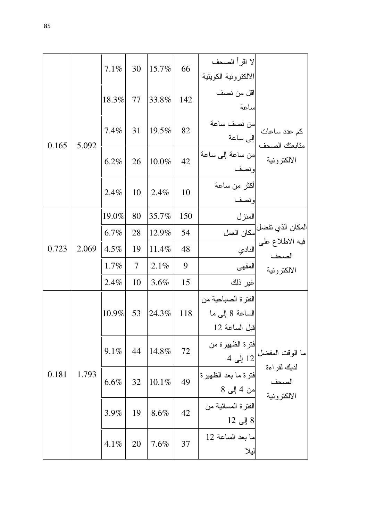|       |       | $7.1\%$ | 30     | 15.7% | 66  | لا اقرأ الصحف<br>الالكتر ونية الكويتية                 |                                                                                             |
|-------|-------|---------|--------|-------|-----|--------------------------------------------------------|---------------------------------------------------------------------------------------------|
|       |       | 18.3%   | 77     | 33.8% | 142 | اقل من نصف<br>ساعة                                     |                                                                                             |
|       | 5.092 | 7.4%    | 31     | 19.5% | 82  |                                                        | من نصف ساعة<br>كم عدد ساعات<br>متابعتك الصحف للجي ساعة                                      |
| 0.165 |       | $6.2\%$ | 26     | 10.0% | 42  | من ساعة إلى ساعة <br>ونصف                              | الالكترونية                                                                                 |
|       |       | 2.4%    | 10     | 2.4%  | 10  | أكثر من ساعة<br>ونصف                                   |                                                                                             |
|       |       | 19.0%   | 80     | 35.7% | 150 | المنزل                                                 |                                                                                             |
|       |       | 6.7%    | 28     | 12.9% | 54  |                                                        |                                                                                             |
| 0.723 | 2.069 | $4.5\%$ | 19     | 11.4% | 48  |                                                        | المكان الذي تفضل <mark>مكان العمل</mark><br>أفيه الاطلاع على النادي<br>الصحف<br>الالكترونية |
|       |       | 1.7%    | $\tau$ | 2.1%  | 9   | المقهى                                                 |                                                                                             |
|       |       | 2.4%    | 10     | 3.6%  | 15  | غير ذلك                                                |                                                                                             |
|       |       | 10.9%   | 53     | 24.3% | 118 | الفترة الصباحية من<br>الساعة 8 إلى ما<br>قبل الساعة 12 |                                                                                             |
|       |       | $9.1\%$ | 44     | 14.8% | 72  |                                                        | فترة الظهيرة من<br>ما الوقت المفضل 12 إلى 4                                                 |
| 0.181 | 1.793 | 6.6%    | 32     | 10.1% | 49  | فترة ما بعد الظهيرة<br>من 4 إلى 8                      | لدبك لقراءة<br>الصحف<br>الالكترونية                                                         |
|       |       | 3.9%    | 19     | 8.6%  | 42  | الفترة المسائية من<br>8 إلى 12                         |                                                                                             |
|       |       | 4.1%    | 20     | 7.6%  | 37  | ما بعد الساعة 12<br>ليلا                               |                                                                                             |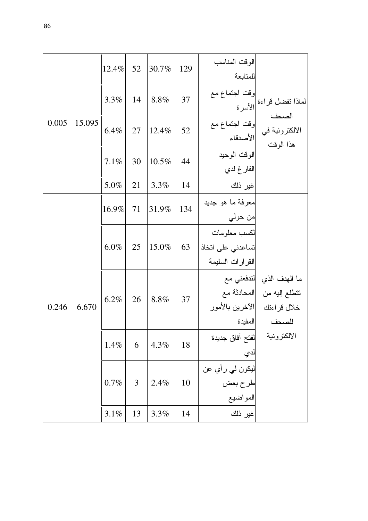|       |        |              |    |       |     | الوقت المناسب                |                                                                    |
|-------|--------|--------------|----|-------|-----|------------------------------|--------------------------------------------------------------------|
|       |        | 12.4%        | 52 | 30.7% | 129 | للمتابعة                     |                                                                    |
| 0.005 |        | $3.3\%$      | 14 | 8.8%  | 37  | وفت اجتماع مع                |                                                                    |
|       |        |              |    |       |     |                              |                                                                    |
|       | 15.095 | 6.4%         | 27 | 12.4% | 52  |                              | لماذا تفضل قراءة الأسرة<br>الصحف<br>الالكترونية في الله المتماع مع |
|       |        |              |    |       |     | الأصدقاء                     | هذا الوقت                                                          |
|       |        | 7.1%         | 30 | 10.5% | 44  | اللوقت الوحيد                |                                                                    |
|       |        |              |    |       |     | الفار غ لدي                  |                                                                    |
|       |        | 5.0%         | 21 | 3.3%  | 14  | غير ذلك                      |                                                                    |
|       |        | 16.9%        |    | 31.9% |     | معرفة ما هو جديد             |                                                                    |
|       |        |              | 71 |       | 134 | من حولي                      |                                                                    |
|       |        | $6.0\%$      |    | 15.0% |     | لكسب معلومات                 |                                                                    |
|       |        |              | 25 |       | 63  | تساعدني على اتخاذ            |                                                                    |
|       |        |              |    |       |     | القرارات السليمة             |                                                                    |
|       |        |              | 26 | 8.8%  |     |                              | ما الهدف الذي  لتدفعني مع                                          |
|       |        | $6.2\%$      |    |       | 37  |                              | تتطلع إليه من     المحادثة مع                                      |
| 0.246 | 6.670  |              |    |       |     | خلال قراءنك  الأخرين بالأمور |                                                                    |
|       |        |              |    |       |     | المفيدة                      | للصحف                                                              |
|       |        | 1.4%         | 6  | 4.3%  | 18  | لفتح آفاق جديدة              | الالكترونية                                                        |
|       |        |              |    |       |     | لدي                          |                                                                    |
|       |        | $0.7\%$<br>3 |    |       |     | ليکون لي ر أي عن             |                                                                    |
|       |        |              |    | 2.4%  | 10  | طرح بعض<br>المواضيع          |                                                                    |
|       |        |              |    |       |     |                              |                                                                    |
|       |        | 3.1%         | 13 | 3.3%  | 14  | غير ذلك                      |                                                                    |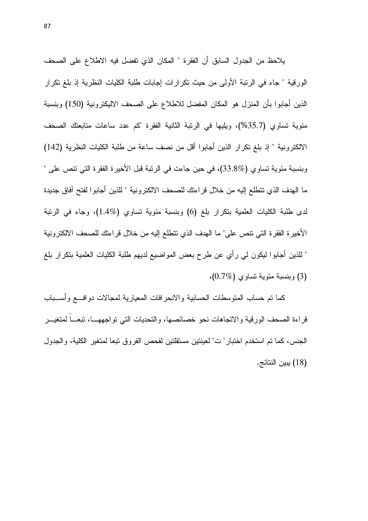يلاحظ من الجدول السابق أن الفقرة " المكان الذي تفضل فيه الاطلاع على الصحف الورقية " جاء في الرتبة الأولى من حيث تكرارات إجابات طلبة الكليات النظرية إذ بلغ تكرار الذين أجابوا بأن المنزل هو المكان المفضل للاطلاع على الصحف الاليكترونية (150) وبنسبة مئوية تساوي (35.7%)، ويليها في الرتبة الثانية الفقرة "كم عدد ساعات متابعتك الصحف الالكترونية " إذ بلغ تكرار الذين أجابوا أقل من نصف ساعة من طلبة الكليات النظرية (142) وبنسبة مئوية تساوي (33.8%)، في حين جاءت في الرتبة قبل الأخيرة الفقرة التي نتص على " ما الهدف الذي نتطلع إليه من خلال قراءتك للصحف الالكترونية " للذين أجابوا لفتح افاق جديدة لدى طلبة الكليات العلمية بتكرار بلغ (6) وبنسبة مئوية تساوي (1.4%)، وجاء في الرتبة الأخيرة الفقرة التي تتص على" ما الـهدف الذي نتطلع إليه من خلال قراءتك للصـحف الالكترونية " للذين أجابوا ليكون لي رأي عن طرح بعض المواضيع لديهم طلبة الكليات العلمية بتكرار بلغ (3) وبنسبة مئوية نساوي (0.7%)،

كما تم حساب المتوسطات الحسابية والانحرافات المعيارية لمجالات دوافـــع وأســـباب قراءة الصحف الورقية والاتجاهات نحو خصائصها، والتحديات التي تواجههـــا، تبعـــا لمتغيـــر الجنس، كما تم استخدم اختبار " ت" لعينتين مستقلتين لفحص الفروق تبعا لمتغير الكلية، والجدول (18) يبين النتائج.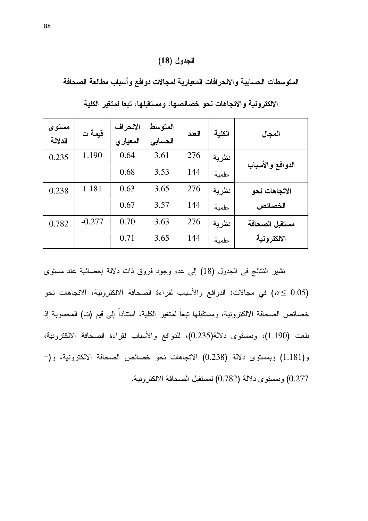#### الجدول (18)

المتوسطات الحسابية والانحرافات المعيارية لمجالات دوافع وأسباب مطالعة الصحافة

| مستوى<br>الدلالة | قيمة ت   | الانحراف<br>المعياري | المتوسط<br>الحسابي | العدد | الكلية | المجال           |
|------------------|----------|----------------------|--------------------|-------|--------|------------------|
| 0.235            | 1.190    | 0.64                 | 3.61               | 276   | نظرية  | الدوافع والأسباب |
|                  |          | 0.68                 | 3.53               | 144   | علمبة  |                  |
| 0.238            | 1.181    | 0.63                 | 3.65               | 276   | نظرية  | الاتجاهات نحو    |
|                  |          | 0.67                 | 3.57               | 144   | علمية  | الخصائص          |
| 0.782            | $-0.277$ | 0.70                 | 3.63               | 276   | نظرية  | مستقبل الصحافة   |
|                  |          | 0.71                 | 3.65               | 144   | علمبة  | الالكترونية      |

الالكترونية والاتجاهات نحو خصائصها، ومستقبلها، تبعا لمتغير الكلية

تشير النتائج في الجدول (18) إلى عدم وجود فروق ذات دلالة إحصائية عند مستوى هي مجالات: الدوافع والأسباب لقراءة الصحافة الالكترونية، الاتجاهات نحو (0.05 من الشباهات الحق خصائص الصحافة الالكترونية، ومستقبلها تبعا لمتغير الكلية، استنادا إلى قيم (ت) المحسوبة إذ بلغت (1.190)، وبمستوى دلالة(0.235)، للدوافع والأسباب لقراءة الصحافة الالكترونية، و (1.181) وبمستوى دلالة (0.238) الاتجاهات نحو خصائص الصحافة الالكترونية، و(– 0.277) وبمستوى دلالة (0.782) لمستقبل الصحافة الالكترونية.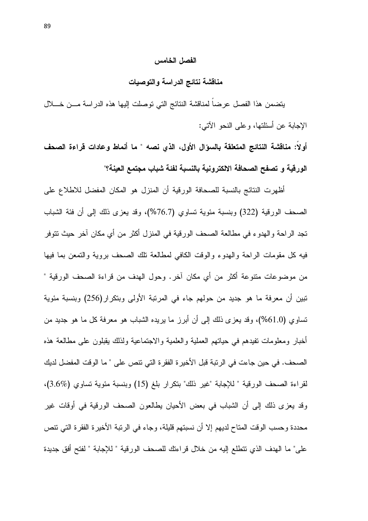#### الفصل الخامس

#### مناقشة نتائج الدراسة والتوصيات

يتضمن هذا الفصل عرضا لمناقشة النتائج التي توصلت إليها هذه الدراسة مـــن خــــلال الإجابة عن أسئلتها، وعلى النحو الاتبي:

أولا: مناقشة النتائج المتعلقة بالسؤال الأول، الذي نصه " ما أنماط وعادات قراءة الصحف الورقية و تصفح الصحافة الالكترونية بالنسبة لفئة شباب مجتمع العينة؟"

أظهرت النتائج بالنسبة للصحافة الورقية أن المنزل هو المكان المفضل للاطلاع على الصحف الورقية (322) وبنسبة مئوية تساوي (76.7%)، وقد يعزى ذلك إلى أن فئة الشباب تجد الراحة والهدوء في مطالعة الصحف الورقية في المنزل اكثر من أي مكان اخر حيث تتوفر فيه كل مقومات الراحة والهدوء والوقت الكافي لمطالعة نلك الصحف بروية والتمعن بما فيها من موضوعات منتوعة اكثر من أي مكان اخر. وحول الهدف من قراءة الصحف الورقية " تبين أن معرفة ما هو جديد من حولهم جاء في المرتبة الأولى وبتكرار(256) وبنسبة مئوية نساوي (61.0%)، وقد يعزى ذلك إلى أن أبرز ما يريده الشباب هو معرفة كل ما هو جديد من أخبار ومعلومات تفيدهم في حياتهم العملية والعلمية والاجتماعية ولذلك يقبلون على مطالعة هذه الصـحف. في حين جاءت في الرتبة قبل الأخير ة الفقر ة التي نتص على " ما الوقت المفضل لديك لقراءة الصحف الورقية " للإجابة "غير ذلك" بتكرار بلغ (15) وبنسبة مئوية تساوي (3.6%). وقد يعزى ذلك إلى أن الشباب في بعض الأحيان يطالعون الصحف الورقية في أوقات غير محددة وحسب الوقت المناح لديهم إلا أن نسبتهم قليلة، وجاء في الرنبة الأخير ة الفقر ة التي نتص على" ما الـهدف الذي نتطلع إليه من خلال قراءتك للصحف الورقية " للإجابة " لفتح أفق جديدة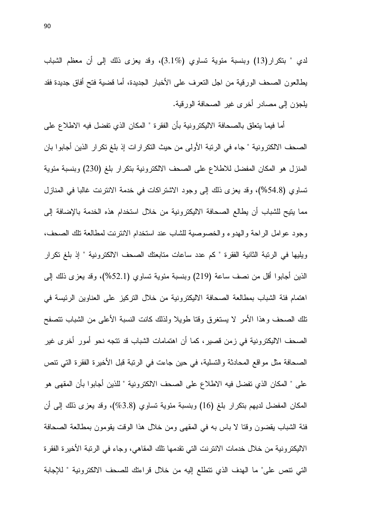لدي " بنكرار(13) وبنسبة مئوية تساوي (3.1%)، وقد يعزى ذلك إلى أن معظم الشباب يطالعون الصحف الورقية من اجل النعرف على الأخبار الجديدة، أما قضية فتح أفاق جديدة فقد يلجؤن إلى مصادر أخرى غير الصحافة الورقية.

أما فيما يتعلق بالصحافة الاليكترونية بأن الفقرة " المكان الذي تفضل فيه الاطلاع على الصحف الالكترونية " جاء في الرتبة الأولى من حيث النكرارات إذ بلغ نكرار الذين أجابوا بان المنزل هو المكان المفضل للاطلاع على الصحف الالكترونية بتكرار بلغ (230) وبنسبة مئوية تساوي (54.8%)، وقد يعزى ذلك إلى وجود الاشتراكات في خدمة الانترنت غالبا في المنازل مما يتيح للشباب أن يطالع الصحافة الاليكترونية من خلال استخدام هذه الخدمة بالإضافة إلى وجود عوامل الراحة والهدوء والخصوصية للشاب عند استخدام الانترنت لمطالعة تلك الصحف، ويليها في الرتبة الثانية الفقرة " كم عدد ساعات متابعتك الصحف الالكترونية " إذ بلغ تكرار الذين أجابوا أقل من نصف ساعة (219) وبنسبة مئوية تساوي (52.1%)، وقد يعزى ذلك إلىي اهتمام فئة الشباب بمطالعة الصحافة الاليكترونية من خلال النركيز على العناوين الرئيسة في تلك الصحف وهذا الأمر لا يستغرق وقتا طويلا ولذلك كانت النسبة الأعلى من الشباب نتصفح الصحف الاليكترونية في زمن قصير، كما أن اهتمامات الشباب قد نتجه نحو أمور أخرى غير الصحافة مثل مواقع المحادثة والتسلية، في حين جاءت في الرنبة قبل الأخيرة الفقرة التي نتص على " المكان الذي تفضل فيه الاطلاع على الصحف الالكترونية " للذين أجابوا بأن المقهى هو المكان المفضل لديهم بنكرار بلغ (16) وبنسبة مئوية نساوي (3.8%)، وقد يعزى ذلك إلى أن فئة الشباب يقضون وقتا لا باس به في المقهى ومن خلال هذا الوقت يقومون بمطالعة الصحافة الاليكترونية من خلال خدمات الانترنت التي تقدمها تلك المقاهي، وجاء في الرتبة الأخيرة الفقرة التي نتص على" ما الهدف الذي نتطلع إليه من خلال قراءتك للصحف الالكترونية " للإجابة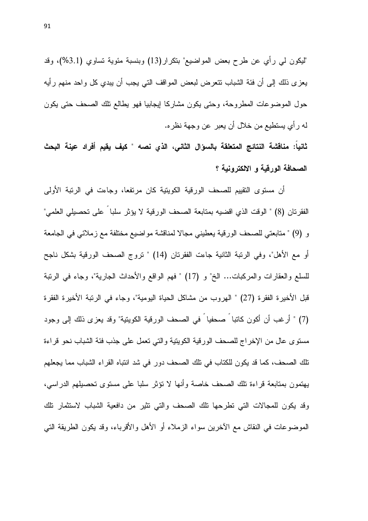"ليكون لـي رأي عن طرح بعض المواضيع" بنكرار(13) وبنسبة مئوية تساوي (3.1%)، وقد يعز ي ذلك إلى أن فئة الشباب نتعرض لبعض المواقف التي يجب أن يبدي كل واحد منهم رأيه حول الموضوعات المطروحة، وحتى يكون مشاركا ليجابيا فهو يطالع نلك الصحف حتى يكون له ر أي يستطيع من خلال أن يعبر ٍ عن وجهة نظر ه.

ثانياً: مناقشة النتائج المتعلقة بالسؤال الثاني، الذي نصه " كيف يقيم أفراد عينة البحث الصحافة الورقية و الالكترونية ؟

أن مستوى التقييم للصحف الورقية الكويتية كان مرتفعا، وجاءت في الرتبة الأولى الفقرنان (8) " الوقت الذي اقضيه بمنابعة الصحف الورقية لا يؤثر سلبا ً على تحصيلي العلمي" و (9) " متابعتي للصحف الورقية يعطيني مجالا لمناقشة مواضيع مختلفة مع زملائي في الجامعة أو مع الأهل"، وفي الرتبة الثانية جاءت الفقرتان (14) " نروج الصحف الورقية بشكل ناجح للسلع والعقارات والمركبات... الخ" و (17) " فهم الواقع والأحداث الجارية"، وجاء في الرنبة قبل الأخيرة الفقرة (27) " الهروب من مشاكل الحياة اليومية"، وجاء في الرنبة الأخيرة الفقرة (7) " أرغب أن أكون كاتبا ُ صحفيا ُ في الصحف الورقية الكويتية" وقد يعزى ذلك إلى وجود مستوى عالٍ من الإخر اج للصحف الور قية الكويتية والتي تعمل على جذب فئة الشباب نحو قر اءة تلك الصحف، كما قد يكون للكتاب في تلك الصحف دور في شد انتباه القراء الشباب مما يجعلهم يهتمون بمتابعة قراءة نلك الصحف خاصة وأنها لا نؤثر سلبا على مستوى تحصيلهم الدراسي، وقد يكون للمجالات التي تطرحها تلك الصحف والتي تثير من دافعية الشباب لاستثمار تلك الموضوعات في النقاش مع الأخرين سواء الزملاء أو الأهل والأقرباء، وقد يكون الطريقة التبي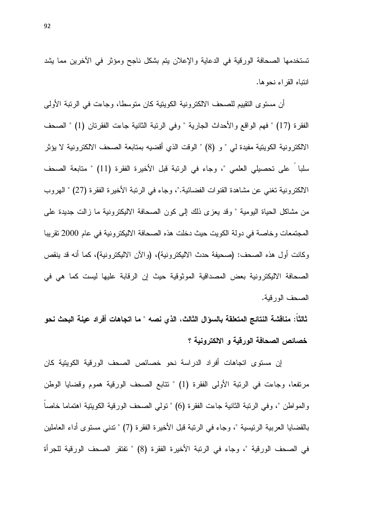تستخدمها الصحافة الورقية في الدعاية والإعلان يتم بشكل ناجح ومؤثر في الأخرين مما يشد انتباه القر اء نحو ها.

أن مستوى النقييم للصحف الالكترونية الكويتية كان متوسطا، وجاءت في الرتبة الأولى الفقر ة (17) " فهم الواقع والأحداث الجارية " وفي الرئبة الثانية جاءت الفقرنان (1) " الصحف الالكترونية الكويتية مفيدة لي " و (8) " الوقت الذي أقضيه بمتابعة الصحف الالكترونية لا يؤثر سلباً على تحصيلي العلمي "، وجاء في الرنبة قبل الأخيرة الفقرة (11) " متابعة الصحف الالكترونية تغني عن مشاهدة القنوات الفضائية."، وجاء في الرتبة الأخيرة الفقرة (27) " الهروب من مشاكل الحياة اليومية " وقد يعزى ذلك إلى كون الصحافة الاليكترونية ما زالت جديدة على المجتمعات وخاصة في دولة الكويت حيث دخلت هذه الصحافة الاليكترونية في عام 2000 تقريبا وكانت أول هذه الصحف: (صحيفة حدث الاليكترونية)، (والآن الاليكترونية)، كما أنه قد ينقص الصحافة الاليكترونية بعض المصداقية الموثوقية حيث إن الرقابة عليها ليست كما هي في الصحف الورقية.

ثالثاً: مناقشة النتائج المتعلقة بالسوّال الثالث، الذي نصه " ما اتجاهات أفراد عينة البحث نحو خصائص الصحافة الورقية و الالكترونية ؟

إن مستوى اتجاهات أفراد الدراسة نحو خصائص الصحف الورقية الكويتية كان مرتفعًا، وجاءت في الرتبة الأولى الفقرة (1) " نتابع الصحف الورقية هموم وقضايا الوطن والمواطن "، وفي الرتبة الثانية جاءت الفقرة (6) " نولي الصحف الورقية الكويتية اهتماما خاصا بالقضايا العربية الرئيسية "، وجاء في الرنبة قبل الأخيرة الفقرة (7) " ندنى مستوى أداء العاملين في الصحف الورقية "، وجاء في الرتبة الأخيرة الفقرة (8) " تفتقر الصحف الورقية للجرأة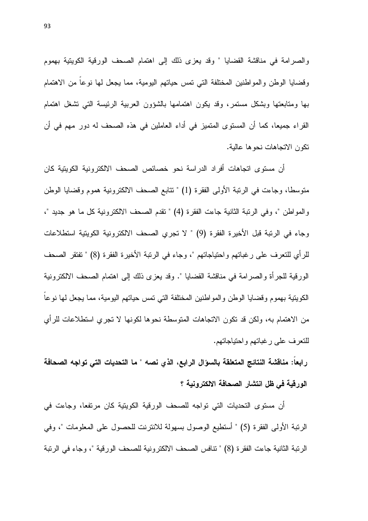والصرامة في مناقشة القضايا " وقد يعزى ذلك إلى اهتمام الصحف الورقية الكويتية بهموم وقضايا الوطن والمواطنين المختلفة التبي نمس حياتهم اليومية، مما يجعل لها نوعا من الاهتمام بـها ومتابعتها وبشكل مستمر، وقد يكون اهتمامها بالشؤون العربية الرئيسة التـي تشغل اهتمام القراء جميعا، كما أن المستوى المتميز في أداء العاملين في هذه الصحف له دور ٍ مهم في أن تكون الاتجاهات نحوها عالية.

أن مستوى اتجاهات أفراد الدراسة نحو خصائص الصحف الالكترونية الكويتية كان منوسطًا، وجاءت في الرتبة الأولى الفقرة (1) " نتابع الصحف الالكترونية هموم وقضايا الوطن والمواطن "، وفي الرتبة الثانية جاءت الفقرة (4) " نقدم الصحف الالكترونية كل ما هو جديد "، وجاء في الرتبة قبل الأخيرة الفقرة (9) " لا تجرى الصحف الالكترونية الكويتية استطلاعات للرأى للتعرف على رغباتهم واحتياجاتهم "، وجاء في الرتبة الأخيرة الفقرة (8) " تفتقر الصحف الورقية للجرأة والصرامة في مناقشة القضايا ". وقد يعز ي ذلك إلى اهتمام الصحف الالكترونية الكويتية بهموم وقضايا الوطن والمواطنين المختلفة التي نمس حياتهم اليومية، مما يجعل لها نوعاً من الاهتمام به، ولكن قد نكون الاتجاهات المتوسطة نحوها لكونها لا تجرى استطلاعات للرأى للنعرف على رغبانهم واحتياجاتهم.

رابعاً: مناقشة النتائج المتعلقة بالسؤال الرابع، الذي نصه " ما التحديات التي تواجه الصحافة الورقية في ظل انتشار الصحافة الالكترونية ؟

أن مستوى التحديات التي تواجه للصحف الورقية الكويتية كان مرتفعا، وجاءت في الرنبة الأولى الفقرة (5) " أستطيع الوصول بسهولة للانترنت للحصول على المعلومات "، وفي الرِّ تبة الثانية جاءت الفقر ة (8) " تتافس الصحف الإلكتر ونية للصحف الورقية "، وجاء في الرِّ تبة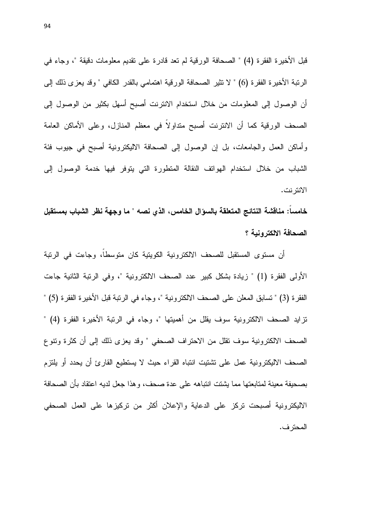قبل الأخيرة الفقرة (4) " الصحافة الورقية لم تعد قادرة على تقديم معلومات دقيقة "، وجاء في الرتبة الأخيرة الفقرة (6) " لا تثير الصحافة الورقية اهتمامي بالقدر الكافي " وقد يعزى ذلك إلى أن الوصول إلى المعلومات من خلال استخدام الانترنت أصبح أسهل بكثير من الوصول إلى الصحف الورقية كما أن الانترنت أصبح متداولا في معظم المنازل، وعلى الأماكن العامة وأماكن العمل والجامعات، بل إن الوصول إلى الصحافة الاليكترونية أصبح في جيوب فئة الشباب من خلال استخدام الهواتف النقالة المتطورة التي يتوفر فيها خدمة الوصول إلى الانتر نت.

خامساً: مناقشة النتائج المتعلقة بالسوّال الخامس، الذي نصه " ما وجهة نظر الشباب بمستقبل الصحافة الالكترونية ؟

أن مستوى المستقبل للصحف الالكترونية الكويتية كان متوسطا، وجاءت في الرتبة الأولى الفقرة (1) " زيادة بشكل كبير عدد الصحف الالكترونية "، وفي الرتبة الثانية جاءت الفقر ة (3) " تسابق المعلن على الصحف الالكترونية "، وجاء في الرتبة قبل الأخير ة الفقر ة (5) " تزايد الصحف الالكترونية سوف يقلل من أهميتها "، وجاء في الرتبة الأخيرة الفقرة (4) " الصحف الالكترونية سوف نقلل من الاحتراف الصحفي " وقد يعزى ذلك إلى أن كثرة ونتوع الصحف الاليكترونية عمل على تشتيت انتباه القراء حيث لا يستطيع القارئ أن يحدد أو يلتزم بصحيفة معينة لمتابعتها مما يشتت انتباهه على عدة صحف، و هذا جعل لديه اعتقاد بأن الصحافة الاليكترونية أصبحت نركز على الدعاية والإعلان أكثر من نركيزها على العمل الصحفى المحتر ف.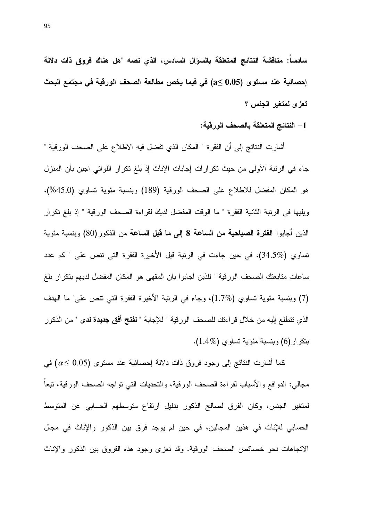سادسا: مناقشة النتائج المتعلقة بالسؤال السادس، الذي نصه "هل هناك فروق ذات دلالة إحصائية عند مستوى (0.05) في فيما يخص مطالعة الصحف الورقية ف*ي* مجتمع البحث تعزى لمتغير الجنس ؟

1– النتائج المتعلقة بالصحف الورقية:

أشارت النتائج إلى أن الفقرة " المكان الذي تفضل فيه الاطلاع على الصحف الورقية " جاء في الرتبة الأولى من حيث تكرارات إجابات الإناث إذ بلغ تكرار اللواتي اجبن بان المنزل هو المكان المفضل للاطلاع على الصحف الورقية (189) وبنسبة مئوية تساوي (45.0%)، ويليها في الرتبة الثانية الفقرة " ما الوقت المفضل لديك لقراءة الصحف الورقية " إذ بلغ تكرار الذين أجابوا ا**لفترة الصباحية من الساعة 8 إلى ما قبل الساعة** من الذكور(80) وبنسبة مئوية تساوي (34.5%)، في حين جاءت في الرتبة قبل الأخيرة الفقرة التي تتص على " كم عدد ساعات متابعتك الصحف الورقية " للذين أجابوا بان المقهى هو المكان المفضل لديهم بتكرار بلغ (7) وبنسبة مئوية تساوي (1.7%)، وجاء في الرتبة الأخيرة الفقرة التي نتص على" ما الهدف الذي تتطلع إليه من خلال قراءتك للصحف الورقية " للإجابة " **لفتح أفق جديدة لدى** " من الذكور  $\,$  بنكر ار $\,$ (6) وبنسبة مئوية تساوي  $(1.4\%)$ 

كما أشارت النتائج إلى وجود فروق ذات دلالة إحصائية عند مستوى (0.05  $\alpha \leq \alpha \leq 0.05$  في مجالي: الدوافع والأسباب لقراءة الصحف الورقية، والتحديات التي تواجه الصحف الورقية، تبعا لمتغير الجنس، وكان الفرق لصـالح الذكور بدليل ارتفاع متوسطهم الحسابي عن المتوسط الحسابي للإناث في هذين المجالين، في حين لم يوجد فرق بين الذكور والإناث في مجال الاتجاهات نحو خصائص الصحف الورقية. وقد تعزى وجود هذه الفروق بين الذكور والإناث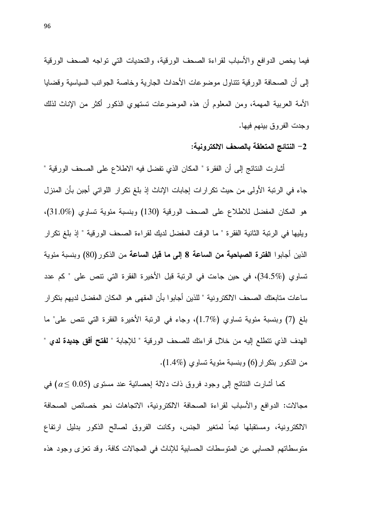فيما يخص الدوافع والأسباب لقراءة الصحف الورقية، والتحديات التي نواجه الصحف الورقية إلى أن الصحافة الورقية نتتاول موضوعات الأحداث الجارية وخاصة الجوانب السياسية وقضايا الأمة العربية المهمة، ومن المعلوم أن هذه الموضوعات تستهوي الذكور أكثر من الإناث لذلك و جدت الفر و ق بينهم فيها.

#### 2– النتائج المتعلقة بالصحف الالكترونية:

أشارت النتائج إلى أن الفقر ة " المكان الذي تفضل فيه الاطلاع على الصحف الورقية " جاء في الرتبة الأولى من حيث تكرارات إجابات الإناث إذ بلغ تكرار اللواتي أجبن بأن المنزل هو المكان المفضل للاطلاع على الصحف الورقية (130) وبنسبة مئوية تساوي (31.0%)، ويليها في الرتبة الثانية الفقرة " ما الوقت المفضل لديك لقراءة الصحف الورقية " إذ بلغ تكرار الذين أجابوا ا**لفترة الصباحية من الساعة 8 إلى ما قبل الساعة** من الذكور (80) وبنسبة مئوية تساوي (34.5%)، في حين جاءت في الرئبة قبل الأخيرة الفقرة التي نتص على " كم عدد ساعات متابعتك الصحف الالكترونية " للذين أجابوا بأن المقهى هو المكان المفضل لديهم بتكرار بلغ (7) وبنسبة مئوية تساوي (1.7%)، وجاء في الرتبة الأخيرة الفقرة التي نتص على" ما الهدف الذي نتطلع إليه من خلال قراءتك للصحف الورقية " للإجابة " **لفتح أفق جديدة لد**ى " من الذكور بنكر ار (6) وبنسبة مئوية تساوى (1.4%).

كما أشارت النتائج إلى وجود فروق ذات دلالة إحصائية عند مستوى (0.05 £ ) في مجالات: الدوافع والأسباب لقراءة الصحافة الالكترونية، الاتجاهات نحو خصائص الصحافة الالكترونية، ومستقبلها نبعاً لمتغير الجنس، وكانت الفروق لصالح الذكور بدليل ارتفاع متوسطاتهم الحسابي عن المتوسطات الحسابية للإناث في المجالات كافة. وقد تعزى وجود هذه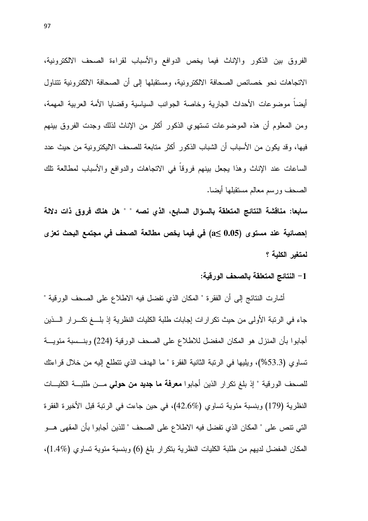الفروق بين الذكور والإناث فيما يخص الدوافع والأسباب لقراءة الصحف الالكترونية، الاتجاهات نحو خصائص الصحافة الالكترونية، ومستقبلها إلى أن الصحافة الالكترونية تتناول أيضا موضوعات الأحداث الجارية وخاصة الجوانب السياسية وقضايا الأمة العربية المهمة، ومن المعلوم أن هذه الموضوعات تستهوى الذكور أكثر من الإناث لذلك وجدت الفروق بينهم فيها، وقد يكون من الأسباب أن الشباب الذكور أكثر متابعة للصحف الاليكترونية من حيث عدد الساعات عند الإناث وهذا يجعل ببنهم فروقاً في الانجاهات والدوافع والأسباب لمطالعة نلك الصحف ورسم معالم مستقبلها أيضا.

سابعا: مناقشة النتائج المتعلقة بالسؤال السابع، الذي نصه " " هل هناك فروق ذات دلالة إحصائية عند مستوٍ ى (1.05 ≤a) في فيما يخص مطالعة الصحف في مجتمع البحث تعز *ي* لمتغير الكلبة ؟

#### 1– النتائج المتعلقة بالصحف الورقية:

أشارت النتائج إلى أن الفقرة " المكان الذي تفضل فيه الاطلاع على الصحف الورقية " جاء في الرتبة الأولى من حيث تكرارات إجابات طلبة الكليات النظرية إذ بلـــغ تكـــرار الــــذين أجابوا بأن المنزل هو المكان المفضل للاطلاع على الصحف الورقية (224) وبنـــسبة مئويـــة تساوي (53.3%)، ويليها في الرتبة الثانية الفقرة " ما الهدف الذي نتطلع إليه من خلال فراءتك للصحف الورقية " إذ بلغ تكرار الذين أجابوا **معرفة ما جديد من حول***ى* **مـــ**ن طلبـــة الكليـــات النظرية (179) وبنسبة مئوية تساوي (42.6%)، في حين جاءت في الرتبة قبل الأخيرة الفقرة التي نتص على " المكان الذي نفضل فيه الاطلاع على الصحف " للذين أجابوا بأن المقهى هـو المكان المفضل لديهم من طلبة الكليات النظرية بتكرار بلغ (6) وبنسبة مئوية تساوي (1.4%)،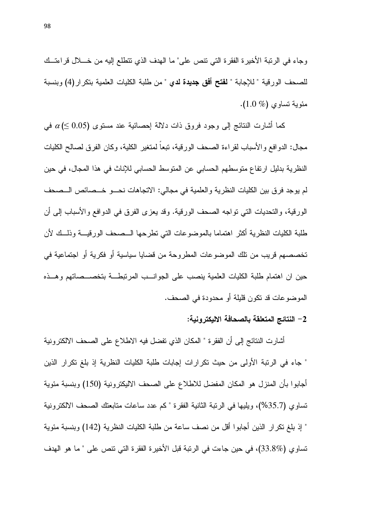وجاء في الرنبة الأخيرة الفقرة التي نتص على" ما الهدف الذي نتطلع إليه من خـــلال قراءتــك للصـحف الورقية " للإجابة " **نفتح أفق جديدة لدى** " من طلبة الكليات العلمية بنكر ار (4) وبنسبة مئوية نساوى (1.0 %).

كما أشارت النتائج إلى وجود فروق ذات دلالة إحصائية عند مستوى (0.05  $\alpha$  في مجال: الدوافع والأسباب لقراءة الصحف الورقية، تبعاً لمتغير الكلية، وكان الفرق لصالح الكليات النظرية بدليل ارتفاع متوسطهم الحسابي عن المتوسط الحسابي للإناث في هذا المجال، في حين لم يوجد فرق بين الكليات النظرية والعلمية في مجالي: الاتجاهات نحــو خــصائص الــصحف الورقية، والتحديات التي نواجه الصحف الورقية. وقد يعزى الفرق في الدوافع والأسباب إلى أن طلبة الكليات النظرية أكثر اهتماما بالموضوعات التي تطرحها السصحف الورقيسة وذلسك لأن تخصصهم قريب من نلك الموضوعات المطروحة من قضايا سياسية أو فكرية أو اجتماعية في حين ان اهتمام طلبة الكليات العلمية ينصب على الجوانــب المرتبطـــة بتخصـــصاتهم وهـــذه الموضوعات قد تكون قليلة أو محدودة في الصحف.

#### 2– النتائج المتعلقة بالصحافة الاليكترونية:

أشار ت النتائج إلى أن الفقر ة " المكان الذي تفضل فيه الإطلاع على الصبحف الإلكتر ونية " جاء في الربِّبة الأولى من حيث تكرارات إجابات طلبة الكليات النظرية إذ بلغ تكرار الذين أجابوا بأن المنزل هو المكان المفضل للاطلاع على الصحف الاليكترونية (150) وبنسبة مئوية تساوى (35.7%)، ويليها في الرِّتبة الثانية الفقرة " كم عدد ساعات متابعتك الصبحف الالكترونية " إذ بلغ نكر ار الذين أجابوا أقل من نصف ساعة من طلبة الكليات النظرية (142) وبنسبة مئوية نساوي (33.8%)، في حين جاءت في الرتبة قبل الأخيرة الفقرة التي نتص على " ما هو الهدف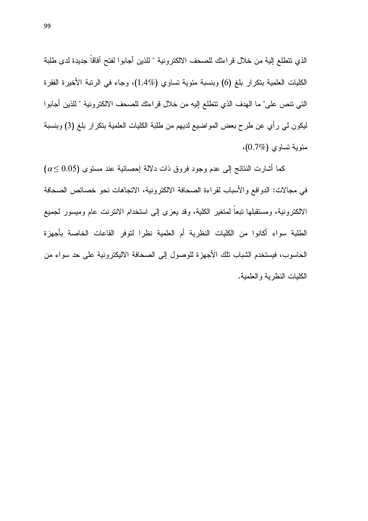الذي نتطلع إلية من خلال قراءتك للصحف الالكترونية " للذين أجابوا لفتح آفاقاً جديدة لدى طلبة الكليات العلمية بنكرار بلغ (6) وبنسبة مئوية تساوي (1.4%)، وجاء في الرتبة الأخيرة الفقرة التي نتص على" ما الهدف الذي نتطلع إليه من خلال قراءتك للصحف الالكترونية " للذين أجابوا ليكون لمي رأى عن طرح بعض المواضيع لديهم من طلبة الكليات العلمية بتكر ار بلغ (3) وبنسبة مئوية نساوى (0.7%)،

 $\alpha \leq 0.05$ كما أشارت النتائج إلى عدم وجود فروق ذات دلالة إحصائية عند مستوى (5 في مجالات: الدوافع والأسباب لقراءة الصحافة الالكترونية، الاتجاهات نحو خصائص الصحافة الالكترونية، ومستقبلها نبعاً لمتغير الكلية، وقد يعزى إلى استخدام الانترنت عام وميسور لجميع الطلبة سواء أكانوا من الكلبات النظرية أم العلمبة نظرا لتوفر القاعات الخاصة بأجهزة الحاسوب، فيستخدم الشباب تلك الأجهزة للوصول إلى الصحافة الاليكترونية على حد سواء من الكليات النظرية والعلمية.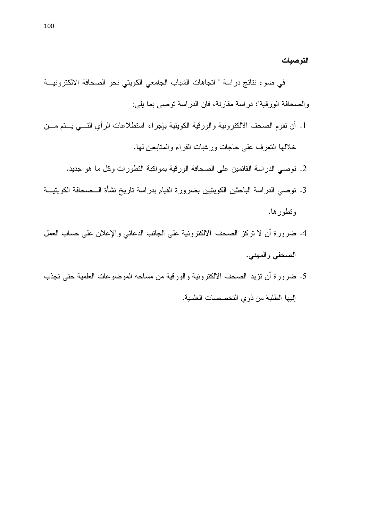التوصيات

في ضوء نتائج دراسة " اتجاهات الشباب الجامعي الكويتي نحو الصحافة الالكترونية والصحافة الورقية": دراسة مقارنة، فإن الدراسة توصبي بما يلي:

- 1. أن نقوم الصحف الالكترونية والورقية الكوينية بإجراء استطلاعات الرأي التـــي يـــتم مـــن خلالها النعرف على حاجات ورغبات القراء والمنابعين لها.
	- 2. توصبي الدر اسة القائمين على الصحافة الورقية بمواكبة النطورات وكل ما هو جديد.
- 3. نوصـي الدراسة الباحثين الكويتيين بضرورة القيام بدراسة ناريخ نشأة الــصحافة الكويتيـــة وتطور ها.
- 4. ضرورة أن لا نركز الصحف الالكترونية على الجانب الدعائي والإعلان على حساب العمل الصحفي والمهنى.
- 5. ضرورة أن نزيد الصحف الالكترونية والورقية من مساحه الموضوعات العلمية حتى تجذب إليها الطلبة من ذوي التخصصات العلمية.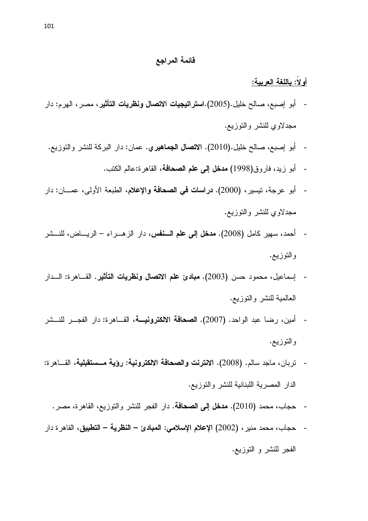#### قائمة المراجع

#### أو لاً: باللغة العربية:

- أبو إصبع، صالح خليل.(2005).ا**ستراتيجيات الاتصال ونظريات التأثير**، مصر ، الهرم: دار  $\overline{\phantom{a}}$ مجدلاوي للنشر والنوزيع.
	- أبو إصبع، صالح خليل.(2010). الاتصال الجماهيري. عمان: دار البركة للنشر والنوزيع.
		- أبو زيد، فاروق(1998) **مدخل إلى علم الصحافة**، القاهرة:عالم الكتب.
- أبو عرجة، نيسير، (2000). درا**سات في الصحافة والإعلام**، الطبعة الأولى، عمـــان: دار مجدلاوي للنشر والنوزيع.
- أحمد، سهير كامل (2008). **مدخل إلى علم السنفس،** دار الزهـــراء الريــــاض، للنـــشر و النوزيع.
- إسماعيل، محمود حسن (2003). **مبادئ علم الاتصال ونظريات التأثير**. القــاهرة: الـــدار العالمية للنشر والنوزيع.
- أمين، رضا عبد الواحد. (2007). ا**لصحافة الالكترونيـــة**، القـــاهرة: دار الفجـــر للنـــشر  $\sim$ و النوز بيع.
- تربان، ماجد سالم. (2008). الانترنت والصحافة الالكترونية: رؤية مـــستقبلية، القـــاهر ة: الدار المصرية اللبنانية للنشر والتوزيع.
	- حجاب، محمد (2010). م**دخل إلى الصحافة**. دار الفجر للنشر والتوزيع، القاهرة، مصر .  $\overline{\phantom{a}}$
- حجاب، محمد منير ، (2002) الإعلام الإسلامي: المبادئ النظرية التطبيق، القاهرة دار  $\sim$ الفجر للنشر و التوزيع.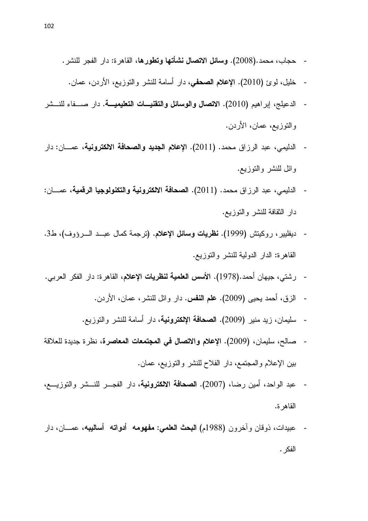- حجاب، محمد.(2008). وسائل الاتصال نشأتها وتطورها، القاهرة: دار الفجر للنشر .
	- خليل، لوئ (2010). الإعلام الصحفي، دار أسامة للنشر والنوزيع، الأردن، عمان.  $\overline{\phantom{a}}$
- الدعيلج، إبراهيم (2010). الا**تصال والوسائل والتقنيـــات التعليميــــة**. دار صــــفاء للنـــشر  $\overline{\phantom{a}}$ والنوزيع، عمان، الأردن.
- الدليمي، عبد الرزاق محمد. (2011). الإعلام الجديد والصحافة الالكترونية، عمـــان: دار  $\mathcal{L}_{\mathcal{A}}$ وائل للنشر والنوزيع.
- الدليمي، عبد الرزاق محمد. (2011). ا**لصحافة الالكترونية والتكنولوجيا الرقمية**، ع*مـــ*ان: دار الثقافة للنشر والنوزيع.
- ديفليير ، روكيتش (1999). **نظريات وسائل الإعلام. (**ترجمة كمال عبــد الـــرؤوف)، ط3. القاهرة: الدار الدولية للنشر والنوزيع.
- رشتي، جيهان أحمد.(1978). الأسس العلمية لنظريات الإعلام، القاهرة: دار الفكر العربي.  $\mathbb{Z}^2$ 
	- الزق، أحمد يحيى (2009). علم النفس. دار وائل للنشر، عمان، الأردن.  $\sim$
	- سليمان، زيد منير (2009). ا**لصحافة الإكترونية**، دار أسامة للنشر والتوزيع.  $\overline{a}$
- صالح، سليمان، (2009). الإعلام والاتصال في المجتمعات المعاصرة، نظر ة جديدة للعلاقة بين الإعلام والمجتمع، دار الفلاح للنشر والنوزيع، عمان.
- عبد الواحد، أمين رضا، (2007). ا**لصحافة الالكترونية**، دار الفجـــر للنــــشر والتوزيــــع، القاهر ة.
- عبيدات، ذوقان وآخرون (1988م) ا**لبحث العلمي: مفهومه أدواته أساليبه**، عمـــان، دار الفكر .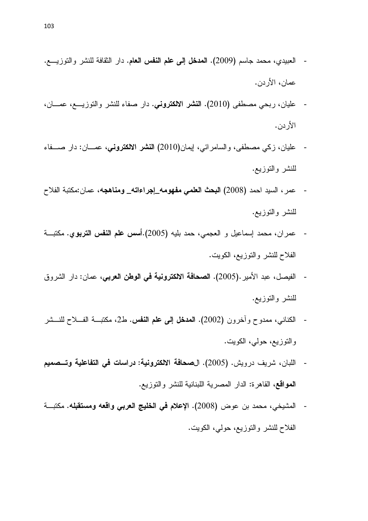- العبيدي، محمد جاسم (2009). ا**لمدخل إلى علم النفس العام**. دار الثقافة للنشر والتوزيـــع. عمان، الأردن.
- عليان، ربحي مصطفى (2010). ا**لنشر الالكتروني**. دار صفاء للنشر والتوزيـــع، عمــــان، الأر دن.
- عليان، زكي مصطفى، والسامرائي، إيمان(2010) ا**لنشر الالكتروني**، عمـــان: دار صــــفاء للنشر والنوزيع.
- عمر ، السيد احمد (2008) ا**لنحث العلمي مفهومه\_إجراءاته\_ ومناهجه**، عمان:مكتبة الفلاح للنشر والنوزيع.
- عمران، محمد إسماعيل و العجمي، حمد بليه (2005).أ**سس علم النفس التربوي**. مكتبــة الفلاح للنشر والنوزيع، الكويت.
- الفيصل، عبد الأمير .(2005). ا**لصحافة الالكترونية في الوطن العربي**، عمان: دار الشروق للنشر والنوزيع.
- الكناني، ممدوح وأخرون (2002). ا**لمدخل إلى علم النفس.** ط2، مكتبــة الفـــلاح للنـــشر والتوزيع، حولي، الكويت.
- اللبان، شريف درويش. (2005). ال $\sim$ حافة الالكترونية: دراسات في التفاعلية وتـــصميم **المواقع،** القاهرة: الدار المصرية اللبنانية للنشر والنوزيع.
- المشيخي، محمد بن عوض (2008). الإعلام في الخليج العربي واقعه ومستقبله. مكتبـــة الفلاح للنشر والنوزيع، حولي، الكويت.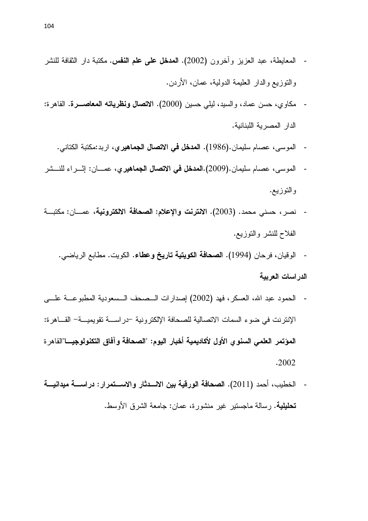- المعايطة، عبد العزيز وأخرون (2002). **المدخل على علم النفس.** مكتبة دار الثقافة للنشر والنوزيع والدار العليمة الدولية، عمان، الأردن.
- مكاوى، حسن عماد، والسيد، ليلي حسين (2000). الاتصال ونظرياته المعاصـــرة. القاهرة:  $\overline{\phantom{a}}$ الدار المصر بة اللبنانية.
	- الموسى، عصام سليمان.(1986). المدخل في الاتصال الجماهيري، اربد:مكتبة الكتاني.  $\mathcal{L}_{\mathcal{A}}$
- الموسى، عصام سليمان.(2009).ا**لمدخل في الاتصال الجماهيري**، عمـــان: إثـــراء للنـــشر والتوزيع.
- نصر ، حسنى محمد. (2003). الانترنت والإعلام: الصحافة الالكترونية، عمـــان: مكتبـــة  $\sim$ الفلاح للنشر والنوزيع.
	- الوقيان، فرحان (1994). ا**لصحافة الكويتية تاريخ وعطاء.** الكويت. مطابع الرياضي.

#### الدر اسات العربية

- الحمود عبد الله، العسكر ، فهد (2002) إصدارات الــصحف الــسعودية المطبوعـــة علـــي الإنترنت في ضوء السمات الاتصالية للصحافة الإلكترونية –دراســـة تقويميـــة– القــــاهرة: المؤتمر العلمي السنوري الأول لأكاديمية أخبار اليوم: "الصحافة ورآفاق التكنولوجيسا"القاهر ة .2002
- الخطيب، أحمد (2011). الصحافة الورقية بين الانسدثار والاسستمرار: دراسسة ميدانيسة **تحليلية**. رسالة ماجستير غير منشورة، عمان: جامعة الشرق الأوسط.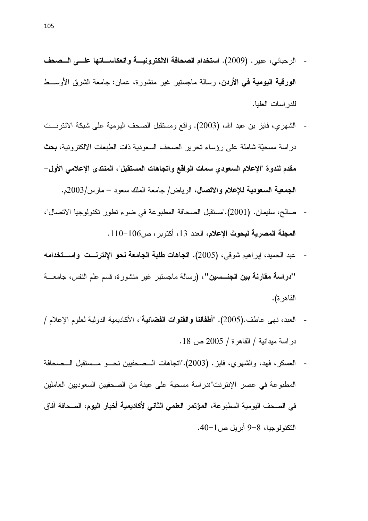- الرحباني، عبير . (2009). استخدام الصحافة الالكترونيـــة وانعكاســـاتها علـــى الـــصحف **الورقية اليومية في الأردن**، رسالة ماجستير غير منشورة، عمان: جامعة الشرق الأوســـط للدر اسات العليا.
- الشهري، فايز بن عبد الله، (2003). واقع ومستقبل الصحف اليومية على شبكة الانترنـــت دراسة مسحيّة شاملة على رؤساء تحرير الصحف السعودية ذات الطبعات الالكترونية، **بحث** مقدم لندوة "الإعلام السعودي سمات الواقع واتجاهات المستقبل"، المنتدى الإعلامى الأول– الجمعية السعودية للإعلام والاتصال، الرياض/ جامعة الملك سعود – مارس/2003م.
- صـالح، سليمان. (2001)."مستقبل الصـحافة المطبوعة في ضوء تطور تكنولوجيا الاتصـال"، المجلة المصرية لبحوث الإعلام، العدد 13، أكتوبر ، ص106−110.
- عبد الحميد، إبراهيم شوقي، (2005). ا**تجاهات طلبة الجامعة نحو الإنترنــت واســتخدامه** ''**دراسة مقارنة بين الجنـــسين''، (**رسالة ماجستير غير منشورة، قسم علم النفس، جامعـــة القاهرة).
- العبد، نهى عاطف.(2005). "أ**طفالنا والقنوات الفضائية**"، الأكاديمية الدولية لعلوم الإعلام / در اسة ميدانية / القاهر ة / 2005 ص 18.
- لعسكر ، فهد، والشهري، فايز . (2003)."انجاهات الــصحفيين نحـــو مــستقبل الـــصحافة - المطبوعة في عصر الإنترنت":دراسة مسحية على عينة من الصحفيين السعوديين العاملين في الصـحف اليومية المطبو عة، **المؤتمر العلمي الثاني لأكاديمية أخبار اليوم**، الصـحافة آفاق النكنولوجيا، 8−9 أبريل ص1−40.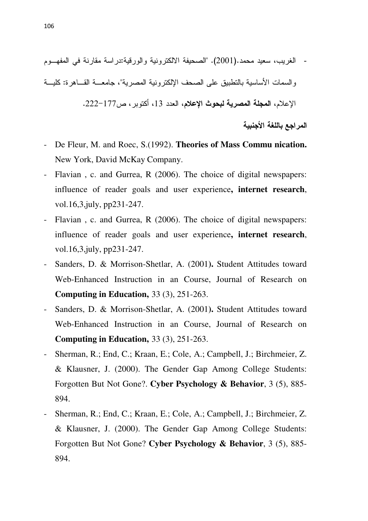المراجع باللغة الأجنبية

- De Fleur, M. and Roec, S. (1992). Theories of Mass Commu nication. New York, David McKay Company.
- Flavian, c. and Gurrea, R (2006). The choice of digital newspapers: influence of reader goals and user experience, internet research, vol.16,3, july, pp231-247.
- Flavian, c. and Gurrea, R (2006). The choice of digital newspapers:  $\omega_{\rm c}$ influence of reader goals and user experience, internet research, vol.16,3, july, pp231-247.
- Sanders, D. & Morrison-Shetlar, A. (2001). Student Attitudes toward Web-Enhanced Instruction in an Course, Journal of Research on Computing in Education,  $33(3)$ ,  $251-263$ .
- Sanders, D. & Morrison-Shetlar, A. (2001). Student Attitudes toward  $\omega_{\rm{max}}$ Web-Enhanced Instruction in an Course, Journal of Research on Computing in Education,  $33(3)$ ,  $251-263$ .
- Sherman, R.; End, C.; Kraan, E.; Cole, A.; Campbell, J.; Birchmeier, Z. & Klausner, J. (2000). The Gender Gap Among College Students: Forgotten But Not Gone?. Cyber Psychology & Behavior, 3 (5), 885-894.
- Sherman, R.; End, C.; Kraan, E.; Cole, A.; Campbell, J.; Birchmeier, Z. & Klausner, J. (2000). The Gender Gap Among College Students: Forgotten But Not Gone? Cyber Psychology & Behavior, 3 (5), 885-894.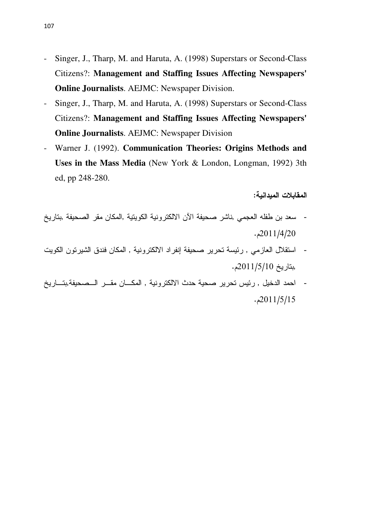- Singer, J., Tharp, M. and Haruta, A. (1998) Superstars or Second-Class Citizens?: **Management and Staffing Issues Affecting Newspapers' Online Journalists**. AEJMC: Newspaper Division.
- Singer, J., Tharp, M. and Haruta, A. (1998) Superstars or Second-Class Citizens?: **Management and Staffing Issues Affecting Newspapers' Online Journalists**. AEJMC: Newspaper Division
- Warner J. (1992). **Communication Theories: Origins Methods and Uses in the Mass Media** (New York & London, Longman, 1992) 3th ed, pp 248-280.

المقابلات الميدانية:

- سعد بن طفله العجمي ,ناشر صحيفة الآن الالكترونية الكويتية ,المكان مقر الصحيفة ,بتاريخ  $.2011/4/20$
- استقلال العازمي , رئيسة تحرير صحيفة إنفراد الالكترونية , المكان فندق الشيرنون الكويت 1. 2011/5/10 -,
- احمد الدخيل , رئيس تحرير صحية حدث الالكترونية , المكـــان مقـــر الـــصحيفة,بتـــاريخ  $.2011/5/15$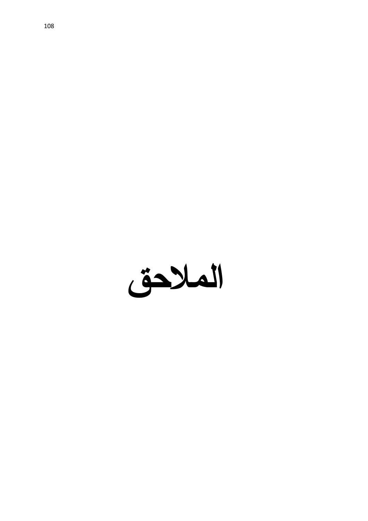الملاحق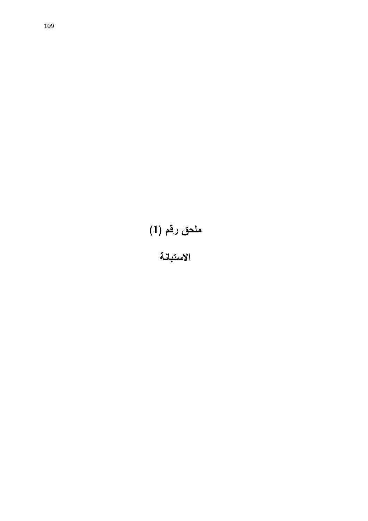# ملحق رقم (1)<br>الاستبانة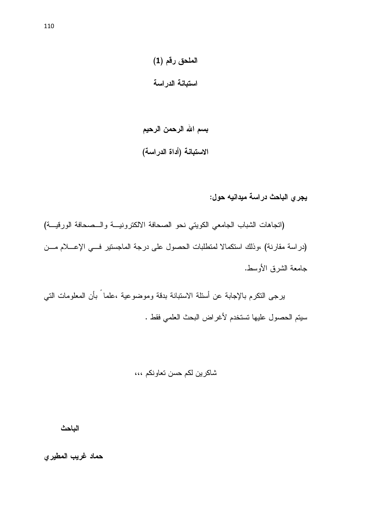الملحق رقم (1) استبانة الدراسة

بسم الله الرحمن الرحيم الاستبانة (أداة الدراسة)

يجر ي الباحث دراسة ميدانيه حول:

(انجاهات الشباب الجامعي الكويتي نحو الصحافة الالكترونيــة والــصحافة الورقيــة) (دراسة مقارنة) ،وذلك استكمالا لمتطلبات الحصول على درجة الماجستير فسى الإعسلام مسن جامعة الشرق الأوسط.

برجي النكرم بالإجابة عن أسئلة الاستبانة بدقة وموضوعية ،علما ً بأن المعلومات التي سيتم الحصول عليها تستخدم لأغراض البحث العلمي فقط .

#### شاكرين لكم حسن تعاونكم ،،،

الباحث

حماد غريب المطيرى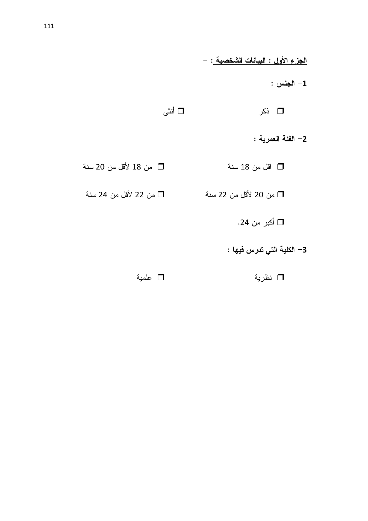### <u> الجزء الأول : البيانات الشخصية :</u> -

- 1- الجنس :
- □ أنثى □ ذکر
	- 2- الفئة العمرية :
- □ من 18 لأقل من 20 سنة □ اقل من 18 سنة
- □ من 22 لأقل من 24 سنة □ من 20 لأقل من 22 سنة
	- **□** أكبر من 24.

## 3– الكلية التي تدرس فيها :

□ نظرية □ علمية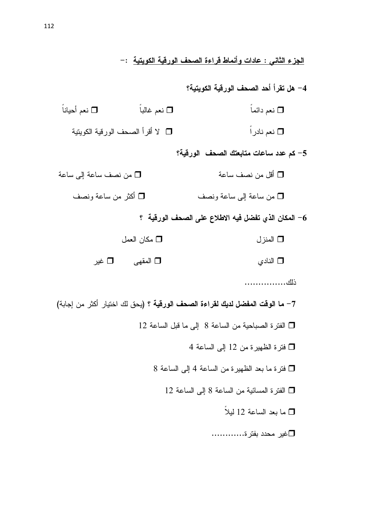الجزء الثاني : عادات وأنماط قراءة الصحف الورقية الكويتية :-

- 4– هل تقرأ أحد الصحف الورقية الكويتية؟ □ نعم دائماً □ نعم أحياناً ◘ نعم غالباً □ لا أقر أ الصحف الور قبة الكوبنية □ نعم نادر اً 5– كم عدد ساعات متابعتك الصحف الورقية؟ □ أقل من نصف ساعة □ من نصف ساعة إلى ساعة أكثر من ساعة ونصف  $\Box$ ◘ من ساعة إلى ساعة ونصف 6– المكان الذي تفضل فيه الاطلاع على الصحف الورقية ؟ □ مكان العمل □ المنزل ■ المقهى ■ غير □ النادي ذلك.................. 7– ما الوقت المفضل لديك لقراءة الصحف الورقية ؟ (يحق لك اختيار أكثر من إجابة) □ الفترة الصباحية من الساعة 8 إلى ما قبل الساعة 12 ◘ فترة الظهيرة من 12 إلى الساعة 4  $8$  فتر ة ما بعد الظهير ة من الساعة 4 إلى الساعة  $8$ □ الفترة المسائية من الساعة 8 إلى الساعة 12
	- □ ما بعد الساعة 12 ليلاً
	- □غير محدد بفترة..............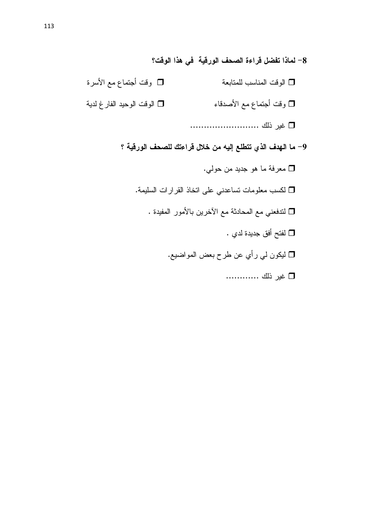8– لماذا تفضل قراءة الصحف الورقية في هذا الوقت؟

- ◘ وقت أجتماع مع الأسرة □ الوقت المناسب للمتابعة ◘ وقت أجتماع مع الأصدقاء □ الوقت الوحيد الفار غ لدية 9- ما الهدف الذي تتطلع إليه من خلال قراءتك للصحف الورقية ؟ ◘ معرفة ما هو جديد من حولي. ◘ لكسب معلومات تساعدني على اتخاذ القرارات السليمة. □ لنتدفعني مع المحادثة مع الأخرين بالأمور المفيدة . ◘ لفتح أفق جديدة لدي . ◘ ليكون لمي رأي عن طرح بعض المواضيع.
	- □ غير ذلك .............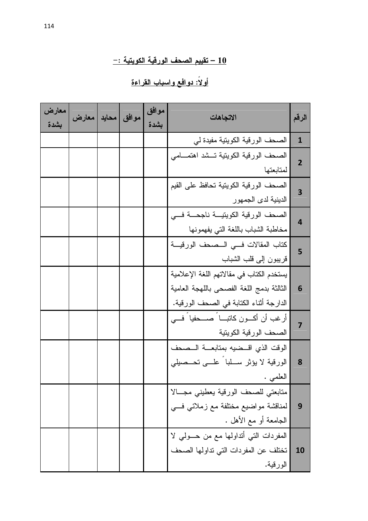## <u> 10 – تقييم الصحف الورقية الكويتية :-</u>

<u>أولاً: دوافع واسباب القراءة</u>

| الرقم           | الاتجاهات                                                                                                                         | موافق<br>بشدة |  | موافق   محايد   معارض | معارض<br>بشدة |
|-----------------|-----------------------------------------------------------------------------------------------------------------------------------|---------------|--|-----------------------|---------------|
| 1               | الصحف الورقية الكويتية مفيدة لي                                                                                                   |               |  |                       |               |
| $\overline{2}$  | الصحف الورقية الكويتية تسشد اهتمـــامى<br>لمتابعتها                                                                               |               |  |                       |               |
| 3               | الصحف الورقية الكويتية تحافظ على القيم<br>الدينية لدى الجمهور                                                                     |               |  |                       |               |
| $\overline{4}$  | الصحف الورقية الكويتية ناجحسة فسى<br>مخاطبة الشباب باللغة التي يفهمونها                                                           |               |  |                       |               |
| 5               | كتاب المقالات فسي السصحف الورقيسة<br>قريبون إلى قلب الشباب                                                                        |               |  |                       |               |
| $6\phantom{1}6$ | يستخدم الكتاب في مقالاتهم اللغة الإعلامية<br>الثالثة بدمج اللغة الفصحى باللهجة العامية<br>الدارجة أثناء الكتابة في الصحف الورقية. |               |  |                       |               |
| 7               | أرغب أن أكـــون كاتبـــا  صــــحفيا  فـــي<br>الصحف الورقية الكويتية                                                              |               |  |                       |               |
| 8               | الوقت الذى اقسضيه بمنابعسة السصحف<br>الورقية لا يؤثر ســـلبا ً علــــي تـحـــصيلـي<br>العلمي .                                    |               |  |                       |               |
| 9               | منابعتي للصحف الورقية يعطيني مجـــالا<br>لمناقشة مواضيع مختلفة مع زملائي فسي<br>الجامعة أو مع الأهل .                             |               |  |                       |               |
| 10              | المفردات التي أنداولها مع من حـولي لا<br>تختلف عن المفردات التي تداولها الصحف<br>الورقية.                                         |               |  |                       |               |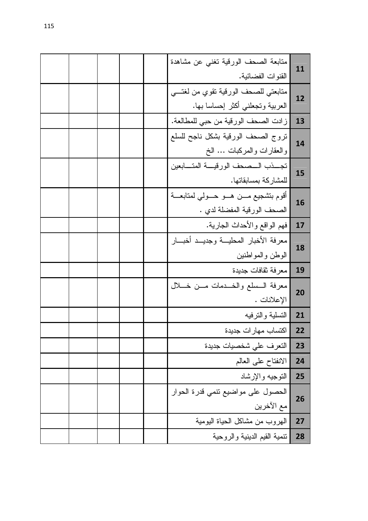|  |  | متابعة الصحف الورقية تغنى عن مشاهدة<br>القنوات الفضائية.                   | 11        |
|--|--|----------------------------------------------------------------------------|-----------|
|  |  | متابعتي للصحف الورقية تقوي من لغتـــي<br>العربية ونجعلنبي أكثر إحساسا بها. | 12        |
|  |  | زادت الصحف الورقية من حبي للمطالعة.                                        | 13        |
|  |  | نروج الصحف الورقية بشكل ناجح للسلع<br>والعقارات والمركبات … الخ            | 14        |
|  |  | تجـــذب الـــصـحف الورقيــــة المتـــــابعين<br>للمشاركة بمسابقاتها.       | 15        |
|  |  | أقوم بتشجيع مـــن هـــو حـــولـي لمتابعـــة<br>الصحف الورقية المفضلة لدي . | 16        |
|  |  | فهم الواقع والأحداث الجارية.                                               | 17        |
|  |  | معرفة الأخبار المحليـــة وجديـــد أخبـــار<br>الوطن والمواطنين             | 18        |
|  |  | معرفة ثقافات جديدة                                                         | 19        |
|  |  | معرفة السسلع والخسدمات مسن خسلال<br>الإعلانات .                            | 20        |
|  |  | التسلية والترفيه                                                           | 21        |
|  |  | اكتساب مهار ات جديدة                                                       | <b>22</b> |
|  |  | التعرف علي شخصيات جديدة                                                    | 23        |
|  |  | الانفتاح على العالم                                                        | 24        |
|  |  | النوجيه والإرشاد                                                           | 25        |
|  |  | الحصول على مواضيع نتمي قدرة الحوار<br>مع الآخرين                           | 26        |
|  |  | المهروب من مشاكل الحياة اليومية                                            | 27        |
|  |  | تنمية القيم الدينية والروحية                                               | 28        |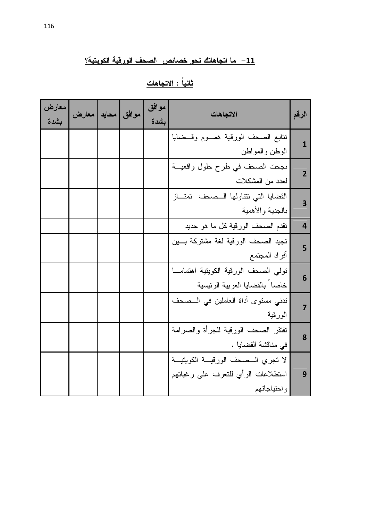<u>ثانياً : الاتجاهات</u>

|         | الاتجاهات                                                                               | موافق<br>بشدة |  | موافق  محايد   معارض | معارض<br>بشدة |
|---------|-----------------------------------------------------------------------------------------|---------------|--|----------------------|---------------|
|         | نتابع الصحف الورقية همسوم وقسضايا<br>الوطن والمواطن                                     |               |  |                      |               |
|         | نجحت الصحف في طرح حلول واقعيــة<br>لعدد من المشكلات                                     |               |  |                      |               |
|         | القضايا التى تتتاولها السصحف تمتاز<br>بالجدية والأهمية                                  |               |  |                      |               |
|         | نقدم الصحف الورقية كل ما هو جديد                                                        |               |  |                      |               |
|         | تجيد الصحف الورقية لغة مشتركة بسين<br>أفراد المجتمع                                     |               |  |                      |               |
|         | نولى الصحف الورقية الكويتية اهتماما<br>خاصا بالقضايا العربية الرئيسية                   |               |  |                      |               |
| الورقية | تدني مستوى أداة العاملين في السصحف                                                      |               |  |                      |               |
|         | نفتقر الصحف الورقية للجرأة والصرامة<br>في مناقشة القضايا .                              |               |  |                      |               |
|         | لا تجري السصحف الورقيسة الكويتيــة<br>استطلاعات الرأي للنعرف على رغبانهم<br>واحتياجاتهم |               |  |                      |               |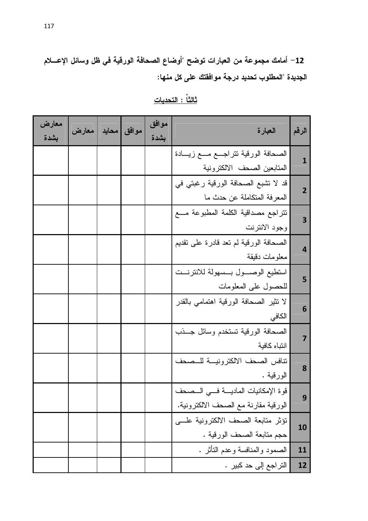12– أمامك مجموعة من العبارات توضح "أوضاع الصحافة الورقية في ظل وسائل الإعسلام الجديدة "المطلوب تحديد درجة موافقتك على كل منها:

| الرقم          | العبارة                                                                    | موافق<br>بشدة | موافق | محايد | معارض | معارض<br>بشدة |
|----------------|----------------------------------------------------------------------------|---------------|-------|-------|-------|---------------|
| 1              | الصحافة الورقية نتراجــع مـــع زيـــادة<br>المتابعين الصحف الالكترونية     |               |       |       |       |               |
| $\overline{2}$ | قد لا تشبع الصحافة الورقية رغبتي في<br>المعرفة المتكاملة عن حدث ما         |               |       |       |       |               |
| 3              | نتراجع مصداقية الكلمة المطبوعة مسع<br>وجود الانترنت                        |               |       |       |       |               |
| 4              | الصحافة الورقية لم نعد قادرة على نقديم<br>معلومات دقيقة                    |               |       |       |       |               |
| 5              | استطيع الوصــول بــسهولة للانترنــت<br>للحصول على المعلومات                |               |       |       |       |               |
| 6              | لا نثير الصحافة الورقية اهتمامى بالقدر<br>الكافي                           |               |       |       |       |               |
| 7              | الصحافة الورقية تستخدم وسائل جــذب<br>انتباه كافية                         |               |       |       |       |               |
| 8              | نتافس الصحف الالكترونيـــة للــصحف<br>الورقية .                            |               |       |       |       |               |
| 9              | قوة الإمكانيات الماديسة فسى السصحف<br>الورقية مقارنة مع الصحف الالكترونية. |               |       |       |       |               |
| 10             | نؤثر منابعة الصحف الالكترونية علسى<br>حجم منابعة الصحف الورقية .           |               |       |       |       |               |
| 11             | الصمود والمنافسة وعدم النأثر .                                             |               |       |       |       |               |
| 12             | التراجع إلى حد كبير .                                                      |               |       |       |       |               |

<u>ثالثاً : التحديات</u>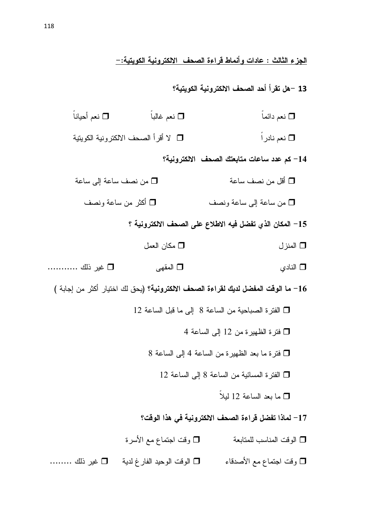الجزء الثالث : عادات وأنماط قراءة الصحف الالكترونية الكويتية:—

13 –هل تقرأ أحد الصحف الالكترونية الكويتية؟

- □ نعم غالباً □ نعم دائماً □ نعم أحياناً □ نعم نادر اً □ لا أقر أ الصحف الالكتر ونبة الكوبتبة 14– كم عدد ساعات متابعتك الصحف الالكترونية؟ □ أقل من نصف ساعة □ من نصف ساعة إلى ساعة □ أكثر من ساعة ونصف □ من ساعة إلى ساعة ونصف 15– المكان الذي تفضل فيه الاطلاع على الصحف الالكترونية ؟ □ مكان العمل □ المنز ل □ المقهى □ غير ذلك ............ □ النادي 16 – ما الوقت المفضل لديك لقراءة الصحف الالكترونية؟ (يحق لك اختيار أكثر من إجابة ) □ الفترة الصباحية من الساعة 8 إلى ما فبل الساعة 12 □ فترة الظهيرة من 12 إلى الساعة 4 □ فترة ما بعد الظهيرة من الساعة 4 إلى الساعة 8 □ الفترة المسائية من الساعة 8 إلى الساعة 12 ◘ ما بعد الساعة 12 ليلاً 17– لماذا تفضل قراءة الصحف الالكترونية في هذا الوقت؟ ا الوقت المناسب للمتابعة السمس السرة الجتماع مع الأسرة  $\Box$
- □ وقت اجتماع مع الأصدقاء □ الوقت الوحيد الفار غ لدية □ غير ذلك ………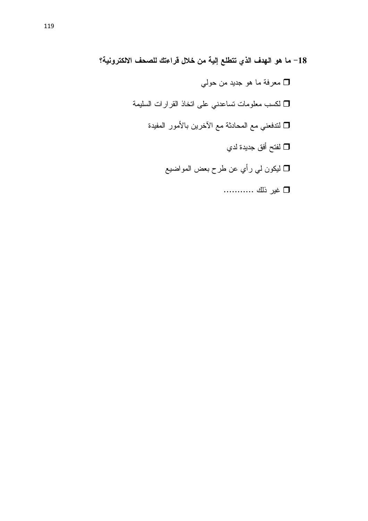18– ما هو الهدف الذي تتطلع إلية من خلال قراءتك للصحف الالكترونية؟

◘ معرفة ما هو جديد من حولي ◘ لكسب معلومات نساعدني على انخاذ القرارات السليمة لتدفعني مع المحادثة مع الأخرين بالأمور المفيدة  $\Box$ ◘ لفتح أفق جديدة لدي ◘ ليكون لي رأي عن طرح بعض المواضيع □ غير ذلك ............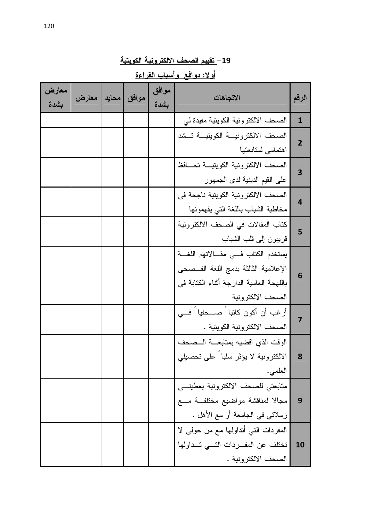|                | <u> او د - دو اسم - و است او اسر انوه</u> |               |       |       |       |               |
|----------------|-------------------------------------------|---------------|-------|-------|-------|---------------|
| الرقم          | الاتجاهات                                 | موافق<br>بشدة | موافق | محايد | معارض | معارض<br>بشدة |
| $\mathbf{1}$   | الصحف الالكترونية الكويتية مفيدة لي       |               |       |       |       |               |
| $\overline{2}$ | الصحف الالكترونيسة الكويتيسة تسشد         |               |       |       |       |               |
|                | اهتمامي لمتابعتها                         |               |       |       |       |               |
| 3              | الصحف الالكترونية الكويتيــة تحـــافظ     |               |       |       |       |               |
|                | على القيم الدينية لدى الجمهور             |               |       |       |       |               |
| $\overline{4}$ | الصحف الالكترونية الكويتية ناجحة في       |               |       |       |       |               |
|                | مخاطبة الشباب باللغة التي يفهمونها        |               |       |       |       |               |
| 5              | كتاب المقالات في الصحف الالكترونية        |               |       |       |       |               |
|                | قريبون إلى قلب الشباب                     |               |       |       |       |               |
|                | يستخدم الكتاب فسى مقــالاتهم اللغــة      |               |       |       |       |               |
| 6              | الإعلامية الثالثة بدمج اللغة الفــصحى     |               |       |       |       |               |
|                | باللهجة العامية الدارجة أثناء الكتابة في  |               |       |       |       |               |
|                | الصحف الالكترونية                         |               |       |       |       |               |
| $\overline{7}$ | أرغب أن أكون كاتبا مسحفيا فسي             |               |       |       |       |               |
|                | الصحف الالكترونية الكويتية .              |               |       |       |       |               |
|                | الوقت الذي اقضيه بمتابعة السصحف           |               |       |       |       |               |
| 8              | الالكترونية لا يؤثر سلبا على تحصيلي       |               |       |       |       |               |
|                | العلمي.                                   |               |       |       |       |               |
|                | متابعتي للصحف الالكترونية يعطيني          |               |       |       |       |               |
| 9              | مجالا لمناقشة مواضيع مختلفــة مـــع       |               |       |       |       |               |
|                | زملائي في الجامعة أو مع الأهل .           |               |       |       |       |               |
|                | المفردات التبي أنداولـها مـع من حولـي لا  |               |       |       |       |               |
| 10             | تختلف عن المفـــردات التــــى تـــداولها  |               |       |       |       |               |
|                | الصحف الالكتر ونية .                      |               |       |       |       |               |

19– تقييم الصحف الالكترونية الكويتية

أو لا: دوافع وأسباب القراءة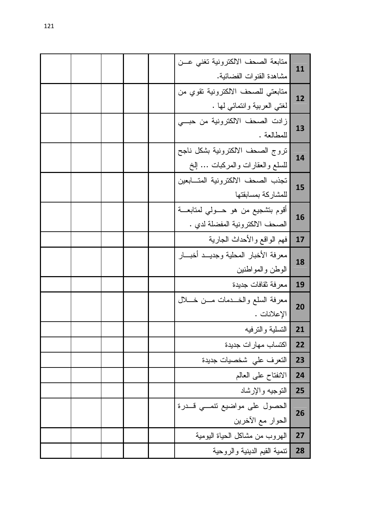| 11        | منابعة الصحف الالكترونية نغنى عــن     |  |  |  |
|-----------|----------------------------------------|--|--|--|
|           | مشاهدة القنوات الفضائية.               |  |  |  |
| 12        | متابعتي للصحف الالكترونية نقوي من      |  |  |  |
|           | لْمَتَّى العربية وانتمائـي لها .       |  |  |  |
| 13        | زادت الصحف الالكترونية من حبسى         |  |  |  |
|           | للمطالعة .                             |  |  |  |
| 14        | تروج الصحف الالكترونية بشكل ناجح       |  |  |  |
|           | للسلع والعقارات والمركبات  إلخ         |  |  |  |
| 15        | تجذب الصحف الالكترونية المتسابعين      |  |  |  |
|           | للمشاركة بمسابقتها                     |  |  |  |
| 16        | أقوم بتشجيع من هو حـــولـي لمتابعـــة  |  |  |  |
|           | الصحف الالكترونية المفضلة لدي .        |  |  |  |
| 17        | فهم الواقع والأحداث الجارية            |  |  |  |
| 18        | معرفة الأخبار المحلية وجديــد أخبـــار |  |  |  |
|           | الوطن والمواطنين                       |  |  |  |
| 19        | معرفة ثقافات جديدة                     |  |  |  |
| 20        | معرفة السلع والخـــدمات مـــن خــــلال |  |  |  |
|           | الإعلانات .                            |  |  |  |
| <b>21</b> | التسلية والترفيه                       |  |  |  |
| 22        | اكتساب مهارات جديدة                    |  |  |  |
| 23        | التعرف علي شخصيات جديدة                |  |  |  |
| 24        | الانفتاح على العالم                    |  |  |  |
| 25        | التوجيه والإرشاد                       |  |  |  |
|           | الحصول على مواضيع نتمـــي قــــدرة     |  |  |  |
| 26        | الحوار مع الآخرين                      |  |  |  |
| 27        | الـهروب من مشاكل الحياة اليومية        |  |  |  |
| 28        | تنمية القيم الدينية والروحية           |  |  |  |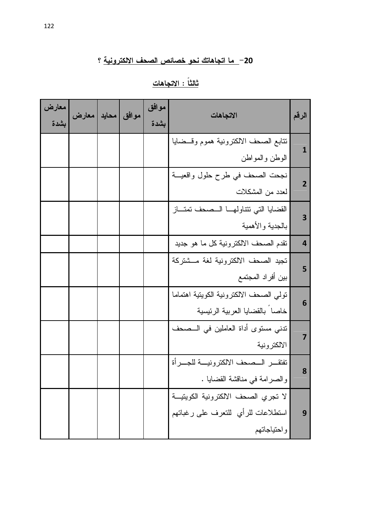### 20 – ما اتجاهاتك نحو خصائص الصحف الالكترونية ؟

<u> ثالثاً : الاتجاهات</u>

| الرقم          | الاتجاهات                                   | موافق<br>بشدة |  | موافق  محايد  معارض | معارض<br>بشدة |
|----------------|---------------------------------------------|---------------|--|---------------------|---------------|
| 1              | نتابع الصحف الالكترونية هموم وقسضايا        |               |  |                     |               |
|                | الوطن والمواطن                              |               |  |                     |               |
| $\overline{2}$ | نجحت الصحف في طرح حلول واقعيـــة            |               |  |                     |               |
|                | لعدد من المشكلات                            |               |  |                     |               |
| З              | القضايا التي تتتاولها المصحف تمتاز          |               |  |                     |               |
|                | بالجدية والأهمية                            |               |  |                     |               |
| 4              | نقدم الصحف الالكترونية كل ما هو جديد        |               |  |                     |               |
| 5              | نجيد الصحف الالكترونية لغة مسشتركة          |               |  |                     |               |
|                | بين أفراد المجتمع                           |               |  |                     |               |
| 6              | نولي الصحف الالكترونية الكويتية اهتماما     |               |  |                     |               |
|                | خاصا بالقضايا العربية الرئيسية              |               |  |                     |               |
|                | ندني مسنوى أداة العاملين في الـــصـحف       |               |  |                     |               |
|                | الالكترونية                                 |               |  |                     |               |
|                | نفتقـــر الـــصـحف الالكترونيـــة للجـــرأة |               |  |                     |               |
| 8              | والصرامة في مناقشة القضايا .                |               |  |                     |               |
|                | لا تجري الصحف الالكترونية الكويتيــة        |               |  |                     |               |
| 9              | استطلاعات للرأي للتعرف على رغباتهم          |               |  |                     |               |
|                | واحتياجاتهم                                 |               |  |                     |               |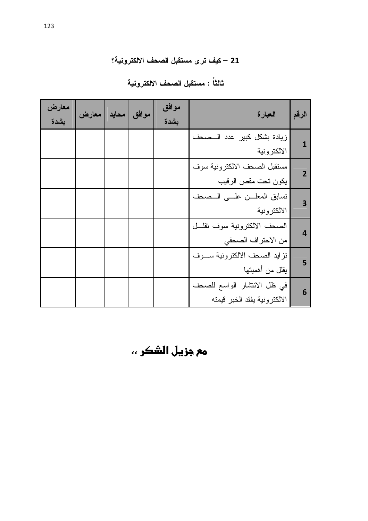### 21 – كيف ترى مستقبل الصحف الالكترونية؟

ثالثاً : مستقبل الصحف الالكترونية

| الرقم          | العبارة                       | موافق<br>بشدة | موافق | محايد | معارض | معارض<br>بشدة |
|----------------|-------------------------------|---------------|-------|-------|-------|---------------|
| 1              | زيادة بشكل كبير عدد السصحف    |               |       |       |       |               |
|                | الالكترونية                   |               |       |       |       |               |
| $\overline{2}$ | مستقبل الصحف الالكترونية سوف  |               |       |       |       |               |
|                | يكون تحت مقص الرقيب           |               |       |       |       |               |
| 3              | نسابق المعلس علسى السصحف      |               |       |       |       |               |
|                | الالكترونية                   |               |       |       |       |               |
| 4              | الصحف الالكترونية سوف نقلــل  |               |       |       |       |               |
|                | من الاحتراف الصحفي            |               |       |       |       |               |
| 5              | نزايد الصحف الالكترونية سـوف  |               |       |       |       |               |
|                | يقلل من أهميتها               |               |       |       |       |               |
| 6              | في ظل الانتشار الواسع للصحف   |               |       |       |       |               |
|                | الالكتر ونية يفقد الخبر قيمته |               |       |       |       |               |

مع جزيل الشكر ..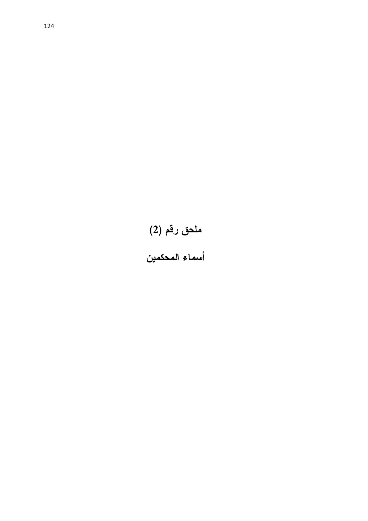# ملحق رقم (2)<br>أسماء المحكمين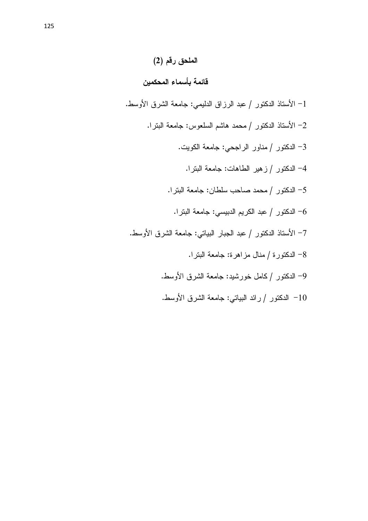#### قائمة بأسماء المحكمين

1– الأستاذ الدكتور / عبد الرزاق الدليمي: جامعة الشرق الأوسط. 2– الأستاذ الدكتور / محمد هاشم السلعوس: جامعة البترا. 3– الدكتور / مناور الراجحي: جامعة الكويت. 4– الدكتور / زهير الطاهات: جامعة البترا. 5– الدكتور / محمد صاحب سلطان: جامعة البترا. الدكتور / عبد الكريم الدبيسي: جامعة البترا. $\ell$ 7– الأستاذ الدكتور / عبد الجبار البياتي: جامعة الشرق الأوسط. 8- الدكتورة / منال مزاهرة: جامعة البترا. 9– الدكتور /كامل خورشيد: جامعة الشرق الأوسط. 10− الدكتور / رائد البياتي: جامعة الشرق الأوسط.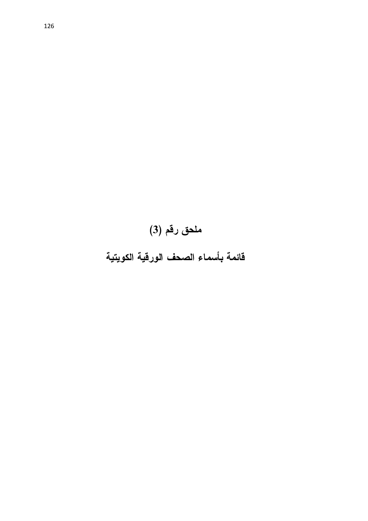# ملحق رقم (3) قائمة بأسماء الصحف الورقية الكويتية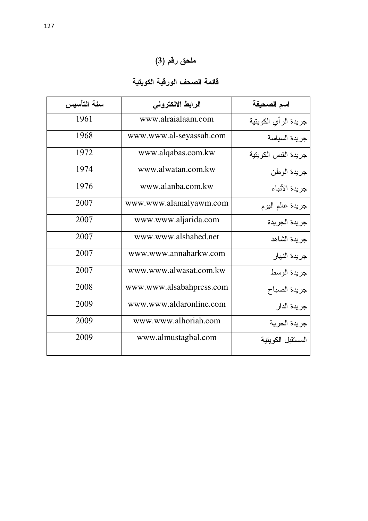# ملحق رقم (3)

# قائمة الصحف الورقية الكويتية

| سنة التأسيس | الرابط الالكترونى        | اسم الصحيفة           |
|-------------|--------------------------|-----------------------|
| 1961        | www.alraialaam.com       | جريدة الر أي الكويتية |
| 1968        | www.www.al-seyassah.com  | جريدة السياسة         |
| 1972        | www.alqabas.com.kw       | جريدة القبس الكويتية  |
| 1974        | www.alwatan.com.kw       | جريدة الوطن           |
| 1976        | www.alanba.com.kw        | جريدة الأنباء         |
| 2007        | www.www.alamalyawm.com   | جريدة عالم اليوم      |
| 2007        | www.www.aljarida.com     | جريدة الجريدة         |
| 2007        | www.www.alshahed.net     | جر يدة الشاهد         |
| 2007        | www.www.annaharkw.com    | جر يدة النهار         |
| 2007        | www.www.alwasat.com.kw   | جريدة الوسط           |
| 2008        | www.www.alsabahpress.com | جريدة الصباح          |
| 2009        | www.www.aldaronline.com  | جر يدة الدار          |
| 2009        | www.www.alhoriah.com     | جريدة الحرية          |
| 2009        | www.almustagbal.com      | المستقبل الكو يتية    |
|             |                          |                       |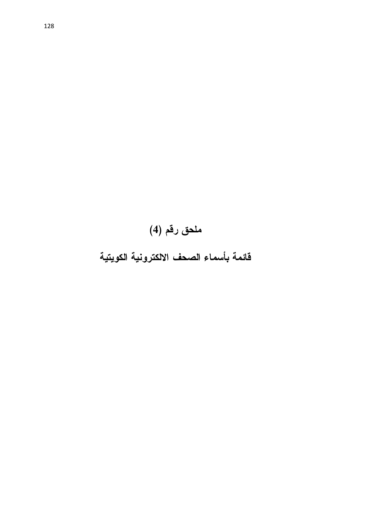# ملحق رقم (4) قائمة بأسماء الصحف الالكترونية الكويتية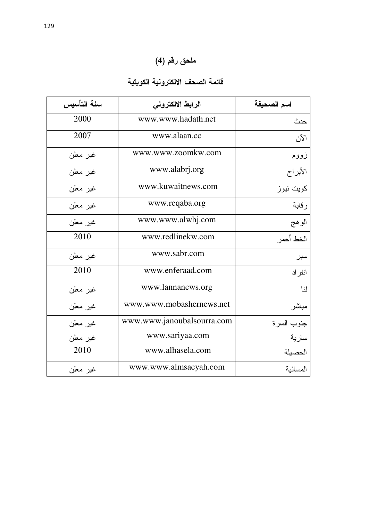# قائمة الصحف الالكترونية الكويتية

| سنة التأسيس | الرابط الالكترونى          | اسم الصحيفة |
|-------------|----------------------------|-------------|
| 2000        | www.www.hadath.net         | حدث         |
| 2007        | www.alaan.cc               | الآن        |
| غير معلن    | www.www.zoomkw.com         | زووم        |
| غير معلن    | www.alabrj.org             | الأبراج     |
| غير معلن    | www.kuwaitnews.com         | کو پٽ نيو ز |
| غير معلن    | www.reqaba.org             | رقابة       |
| غير معلن    | www.www.alwhj.com          | الوهج       |
| 2010        | www.redlinekw.com          | الخط أحمر   |
| غير معلن    | www.sabr.com               | سبر         |
| 2010        | www.enferaad.com           | انفر اد     |
| غير معلن    | www.lannanews.org          | لنا         |
| غير معلن    | www.www.mobashernews.net   | مباشر       |
| غير معلن    | www.www.janoubalsourra.com | جنوب السرة  |
| غير معلن    | www.sariyaa.com            | سارية       |
| 2010        | www.alhasela.com           | الحصبلة     |
| غير معلن    | www.www.almsaeyah.com      | المسائبة    |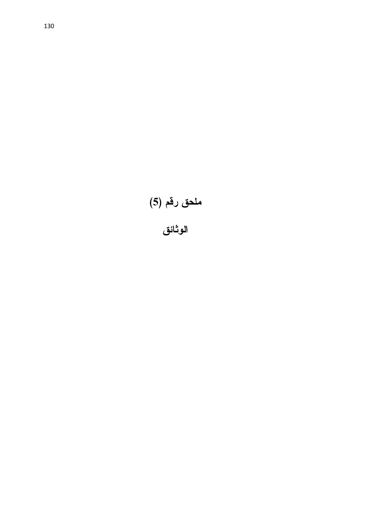# ملحق رقم (5)<br>الوثائق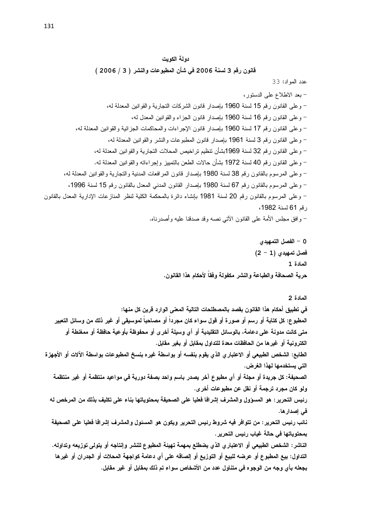قانون رقم 3 لسنة 2006 في شأن المطبوعات والنشر ( 3 / 2006 )

0 – الفصل التمهيدي  $(2 - 1)$  فصل تمهيدي المادة 1

حرية الصحافة والطباعة والنشر مكفولة وفقاً لأحكام هذا القانون.

# المادة 2

في تطبيق أحكام هذا القانون بقصد بالمصطلحات التالية المعنى الوارد قرين كل منها: المطبوع: كل كتابة أو رسم أو صورة أو قول سواء كان مجرداً أو مصاحباً لموسبِقى أو غير ذلك من وسائل التعبير متى كانت مدونـة على دعامـة، بـالوسائل التقليديـة أو أي وسيلـة أخرى أو محفوظة بأوعيـة حافظة أو ممغنطـة أو الكتر ونبية أو غير ها من الحافظات معدة للتداول بمقابل أو بغير مقابل.

الطابع: الشخص الطبيعى أو الاعتبار ي الذي يقوم بنفسه أو بواسطة غيره بنسخ المطبوعات بواسطة الآلات أو الأجهزة التي يستخدمها لهذا الغرض.

الصحيفة: كل جريدة أو مجلة أو أي مطبوع آخر يصدر باسم واحد بصفة دورية في مواعيد منتظمة أو غير منتظمة ولو كان مجرد ترجمة أو نقل عن مطبوعات أخرى.

رئيس التحرير : هو المسؤول والمشرف إشرافًا فعليا على الصحيفة بمحتوياتها بناء على تكليف بذلك من المرخص له في إصدار ها.

نائب رئيس التحرير : من تتوافر فيه شروط رئيس التحرير ويكون هو المسئول والمشرف إشرافا فعليا على الصحيفة بمحتوياتها في حالة غياب رئيس التحرير.

الناشر : الشخص الطبيعي أو الاعتبار ي الذي يضطلع بمهمة تهيئة المطبوع للنشر وإنتاجه أو يتولى توزيعه وتداوله. التداول: بيع المطبوع أو عرضه للبيع أو التوزيع أو الصاقه على أي دعامة كواجهة المحلات أو الجدران أو غيرها بجعله بأي وجه من الوجوه في متناول عدد من الأشخاص سواء تم ذلك بمقابل أو غير مقابل.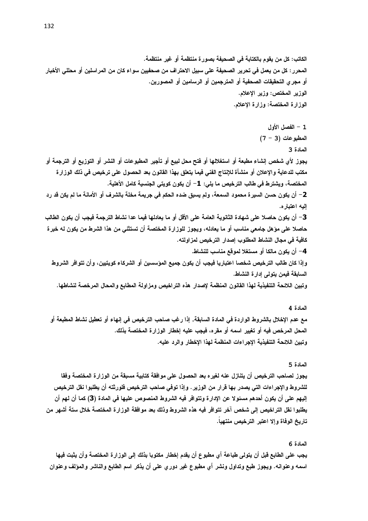الكاتب: كل من يقوم بالكتابة في الصحيفة بصورة منتظمة أو غير منتظمة. المحرر : كل من يعمل في تحرير الصحيفة على سبيل الاحتراف من صحفيين سواء كان من المراسلين أو محللي الأخبار أو مجر ي التحقيقات الصحفية أو المترجمين أو الرسامين أو المصورين. الوزير المختص: وزير الإعلام. الوزارة المختصة: وزارة الإعلام. 1 – الفصل الأول المطبوعات (3 - 7) المادة 3 يجوز لأى شخص إنشاء مطبعة أو استغلالها أو فتح محل لبيع أو تأجير المطبوعات أو النشر أو التوزيع أو الترجمة أو مكتب للدعاية والإعلان أو منشأة للإنتاج الفني فيما يتعلق بهذا القانون بعد الحصول على ترخيص في ذلك الوزارة المختصة، ويشترط في طالب الترخيص ما يلي: 1= أن يكون كويتي الجنسية كامل الأهلية. 2– أن يكون حسن السيرة محمود السمعة، ولم يسبق ضده الحكم في جريمة مخلة بالشرف أو الأمانة ما لم يكن قد رد البه اعتبار ه. 3– أن يكون حاصلا على شهادة الثانوية العامة على الأقل أو ما يعادلها فيما عدا نشاط الترجمة فيجب أن يكون الطالب حاصلا على مؤهل جامعي مناسب أو ما يعادله، ويجوز للوزارة المختصة أن تستثني من هذا الشرط من يكون له خبرة كافية في مجال النشاط المطلوب إصدار الترخيص لمزاولته. 4– أن يكون مالكا أو مستغلا لموقع مناسب للنشاط. وإذا كان طالب الترخيص شخصا اعتباريا فيجب أن يكون جميع المؤسسين أو الشركاء كويتيين، وأن تتوافر الشروط السابقة فيمن يتولى إدارة النشاط. وتبين اللائحة التنفيذية لهذا القانون المنظمة لإصدار هذه التراخيص ومزاولة المطابع والمحال المرخصة لنشاطها. المادة 4 مع عدم الإخلال بالشروط الواردة في المادة السابقة٬ إذا رغب صاحب الترخيص في إنهاء أو تعطيل نشاط المطبعة أو المحل المرخص فيه أو تغيير اسمه أو مقره، فيجب عليه إخطار الوزارة المختصة بذلك. وتبين اللائحة التنفيذية الإجراءات المنظمة لهذا الإخطار والرد عليه. المادة 5 يجوز لصاحب الترخيص أن يتنازل عنه لغيره بعد الحصول على موافقة كتابية مسبقة من الوزارة المختصة وفقا للشروط والإجراءات التي يصدر بها قرار من الوزير. وإذا توفي صاحب الترخيص فلورثته أن يطلبوا نقل الترخيص إليهم على أن يكون أحدهم مسئولا عن الإدارة وتتوافر فيه الشروط المنصوص عليها في المادة (3) كما أن لهم أن

يطلبوا نقل التراخيص إلى شخص آخر تتوافر فيه هذه الشروط وذلك بعد موافقة الوزارة المختصة خلال ستة أشهر من تاريخ الوفاة وإلا اعتبر الترخيص منتهيا.

المادة 6

يجب على الطابع قبل أن يتولى طباعة أي مطبوع أن يقدم إخطار مكتوبا بذلك إلى الوزارة المختصة وأن يثبت فيها اسمه وعنوانه. ويجوز طبع وتداول ونشر أي مطبوع غير دوري على أن يذكر اسم الطابع والناشر والمؤلف وعنوان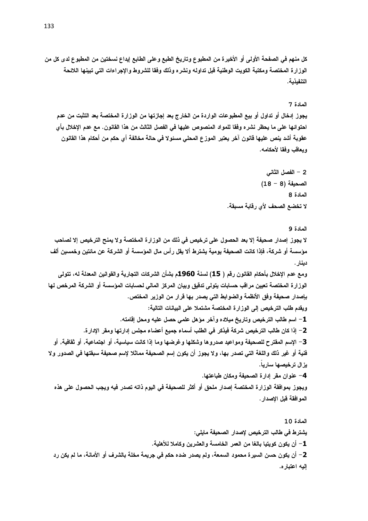كل منهم في الصفحة الأولى أو الأخير ة من المطبوع وتاريخ الطبع وعلى الطابع إبداع نسختين من المطبوع لدى كل من الوزارة المختصة ومكتبة الكويت الوطنية قبل تداوله ونشره وذلك وفقا للشروط والإجراءات التي تبينها اللائحة التنفيذية.

### المادة 7

يجوز إدخال أو تداول أو بيع المطبوعات الواردة من الخارج بعد إجازتها من الوزارة المختصة بعد التثبت من عدم احتوائـها على ما يحظر نشره وفقا للمواد المنصوص عليها في الفصل الثالث من هذا القانون. مع عدم الإخلال بأي عقوبة أشد ينص عليها قانون آخر يعتبر الموزع المحلي مسئولا في حالة مخالفة أي حكم من أحكام هذا القانون ويعاقب وفقا لأحكامه.

> 2 – الفصل الثاني الصحيفة (8 – 18) المادة R لا تخضع الصحف لأى رقابة مسبقة.

> > المادة 9

لا يجوز إصدار صحيفة إلا بعد الحصول على ترخيص في ذلك من الوزارة المختصة ولا يمنح الترخيص إلا لصاحب مؤسسة أو شركة، فإذا كانت الصحيفة يومية يشترط ألا يقل رأس مال المؤسسة أو الشركة عن مائتين وخمسين ألف دينار .

ومع عدم الإخلال بأحكام القانون رقم ( 15) لسنة 1960م بشأن الشركات التجارية والقوانين المعدلة له، تتولى الوزارة المختصة تعيين مراقب حسابات يتولى تدقيق وبيان المركز المالي لحسابات المؤسسة أو الشركة المرخص لها بإصدار صحيفة وفق الأنظمة والضوابط التي يصدر بها قرار من الوزير المختص. ويقدم طلب الترخيص إلى الوزارة المختصة مشتملا على البيانات التالية: 1 – اسم طالب الترخيص وتاريخ ميلاده وآخر مؤهل علمي حصل عليه ومحل إقامته. 2– إذا كان طالب الترخيص شركة فيذكر في الطلب أسماء جميع أعضاء مجلس إدارتها ومقر الإدارة. 3– الإسم المقترح للصحيفة ومواعيد صدروها وشكلها وغرضها وما إذا كانت سياسية، أو اجتماعية, أو ثقافية, أو فنية أو غير ذلك واللغة التي تصدر بها، ولا يجوز أن يكون إسم الصحيفة مماثلا لإسم صحيفة سبقتها في الصدور ولا يزال ترخيصها ساريا. 4- عنوان مقر ادارة الصحيفة ومكان طباعتها.

ويجوز بموافقة الوزارة المختصة إصدار ملحق أو أكثر للصحيفة في اليوم ذاته تصدر فيه ويجب الحصول على هذه المو افقة قبل الاصدار .

المادة 10 يشترط في طالب الترخيص لإصدار الصحيفة مايلي: 1– أن يكون كويتيا بالغا من العمر الخامسة والعشرين وكاملا للأهلية. 2– أن يكون حسن السيرة محمود السمعة، ولم يصدر ضده حكم في جريمة مخلة بالشرف أو الأمانـة، ما لم يكن رد البه اعتبار ه.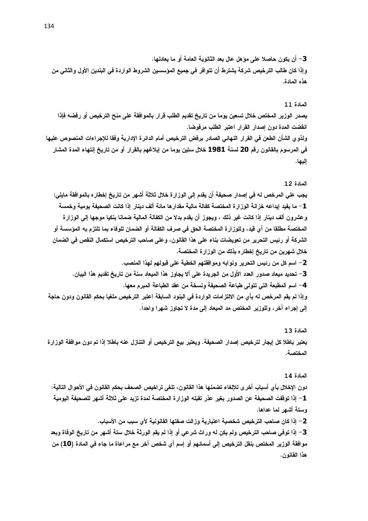3– أن يكون حاصلا على مؤهل عال بعد الثانوية العامة أو ما يعادلها. وإذا كان طالب الترخيص شركة يشترط أن تتوافر في جميع المؤسسين الشروط الواردة في البندين الأول والثاني من هذه المادة.

#### المادة 11

يصدر الوزير المختص خلال تسعين يوما من تاريخ تقديم الطلب قرار بالموافقة على منح الترخيص أو رفضه فإذا انقضت المدة دون إصدار القرار اعتبر الطلب مرفوضا. ولذو ي الشأن الطعن في القرار النهائي الصادر برفض الترخيص أمام الدائرة الإدارية وفقا للإجراءات المنصوص عليها في المرسوم بالقانون رقم 20 لسنة 1981 خلال ستين يوما من إبلاغهم بالقرار أو من تاريخ إنتهاء المدة المشار اليها.

#### المادة 12

يجب على المرخص له في إصدار صحيفة أن يقدم إلى الوزارة خلال ثلاثة أشهر من تاريخ إخطاره بالموافقة مايلي: 1– ما يفيد إيداعه خزانة الوزارة المختصة كفالة مالية مقدارها مائة ألف دينار إذا كانت الصحيفة يومية وخمسة وعشرون ألف دينار إذا كانت غير ذلك ، ويجوز أن يقدم بدلا من الكفالة المالية ضمانا بنكيا موجها إلى الوزارة المختصة مطلقا من أي قيد، وللوزارة المختصة الحق في صرف الكفالة أو الضمان للوفاء بما تلتزم به المؤسسة أو الشركة أو رئيس التحرير من تعويضات بناء على هذا القانون، وعلى صاحب الترخيص استكمال النقص في الضمان خلال شهرين من تاريخ إخطار ه بذلك من الوزار ة المختصة.

2– اسم كل من رئيس التحرير. ونوابه وموافقتهم الخطية على قبولهم لهذا المنصب. 3– تحديد ميعاد صدور العدد الأول من الجريدة على ألا يجاوز هذا الميعاد سنة من تاريخ تقديم هذا البيان. 4– اسم المطبعة التي تتولى طباعة الصحيفة ونسخة من عقد الطباعة المبرم معها. وإذا لم يقم المرخص له بأي من الالتزامات الواردة في البنود السابقة اعتبر الترخيص ملغيا بحكم القانون ودون حاجة إلى إجراء آخر ، وللوزير المختص مد الميعاد إلى مدة لا تجاوز شهرا واحداً.

المادة 13 يعتبر باطلا كل إيجار لترخيص إصدار الصحيفة. ويعتبر بيع الترخيص أو التنازل عنه باطلا إذا تم دون موافقة الوزارة المختصة.

المادة 14 دون الإخلال بأي أسباب أخر ي للإلغاء تضمنها هذا القانون، تلغي تر اخيص الصحف بحكم القانون في الأحوال التالية: 1– إذا توقفت الصحيفة عن الصدور بغير عذر تقبله الوزارة المختصة لمدة تزيد على ثلاثة أشهر للصحيفة اليومية وستة أشهر لما عداها. 2– إذا كان صاحب الترخيص شخصية اعتبارية وزالت صفتها القانونية لأى سبب من الأسباب. 3– إذا توفي صاحب الترخيص ولم يكن له وراث شرعى أو إذا لم يقم الورثة خلال ستة أشهر من تاريخ الوفاة وبعد

موافقة الوزير المختص بنقل الترخيص إلى أسمائهم أو إسم أي شخص آخر مع مراعاة ما جاء في المادة (10) من هذا القانون.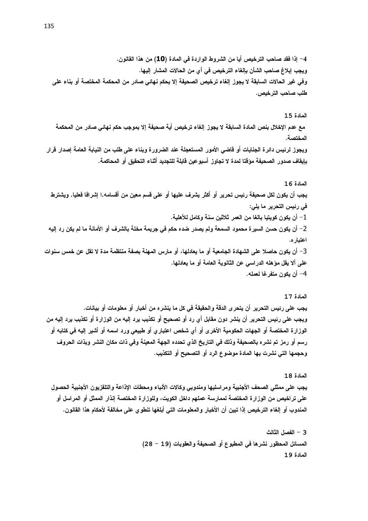4– إذا فقد صاحب الترخيص أيا من الشروط الواردة في المادة (10) من هذا القانون. ويجب اِبلاغ صاحب الشأن بإلغاء الترخيص في أي من الحالات المشار إليها. وفي غير الحالات السابقة لا يجوز إلغاء ترخيص الصحيفة إلا بحكم نهائي صادر من المحكمة المختصة أو بناء على طلب صاحب الترخيص.

### المادة 15

مع عدم الإخلال بنص المادة السابقة لا يجوز إلغاء ترخيص أية صحيفة إلا بموجب حكم نهائي صادر من المحكمة المختصة.

ويجوز لرئيس دائرة الجنايات أو قاضي الأمور المستعجلة عند الضرورة ويناء على طلب من النيابة العامة إصدار قرار بإبقاف صدور الصحيفة مؤقتا لمدة لا تجاوز أسبو عين قابلة للتجديد أثناء التحقيق أو المحاكمة.

#### المادة 16

يجب أن يكون لكل صحيفة رئيس تحرير أو أكثر يشرف عليها أو على قسم معين من أقسامه,ا إشرافا فعليا, ويشترط في رئيس التحرير ما يلي: أن يكون كويتيا بالغا من العمر ثلاثين سنة وكامل للأهلية.  $\!-\!1$ 2– أن يكون حسن السيرة محمود السمعة ولم يصدر ضده حكم فى جريمة مخلة بالشرف أو الأمانـة ما لم يكن رد إليه اعتبار ه. 3– أن يكون حاصلا على الشهادة الجامعية أو ما يعادلها، أو مارس المهنة بصفة منتظمة مدة لا تقل عن خمس سنوات على ألا يقل مؤهله الدراسي عن الثانوية العامة أو ما يعادلها. 4– أن يكون متفرغا لعمله.

### المادة 17

يجِبِ على رئيس التحرير أن يتحرى الدفَّة والحقيقة في كل ما ينشره من أخبار أو معلومات أو بيانات. ويجب على رئيس التحرير أن ينشر دون مقابل أي رد أو تصحيح أو تكذيب يرد إليه من الوزارة أو تكذيب يرد إليه من الوزارة المختصة أو الجهات الحكومية الأخرى أو أى شخص اعتبارى أو طبيعى ورد اسمه أو أشير إليه في كتابه أو رسم أو رمز تم نشره بالصحيفة وذلك في التاريخ الذي تحدده الجهة المعينة وفي ذات مكان النشر وبذات الحروف وحجمها التي نشرت بها المادة موضوع الرد أو التصحيح أو التكذيب.

### المادة 18

يجب على ممثلي الصحف الأجنبية ومراسليها ومندوبي وكالات الأنباء ومحطات الإذاعة والتلفزيون الأجنبية الحصول على تراخيص من الوزارة المختصة لممارسة عملهم داخل الكويت، وللوزارة المختصة إنذار الممثل أو المراسل أو المندوب أو إلغاء الترخيص إذا تبين أن الأخبار والمعلومات التي أبلغها تنطوي على مخالفة لأحكام هذا القانون.

> 3 – الفصل الثالث المسائل المحظور نشرها في المطبوع أو الصحيفة والعقوبات (19 – 28) المادة 19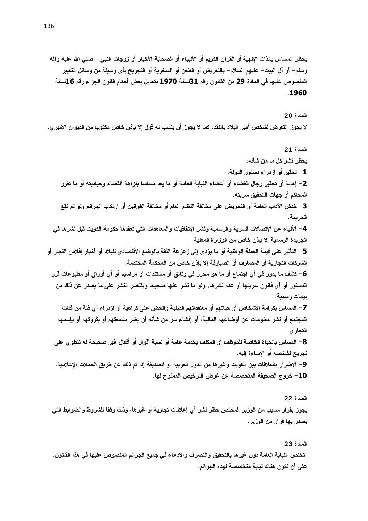وسلم– أو آل البيت– عليهم السلام– بالتعريض أو الطعن أو السخرية أو التجريح بأي وسيلة من وسائل التعبير المنصوص عليها في المادة 29 من القانون رقم 31لسنة 1970 بتعديل بعض أحكام قانون الجزاء رقم 16لسنة .1960

## المادة 20

لا يجوز التعرض لشخص أمير البلاد بالنقد، كما لا يجوز أن ينسب له قول إلا بإذن خاص مكتوب من الديوان الأمير ي.

المادة 21 يحظر نشر كل ما من شأنه: 1– تحقير أو ازدراء دستور الدولة. 2– إهانـة أو تحقير رجال القضاء أو أعضاء النيابـة الـعامـة أو مـا يـعد مساسا بنزاهـة القضاء وحياديتـه أو مـا تقرر المحاكم أو جهات التحقيق سريته. 3– خدش الآداب العامة أو التحريض على مخالفة النظام العام أو مخالفة القوانين أو ارتكاب الجرائم ولو لم تقع الجريمة. 4– الأنباء عن الإتصالات السرية والرسمية ونشر الإتفاقيات والمعاهدات التي تعقدها حكومة الكويت قبل نشرها في الجريدة الرسمية إلا بإذن خاص من الوزارة المعنية. 5– التأثير على قيمة العملة الوطنية أو ما يؤدى إلى زعزعة الثقة بالوضع الاقتصادى للبلاد أو أخبار إفلاس التجار أو الشركات التجارية أو المصارف أو الصيارفة إلا بإذن خاص من المحكمة المختصة. 6– كشف ما يدور في أي اجتماع أو ما هو محرر في وثائق أو مستندات أو مراسيم أو أي أوراق أو مطبوعات قرر الدستور أو أي قانون سريتها أو عدم نشرها, ولو ما نشر عنها صحيحا ويقتصر النشر على ما يصدر عن ذلك من بيانات رسمية. 7– المساس بكرامة الأشخاص أو حياتهم أو معتقداتهم الدينية والحض على كراهية أو ازدراء أي فئة من فئات المجتمع أو نشر معلومات عن أوضاعهم المالية، أو إفشاء سر من شأنه أن يضر بسمعتهم أو بثروتهم أو بإسمهم التجار ي . 8– المساس بالحياة الخاصة للموظف أو المكلف بخدمة عامة أو نسبة أقوال أو أفعال غير صحيحة له تنطوى على

تجريح لشخصه أو الإساءة إليه.

9– الإضرار بالعلاقات بين الكويت وغيرها من الدول العربية أو الصديقة إذا تم ذلك عن طريق الحملات الإعلامية. 10– خروج الصحيفة المتخصصة عن غرض الترخيص الممنوح لها.

المادة 22

يجوز. بقرار مسبب من الوزير المختص حظر نشر أي إعلانات تجارية أو غيرها، وذلك وفقا للشروط والضوابط التي يصدر بها قرار من الوزير .

المادة 23

تختص النيابة العامة دون غيرها بالتحقيق والتصرف والادعاء في جميع الجرائم المنصوص عليها في هذا القانون، على أن تكون هناك نيابة متخصصة لهذه الجرائم.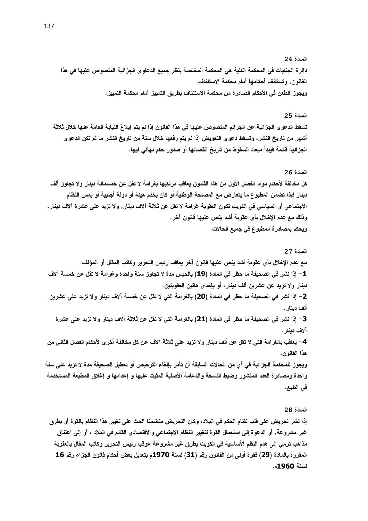#### المادة 24

دائرة الجنايات في المحكمة الكلية هي المحكمة المختصة بنظر جميع الدعاوي الجزائية المنصوص عليها في هذا القانون, وتستأنف أحكامها أمام محكمة الاستئناف.

ويجوز الطعن في الأحكام الصادرة من محكمة الاستئناف بطريق التمييز أمام محكمة التمييز .

#### المادة 25

تسقط الدعوى الجزائية عن الجرائم المنصوص عليها في هذا الفانون إذا لم يتم إبلاغ النيابة العامة عنها خلال ثلاثة أشهر من تاريخ النشر ، وتسقط دعو ي التعويض إذا لم يتم رفعها خلال سنة من تاريخ النشر ما لم تكن الدعو ي الجزائية قائمة فيبدأ ميعاد السقوط من تاريخ انقضائها أو صدور حكم نهائي فيها.

### المادة 26

كل مخالفة لأحكام مواد الفصل الأول من هذا الفانون يعاقب مرتكبها بغرامة لا تقل عن خمسمائة دينار ولا تجاوز ألف دينار فإذا تضمن المطبوع ما يتعارض مع المصلحة الوطنية أو كان يخدم هيئة أو دولة أجنبية أو يمس النظام الاجتماعي أو السياسي في الكويت تكون العقوبة غرامة لا تقل عن ثلاثة آلاف دينار٬ ولا تزيد على عشرة آلاف دينار٬ وذلك مع عدم الإخلال بأى عقوبة أشد ينص عليها قانون آخر. ويحكم بمصادرة المطبوع في جميع الحالات.

المادة 27 مع عدم الإخلال بأي عقوبة أشد ينص عليها قانون آخر يعاقب رئيس التحرير وكاتب المقال أو المؤلف: 1– إذا نشر في الصحيفة ما حظر في المادة (19) بالحبس مدة لا تجاوز سنة واحدة وغرامة لا تقل عن خمسة آلاف دينار ولا تزيد عن عشرين ألف دينار ، أو بإحدى هاتين العقوبتين. 2– إذا نشر في الصحيفة ما حظر في المادة (20) بالغرامة التي لا تقل عن خمسة آلاف دينار ولا تزيد على عشرين ألف دينار . 3– إذا نشر في الصحيفة ما حظر في المادة (21) بالغرامة التي لا تقل عن ثلاثة آلاف دينار ولا تزيد على عشرة آلاف دينار . 4– يعاقب بالغرامة التي لا تقل عن ألف دينار ولا تزيد على ثلاثة آلاف عن كل مخالفة أخرى لأحكام الفصل الثاني من هذا القانون. ويجوز للمحكمة الجزائية في أي من الحالات السابقة أن تأمر بإلغاء الترخيص أو تعطيل الصحيفة مدة لا تزيد على سنة واحدة ومصادرة العدد المنشور وضبط النسخة والدعامة الأصلية المثبت عليها و إعدامها و إغلاق المطبعة المستخدمة في الطبع.

المادة 28

إذا نشر تحريض على قلب نظام الحكم في البلاد، وكان التحريض متضمنا الحث على تغيير هذا النظام بالقوة أو بطرق غير مشروعة, أو الدعوة إلى استعمال القوة لتغيير النظام الاجتماعي والاقتصادي القائم في البلاد ، أو إلى اعتناق مذاهب ترمي إلى هدم النظم الأساسية في الكويت بطرق غير مشروعة عوقب رئيس التحرير وكاتب المقال بالعقوبة المقررة بالمادة (29) فقرة أولى من القانون رقم (31) لسنة 1970م بتعديل بعض أحكام قانون الجزاء رقم 16 لسنة **1960**م.